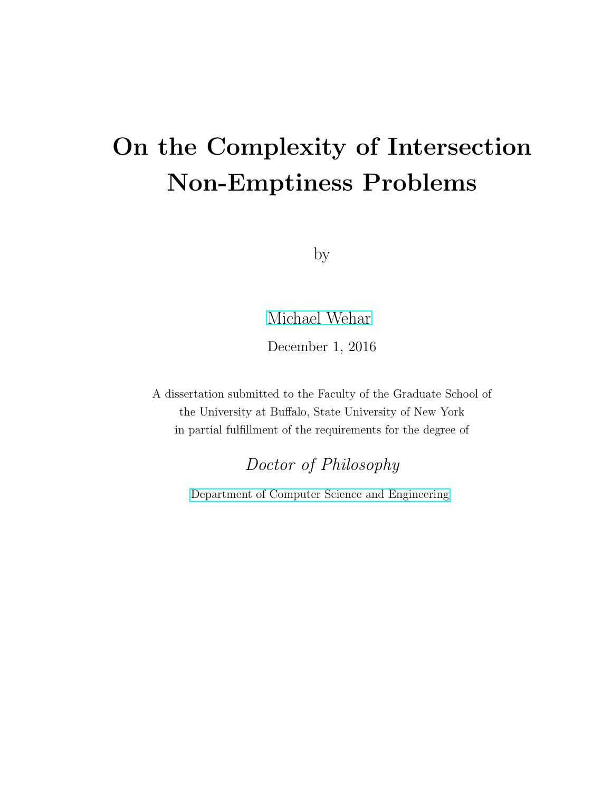# On the Complexity of Intersection Non-Emptiness Problems

by

[Michael Wehar](mailto:mwehar@buffalo.edu)

December 1, 2016

A dissertation submitted to the Faculty of the Graduate School of the University at Buffalo, State University of New York in partial fulfillment of the requirements for the degree of

Doctor of Philosophy

[Department of Computer Science and Engineering](http://www.cse.buffalo.edu)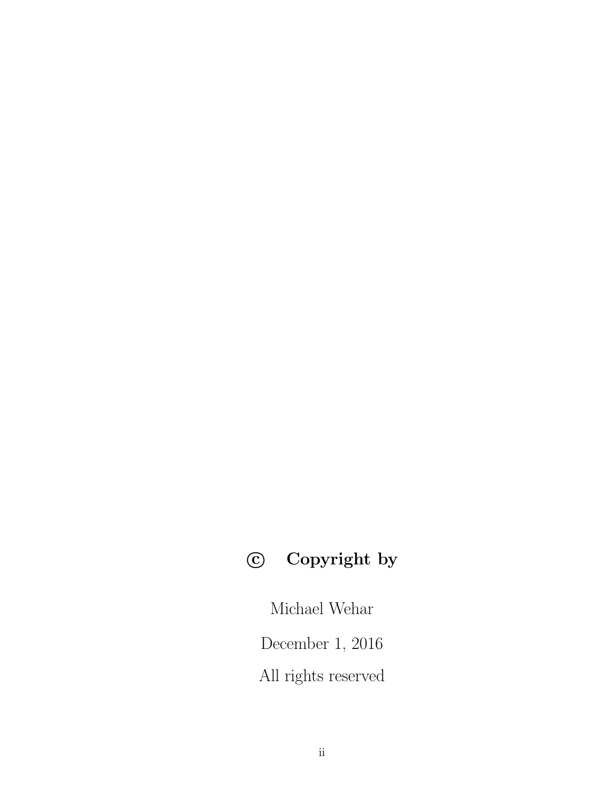# c Copyright by

Michael Wehar

December 1, 2016

All rights reserved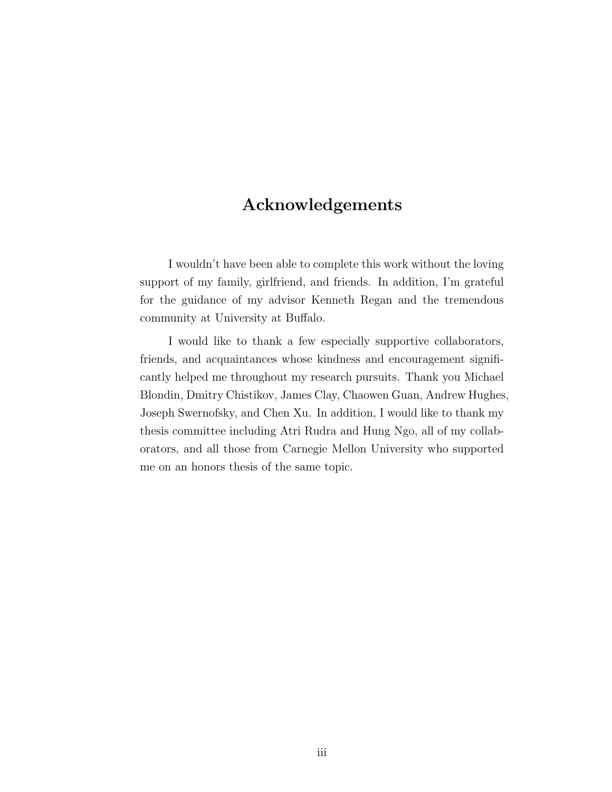## Acknowledgements

I wouldn't have been able to complete this work without the loving support of my family, girlfriend, and friends. In addition, I'm grateful for the guidance of my advisor Kenneth Regan and the tremendous community at University at Buffalo.

I would like to thank a few especially supportive collaborators, friends, and acquaintances whose kindness and encouragement significantly helped me throughout my research pursuits. Thank you Michael Blondin, Dmitry Chistikov, James Clay, Chaowen Guan, Andrew Hughes, Joseph Swernofsky, and Chen Xu. In addition, I would like to thank my thesis committee including Atri Rudra and Hung Ngo, all of my collaborators, and all those from Carnegie Mellon University who supported me on an honors thesis of the same topic.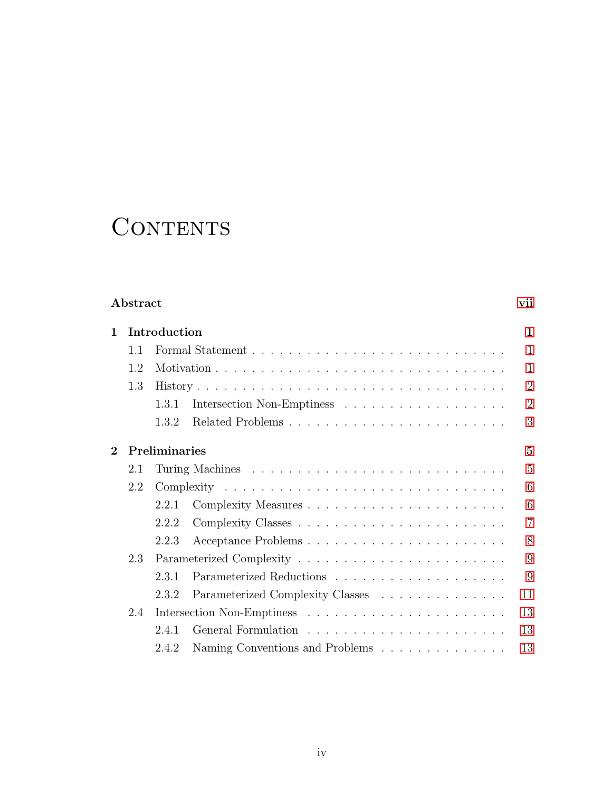# CONTENTS

### Abstract [vii](#page-6-0)

| $\mathbf 1$    | Introduction |               |                                  |                |  |  |
|----------------|--------------|---------------|----------------------------------|----------------|--|--|
|                | 1.1          |               |                                  | $\mathbf{1}$   |  |  |
| 1.2            |              |               | $\mathbf{1}$                     |                |  |  |
|                | 1.3          |               |                                  |                |  |  |
|                |              | 1.3.1         |                                  | $\overline{2}$ |  |  |
|                |              | 1.3.2         |                                  | 3              |  |  |
| $\overline{2}$ |              | Preliminaries |                                  | $\overline{5}$ |  |  |
|                | 2.1          |               |                                  | 5              |  |  |
|                | 2.2          |               |                                  | 6              |  |  |
|                |              | 2.2.1         |                                  | 6              |  |  |
|                |              | 2.2.2         |                                  | $\overline{7}$ |  |  |
|                |              | 2.2.3         |                                  | 8              |  |  |
|                | 2.3          |               |                                  | 9              |  |  |
|                |              | 2.3.1         |                                  | 9              |  |  |
|                |              | 2.3.2         | Parameterized Complexity Classes | 11             |  |  |
|                | 2.4          |               |                                  | 13             |  |  |
|                |              | 2.4.1         |                                  | 13             |  |  |
|                |              | 242           | Naming Conventions and Problems  | 13             |  |  |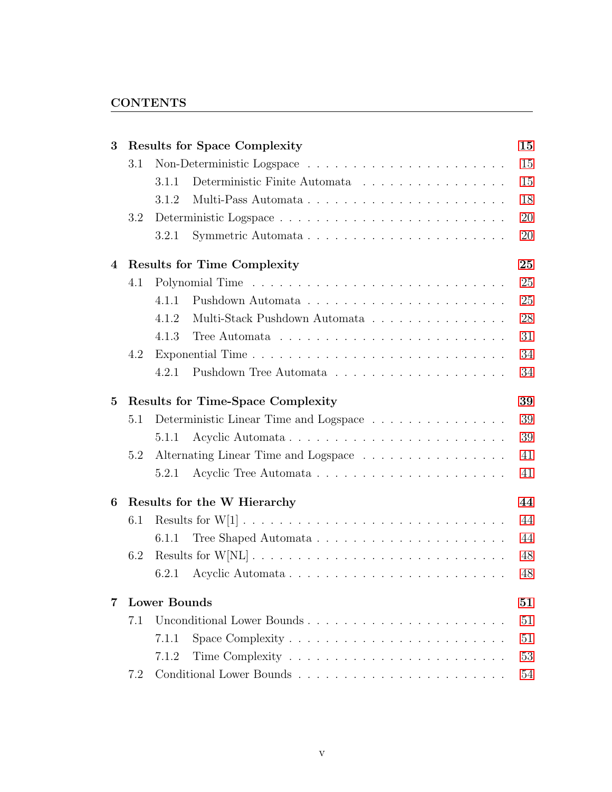#### **CONTENTS**

| 3        | <b>Results for Space Complexity</b>      |                                        |    |  |  |  |
|----------|------------------------------------------|----------------------------------------|----|--|--|--|
|          | 3.1                                      |                                        | 15 |  |  |  |
|          |                                          | Deterministic Finite Automata<br>3.1.1 | 15 |  |  |  |
|          |                                          | 3.1.2<br>Multi-Pass Automata           | 18 |  |  |  |
|          | 3.2                                      |                                        | 20 |  |  |  |
|          |                                          | 3.2.1                                  | 20 |  |  |  |
| 4        |                                          | <b>Results for Time Complexity</b>     |    |  |  |  |
|          | 4.1                                      |                                        | 25 |  |  |  |
|          |                                          | 4.1.1                                  | 25 |  |  |  |
|          |                                          | 4.1.2<br>Multi-Stack Pushdown Automata | 28 |  |  |  |
|          |                                          | 4.1.3                                  | 31 |  |  |  |
|          | 4.2                                      |                                        | 34 |  |  |  |
|          |                                          | 4.2.1                                  | 34 |  |  |  |
| $\bf{5}$ | <b>Results for Time-Space Complexity</b> |                                        |    |  |  |  |
|          | 5.1                                      | Deterministic Linear Time and Logspace | 39 |  |  |  |
|          |                                          | Acyclic Automata<br>5.1.1              | 39 |  |  |  |
|          | 5.2                                      | Alternating Linear Time and Logspace   | 41 |  |  |  |
|          |                                          | 5.2.1                                  | 41 |  |  |  |
| 6        |                                          | Results for the W Hierarchy            | 44 |  |  |  |
|          | 6.1                                      |                                        | 44 |  |  |  |
|          |                                          | 6.1.1                                  | 44 |  |  |  |
|          | 6.2                                      |                                        | 48 |  |  |  |
|          |                                          | 6.2.1 Acyclic Automata                 | 48 |  |  |  |
| 7        |                                          | <b>Lower Bounds</b>                    | 51 |  |  |  |
|          | 7.1                                      | Unconditional Lower Bounds             | 51 |  |  |  |
|          |                                          | 7.1.1                                  | 51 |  |  |  |
|          |                                          | 7.1.2                                  | 53 |  |  |  |
|          | 7.2                                      |                                        | 54 |  |  |  |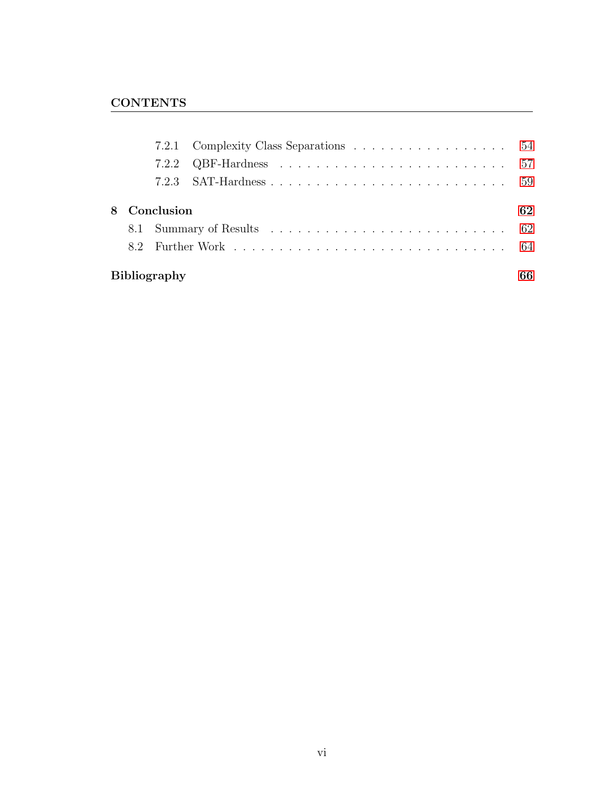|                     | 8 Conclusion |  |  |  |  |  |  |  |  |
|---------------------|--------------|--|--|--|--|--|--|--|--|
|                     |              |  |  |  |  |  |  |  |  |
|                     |              |  |  |  |  |  |  |  |  |
| <b>Bibliography</b> |              |  |  |  |  |  |  |  |  |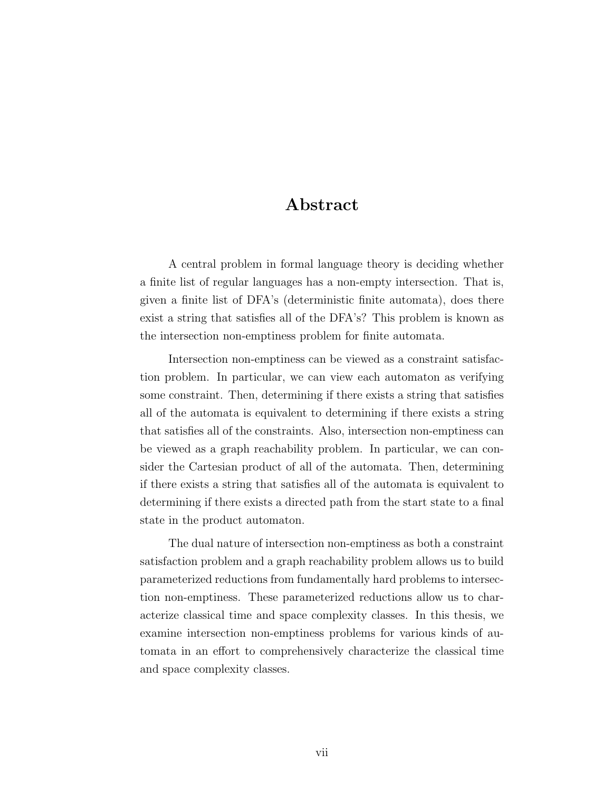## Abstract

<span id="page-6-0"></span>A central problem in formal language theory is deciding whether a finite list of regular languages has a non-empty intersection. That is, given a finite list of DFA's (deterministic finite automata), does there exist a string that satisfies all of the DFA's? This problem is known as the intersection non-emptiness problem for finite automata.

Intersection non-emptiness can be viewed as a constraint satisfaction problem. In particular, we can view each automaton as verifying some constraint. Then, determining if there exists a string that satisfies all of the automata is equivalent to determining if there exists a string that satisfies all of the constraints. Also, intersection non-emptiness can be viewed as a graph reachability problem. In particular, we can consider the Cartesian product of all of the automata. Then, determining if there exists a string that satisfies all of the automata is equivalent to determining if there exists a directed path from the start state to a final state in the product automaton.

The dual nature of intersection non-emptiness as both a constraint satisfaction problem and a graph reachability problem allows us to build parameterized reductions from fundamentally hard problems to intersection non-emptiness. These parameterized reductions allow us to characterize classical time and space complexity classes. In this thesis, we examine intersection non-emptiness problems for various kinds of automata in an effort to comprehensively characterize the classical time and space complexity classes.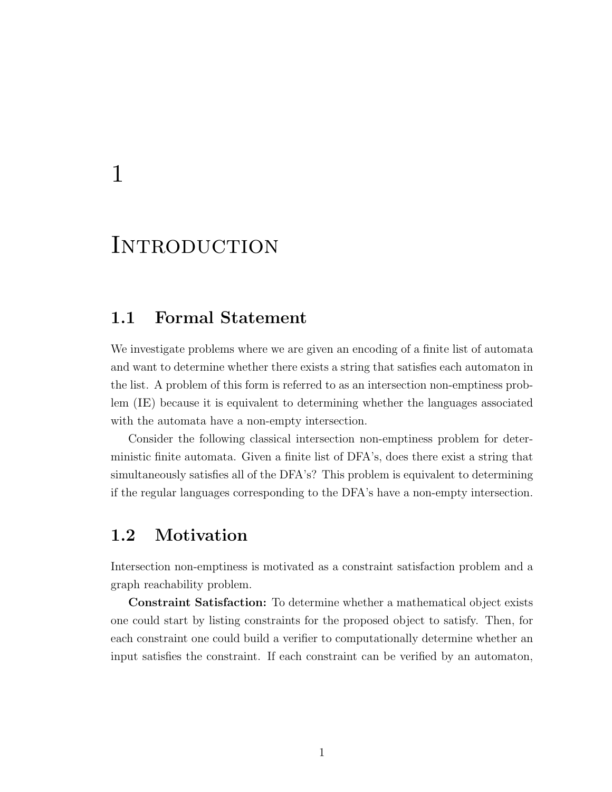# <span id="page-7-0"></span>1

# **INTRODUCTION**

## <span id="page-7-1"></span>1.1 Formal Statement

We investigate problems where we are given an encoding of a finite list of automata and want to determine whether there exists a string that satisfies each automaton in the list. A problem of this form is referred to as an intersection non-emptiness problem (IE) because it is equivalent to determining whether the languages associated with the automata have a non-empty intersection.

Consider the following classical intersection non-emptiness problem for deterministic finite automata. Given a finite list of DFA's, does there exist a string that simultaneously satisfies all of the DFA's? This problem is equivalent to determining if the regular languages corresponding to the DFA's have a non-empty intersection.

# <span id="page-7-2"></span>1.2 Motivation

Intersection non-emptiness is motivated as a constraint satisfaction problem and a graph reachability problem.

Constraint Satisfaction: To determine whether a mathematical object exists one could start by listing constraints for the proposed object to satisfy. Then, for each constraint one could build a verifier to computationally determine whether an input satisfies the constraint. If each constraint can be verified by an automaton,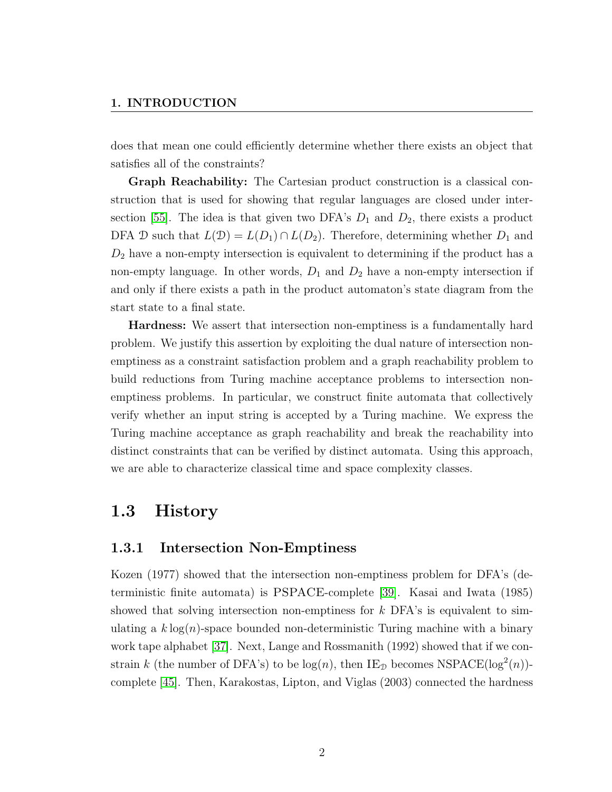does that mean one could efficiently determine whether there exists an object that satisfies all of the constraints?

Graph Reachability: The Cartesian product construction is a classical construction that is used for showing that regular languages are closed under inter-section [\[55\]](#page-78-0). The idea is that given two DFA's  $D_1$  and  $D_2$ , there exists a product DFA D such that  $L(\mathcal{D}) = L(D_1) \cap L(D_2)$ . Therefore, determining whether  $D_1$  and  $D_2$  have a non-empty intersection is equivalent to determining if the product has a non-empty language. In other words,  $D_1$  and  $D_2$  have a non-empty intersection if and only if there exists a path in the product automaton's state diagram from the start state to a final state.

Hardness: We assert that intersection non-emptiness is a fundamentally hard problem. We justify this assertion by exploiting the dual nature of intersection nonemptiness as a constraint satisfaction problem and a graph reachability problem to build reductions from Turing machine acceptance problems to intersection nonemptiness problems. In particular, we construct finite automata that collectively verify whether an input string is accepted by a Turing machine. We express the Turing machine acceptance as graph reachability and break the reachability into distinct constraints that can be verified by distinct automata. Using this approach, we are able to characterize classical time and space complexity classes.

### <span id="page-8-0"></span>1.3 History

#### <span id="page-8-1"></span>1.3.1 Intersection Non-Emptiness

Kozen (1977) showed that the intersection non-emptiness problem for DFA's (deterministic finite automata) is PSPACE-complete [\[39\]](#page-76-0). Kasai and Iwata (1985) showed that solving intersection non-emptiness for  $k$  DFA's is equivalent to simulating a  $k \log(n)$ -space bounded non-deterministic Turing machine with a binary work tape alphabet [\[37\]](#page-76-1). Next, Lange and Rossmanith (1992) showed that if we constrain k (the number of DFA's) to be  $log(n)$ , then IE<sub>D</sub> becomes NSPACE( $log<sup>2</sup>(n)$ )complete [\[45\]](#page-77-0). Then, Karakostas, Lipton, and Viglas (2003) connected the hardness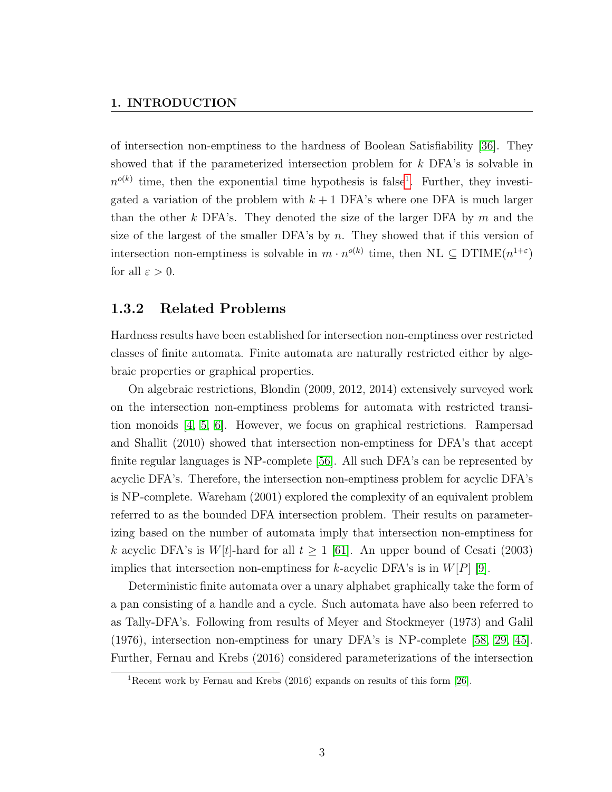of intersection non-emptiness to the hardness of Boolean Satisfiability [\[36\]](#page-76-2). They showed that if the parameterized intersection problem for k DFA's is solvable in  $n^{o(k)}$  time, then the exponential time hypothesis is false<sup>[1](#page-9-1)</sup>. Further, they investigated a variation of the problem with  $k + 1$  DFA's where one DFA is much larger than the other k DFA's. They denoted the size of the larger DFA by  $m$  and the size of the largest of the smaller DFA's by  $n$ . They showed that if this version of intersection non-emptiness is solvable in  $m \cdot n^{o(k)}$  time, then  $\text{NL} \subseteq \text{DTIME}(n^{1+\varepsilon})$ for all  $\varepsilon > 0$ .

#### <span id="page-9-0"></span>1.3.2 Related Problems

Hardness results have been established for intersection non-emptiness over restricted classes of finite automata. Finite automata are naturally restricted either by algebraic properties or graphical properties.

On algebraic restrictions, Blondin (2009, 2012, 2014) extensively surveyed work on the intersection non-emptiness problems for automata with restricted transition monoids [\[4,](#page-72-0) [5,](#page-72-1) [6\]](#page-72-2). However, we focus on graphical restrictions. Rampersad and Shallit (2010) showed that intersection non-emptiness for DFA's that accept finite regular languages is NP-complete [\[56\]](#page-78-1). All such DFA's can be represented by acyclic DFA's. Therefore, the intersection non-emptiness problem for acyclic DFA's is NP-complete. Wareham (2001) explored the complexity of an equivalent problem referred to as the bounded DFA intersection problem. Their results on parameterizing based on the number of automata imply that intersection non-emptiness for k acyclic DFA's is  $W[t]$ -hard for all  $t \ge 1$  [\[61\]](#page-78-2). An upper bound of Cesati (2003) implies that intersection non-emptiness for k-acyclic DFA's is in  $W[P]$  [\[9\]](#page-73-0).

Deterministic finite automata over a unary alphabet graphically take the form of a pan consisting of a handle and a cycle. Such automata have also been referred to as Tally-DFA's. Following from results of Meyer and Stockmeyer (1973) and Galil (1976), intersection non-emptiness for unary DFA's is NP-complete [\[58,](#page-78-3) [29,](#page-75-0) [45\]](#page-77-0). Further, Fernau and Krebs (2016) considered parameterizations of the intersection

<span id="page-9-1"></span><sup>&</sup>lt;sup>1</sup>Recent work by Fernau and Krebs  $(2016)$  expands on results of this form [\[26\]](#page-75-1).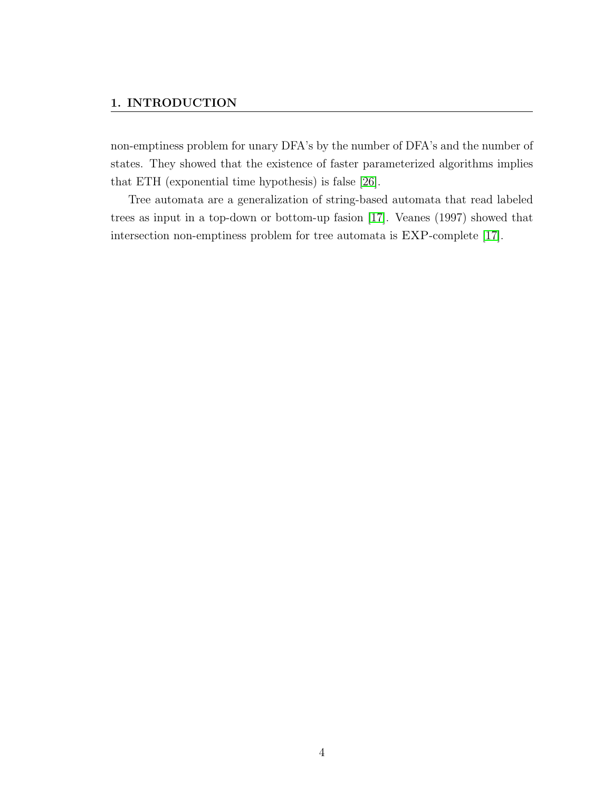non-emptiness problem for unary DFA's by the number of DFA's and the number of states. They showed that the existence of faster parameterized algorithms implies that ETH (exponential time hypothesis) is false [\[26\]](#page-75-1).

Tree automata are a generalization of string-based automata that read labeled trees as input in a top-down or bottom-up fasion [\[17\]](#page-74-0). Veanes (1997) showed that intersection non-emptiness problem for tree automata is EXP-complete [\[17\]](#page-74-0).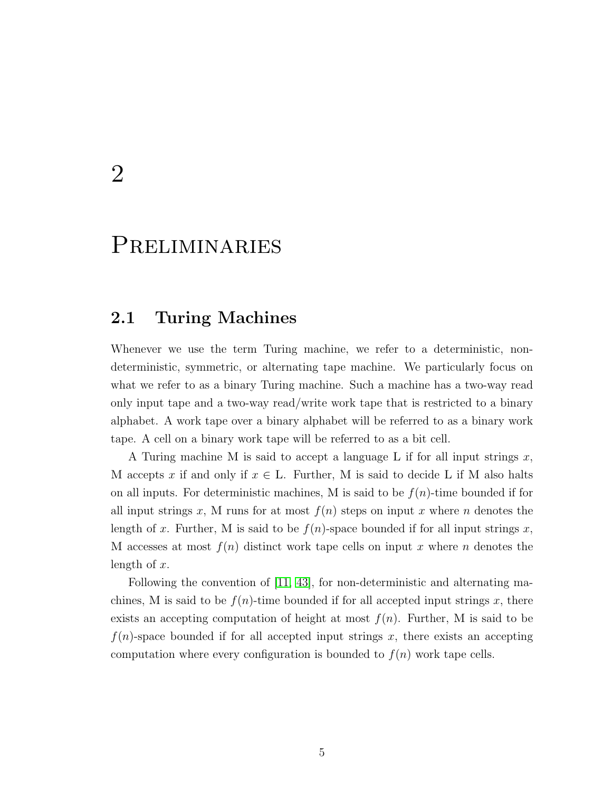# <span id="page-11-0"></span>2

# Preliminaries

## <span id="page-11-1"></span>2.1 Turing Machines

Whenever we use the term Turing machine, we refer to a deterministic, nondeterministic, symmetric, or alternating tape machine. We particularly focus on what we refer to as a binary Turing machine. Such a machine has a two-way read only input tape and a two-way read/write work tape that is restricted to a binary alphabet. A work tape over a binary alphabet will be referred to as a binary work tape. A cell on a binary work tape will be referred to as a bit cell.

A Turing machine M is said to accept a language L if for all input strings  $x$ , M accepts x if and only if  $x \in L$ . Further, M is said to decide L if M also halts on all inputs. For deterministic machines, M is said to be  $f(n)$ -time bounded if for all input strings x, M runs for at most  $f(n)$  steps on input x where n denotes the length of x. Further, M is said to be  $f(n)$ -space bounded if for all input strings x, M accesses at most  $f(n)$  distinct work tape cells on input x where n denotes the length of  $x$ .

<span id="page-11-2"></span>Following the convention of [\[11,](#page-73-1) [43\]](#page-76-3), for non-deterministic and alternating machines, M is said to be  $f(n)$ -time bounded if for all accepted input strings x, there exists an accepting computation of height at most  $f(n)$ . Further, M is said to be  $f(n)$ -space bounded if for all accepted input strings x, there exists an accepting computation where every configuration is bounded to  $f(n)$  work tape cells.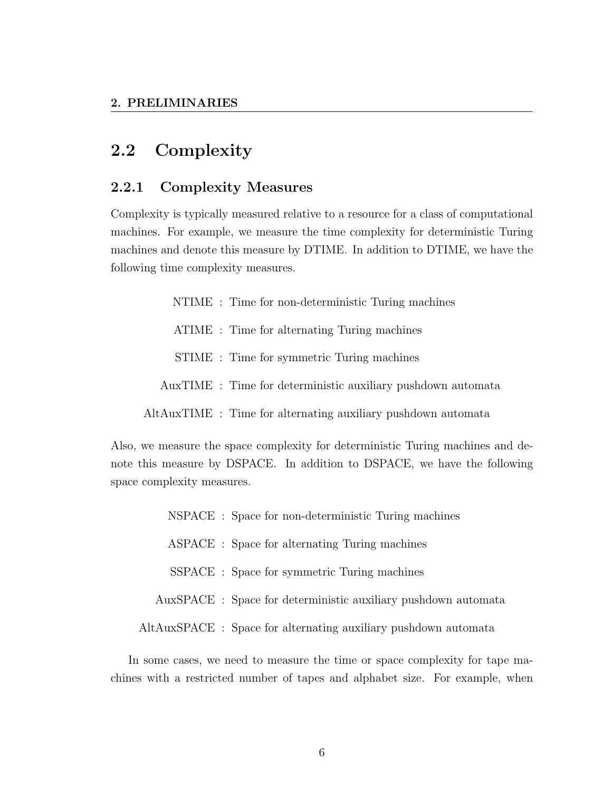# 2.2 Complexity

#### <span id="page-12-0"></span>2.2.1 Complexity Measures

Complexity is typically measured relative to a resource for a class of computational machines. For example, we measure the time complexity for deterministic Turing machines and denote this measure by DTIME. In addition to DTIME, we have the following time complexity measures.

- NTIME : Time for non-deterministic Turing machines
- ATIME : Time for alternating Turing machines
- STIME : Time for symmetric Turing machines
- AuxTIME : Time for deterministic auxiliary pushdown automata
- AltAuxTIME : Time for alternating auxiliary pushdown automata

Also, we measure the space complexity for deterministic Turing machines and denote this measure by DSPACE. In addition to DSPACE, we have the following space complexity measures.

NSPACE : Space for non-deterministic Turing machines ASPACE : Space for alternating Turing machines SSPACE : Space for symmetric Turing machines AuxSPACE : Space for deterministic auxiliary pushdown automata AltAuxSPACE : Space for alternating auxiliary pushdown automata

In some cases, we need to measure the time or space complexity for tape machines with a restricted number of tapes and alphabet size. For example, when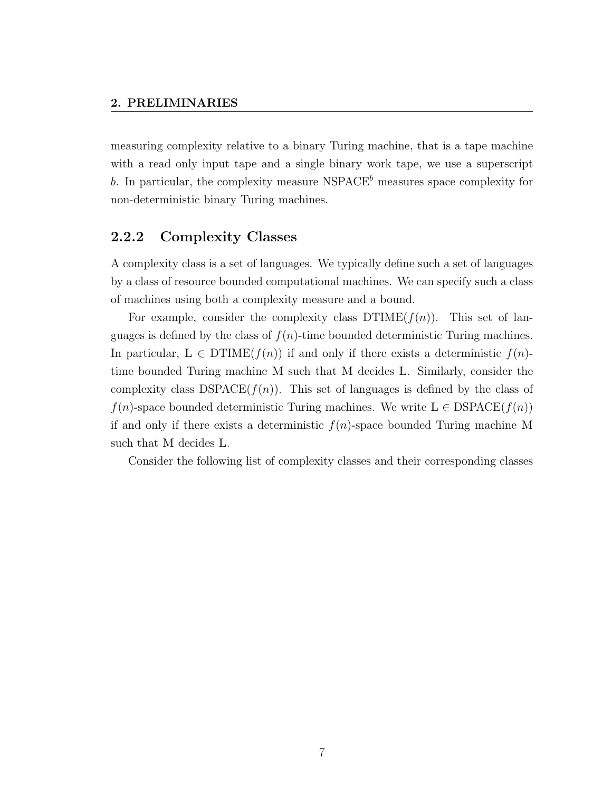measuring complexity relative to a binary Turing machine, that is a tape machine with a read only input tape and a single binary work tape, we use a superscript b. In particular, the complexity measure  $NSPACE<sup>b</sup>$  measures space complexity for non-deterministic binary Turing machines.

#### <span id="page-13-0"></span>2.2.2 Complexity Classes

A complexity class is a set of languages. We typically define such a set of languages by a class of resource bounded computational machines. We can specify such a class of machines using both a complexity measure and a bound.

For example, consider the complexity class  $DTIME(f(n))$ . This set of languages is defined by the class of  $f(n)$ -time bounded deterministic Turing machines. In particular,  $L \in \mathrm{DTIME}(f(n))$  if and only if there exists a deterministic  $f(n)$ time bounded Turing machine M such that M decides L. Similarly, consider the complexity class  $DSPACE(f(n))$ . This set of languages is defined by the class of  $f(n)$ -space bounded deterministic Turing machines. We write  $L \in DSPACE(f(n))$ if and only if there exists a deterministic  $f(n)$ -space bounded Turing machine M such that M decides L.

Consider the following list of complexity classes and their corresponding classes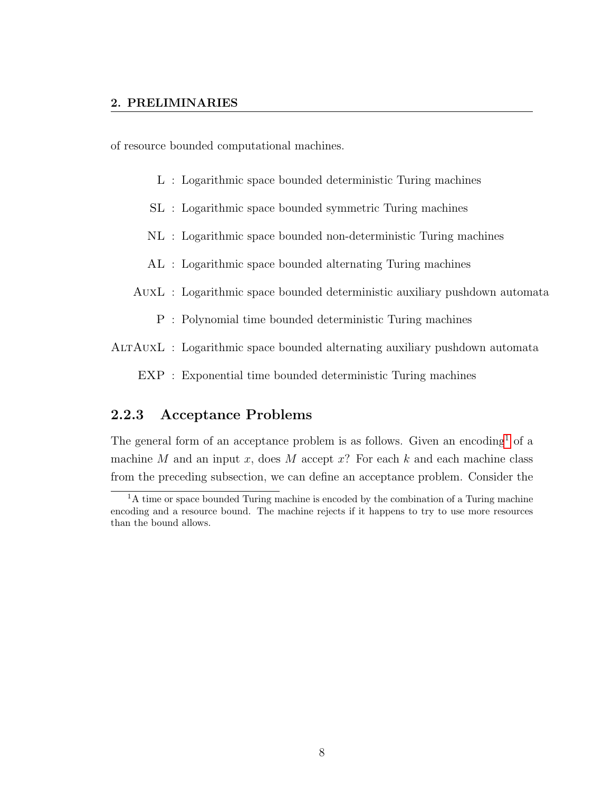of resource bounded computational machines.

- L : Logarithmic space bounded deterministic Turing machines
- SL : Logarithmic space bounded symmetric Turing machines
- NL : Logarithmic space bounded non-deterministic Turing machines
- AL : Logarithmic space bounded alternating Turing machines
- AuxL : Logarithmic space bounded deterministic auxiliary pushdown automata
	- P : Polynomial time bounded deterministic Turing machines

AltAuxL : Logarithmic space bounded alternating auxiliary pushdown automata

EXP : Exponential time bounded deterministic Turing machines

#### <span id="page-14-0"></span>2.2.3 Acceptance Problems

The general form of an acceptance problem is as follows. Given an encoding<sup>[1](#page-14-1)</sup> of a machine M and an input x, does M accept  $x$ ? For each k and each machine class from the preceding subsection, we can define an acceptance problem. Consider the

<span id="page-14-1"></span> ${}^{1}$ A time or space bounded Turing machine is encoded by the combination of a Turing machine encoding and a resource bound. The machine rejects if it happens to try to use more resources than the bound allows.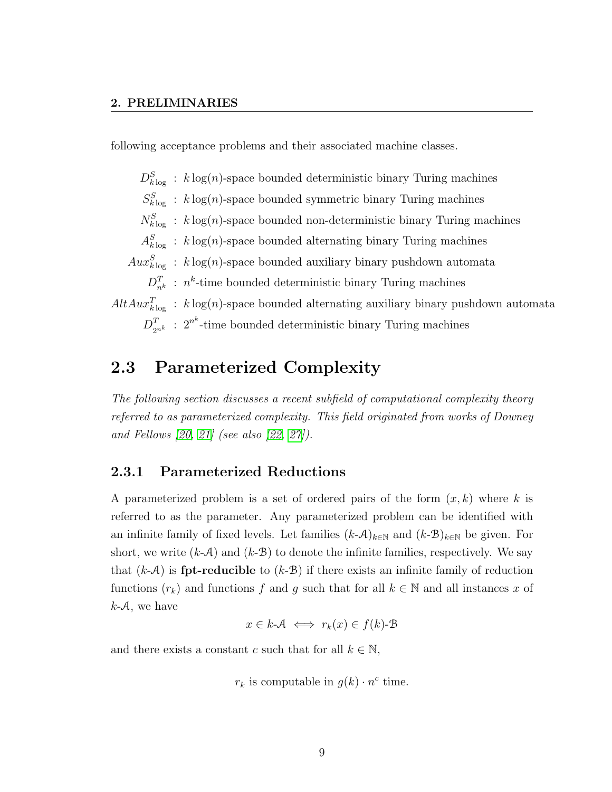following acceptance problems and their associated machine classes.

 $D_{k \log}^{S}$ :  $k \log(n)$ -space bounded deterministic binary Turing machines  $S_{k \log}^{S}$ :  $k \log(n)$ -space bounded symmetric binary Turing machines  $N_{k \log}^{S}$ : k log(n)-space bounded non-deterministic binary Turing machines  $A_{k \log}^{S}$ :  $k \log(n)$ -space bounded alternating binary Turing machines  $Aux_{k\log}^S$ :  $k\log(n)$ -space bounded auxiliary binary pushdown automata  $D_{n^k}^T$ :  $n^k$ -time bounded deterministic binary Turing machines  $AltAux_{k\log}^T$ :  $k\log(n)$ -space bounded alternating auxiliary binary pushdown automata  $D_{2^{n^k}}^T$ :  $2^{n^k}$ -time bounded deterministic binary Turing machines

## <span id="page-15-0"></span>2.3 Parameterized Complexity

The following section discusses a recent subfield of computational complexity theory referred to as parameterized complexity. This field originated from works of Downey and Fellows [\[20,](#page-74-1) [21\]](#page-74-2) (see also [\[22,](#page-74-3) [27\]](#page-75-2)).

#### <span id="page-15-1"></span>2.3.1 Parameterized Reductions

A parameterized problem is a set of ordered pairs of the form  $(x, k)$  where k is referred to as the parameter. Any parameterized problem can be identified with an infinite family of fixed levels. Let families  $(k-\mathcal{A})_{k\in\mathbb{N}}$  and  $(k-\mathcal{B})_{k\in\mathbb{N}}$  be given. For short, we write  $(k-A)$  and  $(k-B)$  to denote the infinite families, respectively. We say that  $(k-A)$  is **fpt-reducible** to  $(k-B)$  if there exists an infinite family of reduction functions  $(r_k)$  and functions f and g such that for all  $k \in \mathbb{N}$  and all instances x of  $k-A$ , we have

$$
x \in k \mathcal{A} \iff r_k(x) \in f(k) \mathcal{B}
$$

and there exists a constant c such that for all  $k \in \mathbb{N}$ ,

$$
r_k
$$
 is computable in  $g(k) \cdot n^c$  time.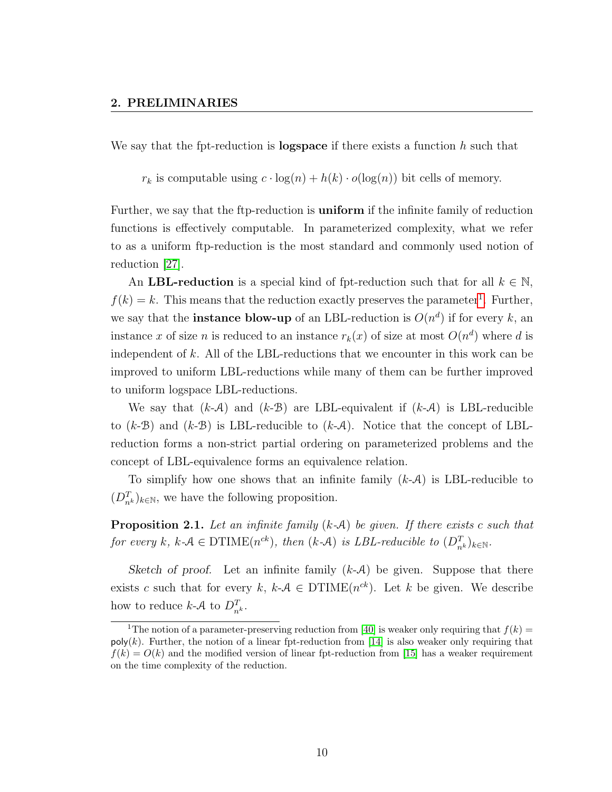We say that the fpt-reduction is **logspace** if there exists a function  $h$  such that

 $r_k$  is computable using  $c \cdot \log(n) + h(k) \cdot o(\log(n))$  bit cells of memory.

Further, we say that the ftp-reduction is uniform if the infinite family of reduction functions is effectively computable. In parameterized complexity, what we refer to as a uniform ftp-reduction is the most standard and commonly used notion of reduction [\[27\]](#page-75-2).

An LBL-reduction is a special kind of fpt-reduction such that for all  $k \in \mathbb{N}$ ,  $f(k) = k$ . This means that the reduction exactly preserves the parameter<sup>[1](#page-16-0)</sup>. Further, we say that the **instance blow-up** of an LBL-reduction is  $O(n^d)$  if for every k, an instance x of size n is reduced to an instance  $r_k(x)$  of size at most  $O(n^d)$  where d is independent of  $k$ . All of the LBL-reductions that we encounter in this work can be improved to uniform LBL-reductions while many of them can be further improved to uniform logspace LBL-reductions.

We say that  $(k-A)$  and  $(k-B)$  are LBL-equivalent if  $(k-A)$  is LBL-reducible to  $(k-B)$  and  $(k-B)$  is LBL-reducible to  $(k-A)$ . Notice that the concept of LBLreduction forms a non-strict partial ordering on parameterized problems and the concept of LBL-equivalence forms an equivalence relation.

To simplify how one shows that an infinite family  $(k-A)$  is LBL-reducible to  $(D_{n^k}^T)_{k \in \mathbb{N}}$ , we have the following proposition.

**Proposition 2.1.** Let an infinite family  $(k-A)$  be given. If there exists c such that for every k, k-A  $\in$  DTIME $(n^{ck})$ , then  $(k \text{-} A)$  is LBL-reducible to  $(D_{n^k}^T)_{k \in \mathbb{N}}$ .

Sketch of proof. Let an infinite family  $(k-A)$  be given. Suppose that there exists c such that for every  $k, k \in \mathcal{A} \in \mathrm{DTIME}(n^{ck})$ . Let k be given. We describe how to reduce  $k\text{-}A$  to  $D_{n^k}^T$ .

<span id="page-16-0"></span><sup>&</sup>lt;sup>1</sup>The notion of a parameter-preserving reduction from [\[40\]](#page-76-4) is weaker only requiring that  $f(k)$  =  $\text{poly}(k)$ . Further, the notion of a linear fpt-reduction from [\[14\]](#page-73-2) is also weaker only requiring that  $f(k) = O(k)$  and the modified version of linear fpt-reduction from [\[15\]](#page-73-3) has a weaker requirement on the time complexity of the reduction.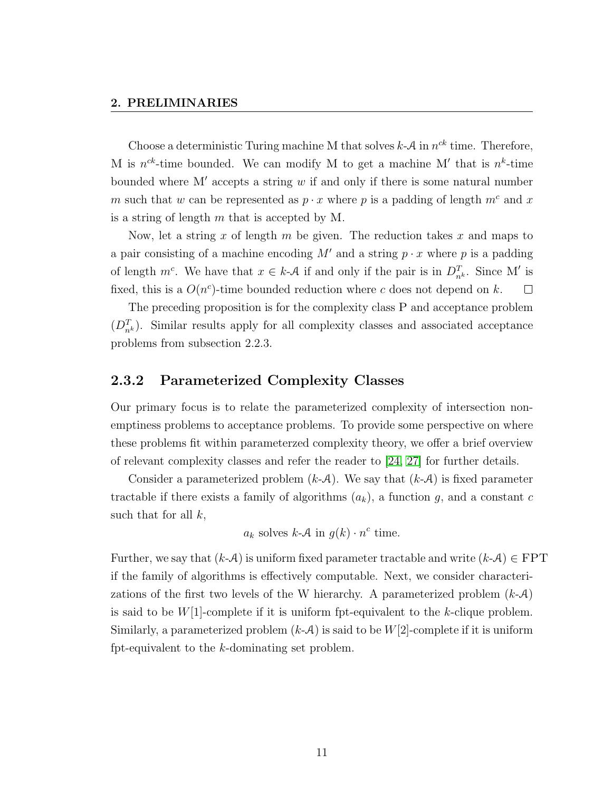#### 2. PRELIMINARIES

Choose a deterministic Turing machine M that solves  $k - A$  in  $n^{ck}$  time. Therefore, M is  $n^{ck}$ -time bounded. We can modify M to get a machine M' that is  $n^k$ -time bounded where  $M'$  accepts a string w if and only if there is some natural number m such that w can be represented as  $p \cdot x$  where p is a padding of length  $m^c$  and x is a string of length  $m$  that is accepted by M.

Now, let a string x of length  $m$  be given. The reduction takes  $x$  and maps to a pair consisting of a machine encoding  $M'$  and a string  $p \cdot x$  where p is a padding of length  $m^c$ . We have that  $x \in k\text{-}A$  if and only if the pair is in  $D_{n^k}^T$ . Since M' is fixed, this is a  $O(n^c)$ -time bounded reduction where c does not depend on k.  $\Box$ 

The preceding proposition is for the complexity class P and acceptance problem  $(D_{n^k}^T)$ . Similar results apply for all complexity classes and associated acceptance problems from subsection 2.2.3.

#### <span id="page-17-0"></span>2.3.2 Parameterized Complexity Classes

Our primary focus is to relate the parameterized complexity of intersection nonemptiness problems to acceptance problems. To provide some perspective on where these problems fit within parameterzed complexity theory, we offer a brief overview of relevant complexity classes and refer the reader to [\[24,](#page-74-4) [27\]](#page-75-2) for further details.

Consider a parameterized problem  $(k-A)$ . We say that  $(k-A)$  is fixed parameter tractable if there exists a family of algorithms  $(a_k)$ , a function g, and a constant c such that for all  $k$ ,

 $a_k$  solves  $k\text{-}A$  in  $g(k) \cdot n^c$  time.

Further, we say that  $(k-A)$  is uniform fixed parameter tractable and write  $(k-A) \in \text{FPT}$ if the family of algorithms is effectively computable. Next, we consider characterizations of the first two levels of the W hierarchy. A parameterized problem  $(k-\mathcal{A})$ is said to be  $W[1]$ -complete if it is uniform fpt-equivalent to the k-clique problem. Similarly, a parameterized problem  $(k-A)$  is said to be  $W[2]$ -complete if it is uniform fpt-equivalent to the k-dominating set problem.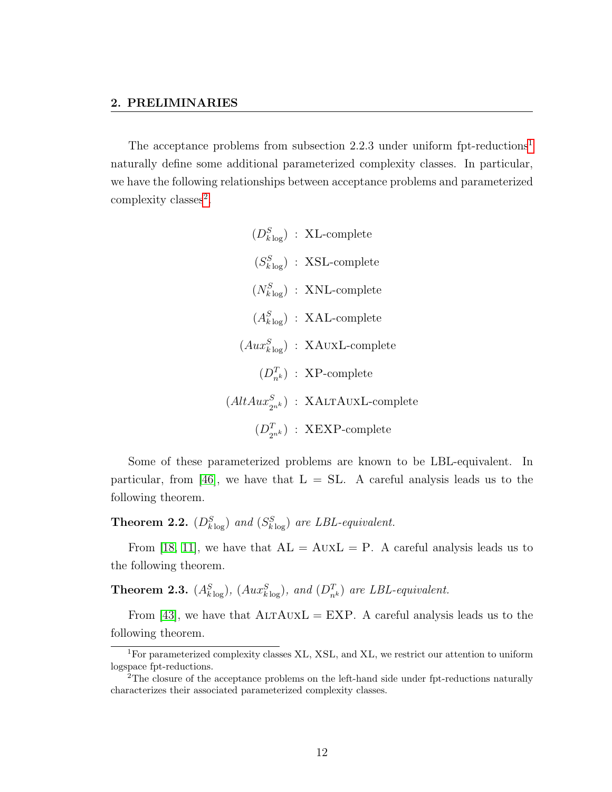The acceptance problems from subsection 2.2.3 under uniform fpt-reductions<sup>[1](#page-18-0)</sup> naturally define some additional parameterized complexity classes. In particular, we have the following relationships between acceptance problems and parameterized complexity classes<sup>[2](#page-18-1)</sup>.

> $(D_{k \log}^S)$ : XL-complete  $(S_{k \log}^S)$ : XSL-complete  $(N_{klog}^S)$ : XNL-complete  $(A_{k \log}^S)$  : XAL-complete  $(Aux_{klog}^S)$ : XAUXL-complete  $(D_{n^k}^T)$ : XP-complete  $(AltAux_{2^{nk}}^S)$  : XALTAUXL-complete  $(D_{2^{n^k}}^T)$  : XEXP-complete

Some of these parameterized problems are known to be LBL-equivalent. In particular, from [\[46\]](#page-77-1), we have that  $L = SL$ . A careful analysis leads us to the following theorem.

**Theorem 2.2.**  $(D_{klog}^S)$  and  $(S_{klog}^S)$  are LBL-equivalent.

From [\[18,](#page-74-5) [11\]](#page-73-1), we have that  $AL = AuxL = P$ . A careful analysis leads us to the following theorem.

**Theorem 2.3.**  $(A_{k\log}^S)$ ,  $(Aux_{k\log}^S)$ , and  $(D_{n^k}^T)$  are LBL-equivalent.

From [\[43\]](#page-76-3), we have that  $ALTAUXL = EXP$ . A careful analysis leads us to the following theorem.

<span id="page-18-0"></span><sup>1</sup>For parameterized complexity classes XL, XSL, and XL, we restrict our attention to uniform logspace fpt-reductions.

<span id="page-18-1"></span><sup>&</sup>lt;sup>2</sup>The closure of the acceptance problems on the left-hand side under fpt-reductions naturally characterizes their associated parameterized complexity classes.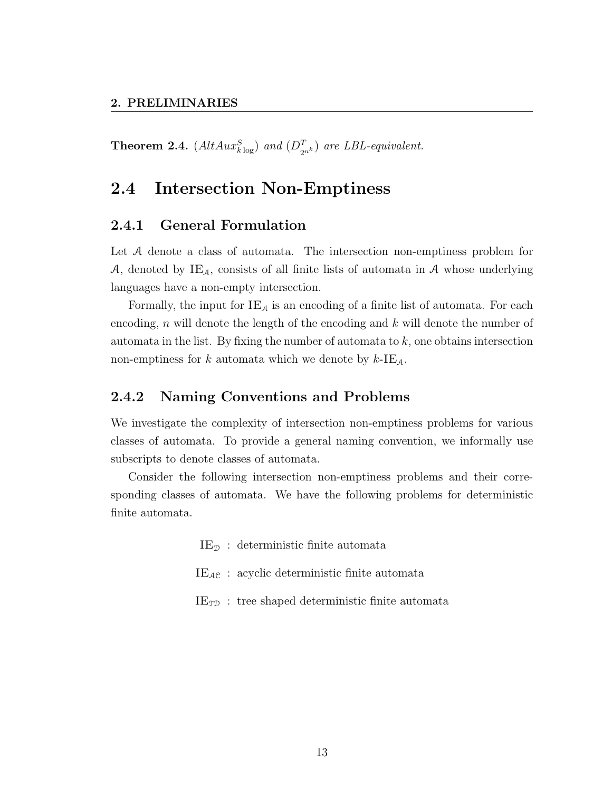**Theorem 2.4.**  $(AltAux_{klog}^S)$  and  $(D_{2^{nk}}^T)$  are LBL-equivalent.

# <span id="page-19-0"></span>2.4 Intersection Non-Emptiness

#### <span id="page-19-1"></span>2.4.1 General Formulation

Let A denote a class of automata. The intersection non-emptiness problem for A, denoted by  $IE_A$ , consists of all finite lists of automata in A whose underlying languages have a non-empty intersection.

Formally, the input for  $IE_A$  is an encoding of a finite list of automata. For each encoding,  $n$  will denote the length of the encoding and  $k$  will denote the number of automata in the list. By fixing the number of automata to  $k$ , one obtains intersection non-emptiness for k automata which we denote by  $k$ -IE<sub>A</sub>.

#### <span id="page-19-2"></span>2.4.2 Naming Conventions and Problems

We investigate the complexity of intersection non-emptiness problems for various classes of automata. To provide a general naming convention, we informally use subscripts to denote classes of automata.

Consider the following intersection non-emptiness problems and their corresponding classes of automata. We have the following problems for deterministic finite automata.

 $IE_{\mathcal{D}}$ : deterministic finite automata

- $IE_{AC}$ : acyclic deterministic finite automata
- $IE_{\mathcal{TD}}$ : tree shaped deterministic finite automata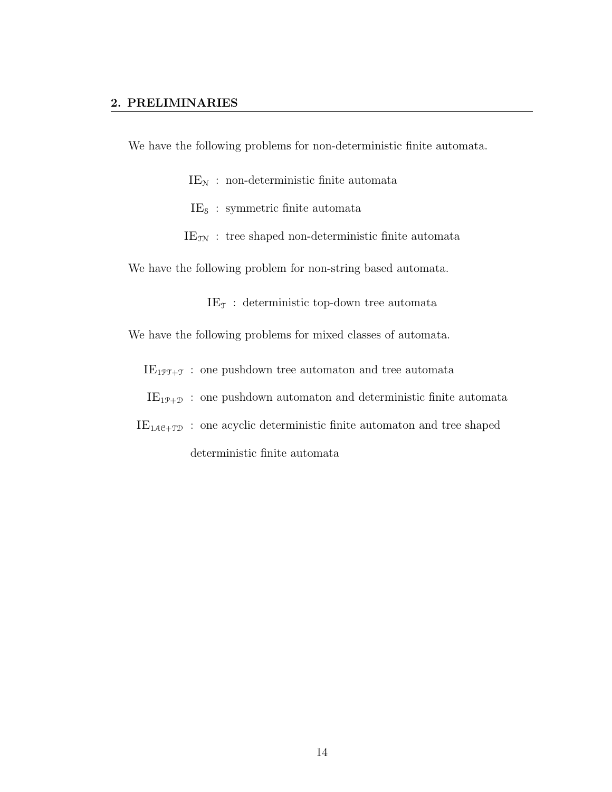We have the following problems for non-deterministic finite automata.

 $IE<sub>N</sub>$ : non-deterministic finite automata

 $IE_{\delta}$ : symmetric finite automata

 $IE_{\text{TN}}$ : tree shaped non-deterministic finite automata

We have the following problem for non-string based automata.

 $IE<sub>T</sub>$ : deterministic top-down tree automata

We have the following problems for mixed classes of automata.

 $IE_{1\mathcal{PT}+\mathcal{T}}$ : one pushdown tree automaton and tree automata

 $IE_{1P+D}$ : one pushdown automaton and deterministic finite automata

 $\mathrm{IE}_{1\mathcal{A}\mathcal{C}+\mathcal{T}\mathcal{D}}\,$  : one acyclic deterministic finite automaton and tree shaped deterministic finite automata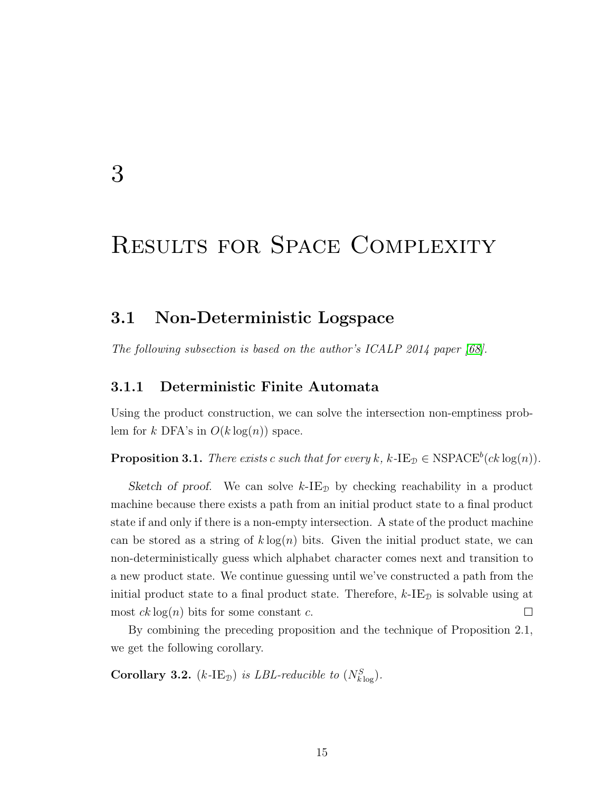# <span id="page-21-0"></span>3

# Results for Space Complexity

### <span id="page-21-1"></span>3.1 Non-Deterministic Logspace

<span id="page-21-2"></span>The following subsection is based on the author's ICALP 2014 paper [\[68\]](#page-79-0).

#### 3.1.1 Deterministic Finite Automata

Using the product construction, we can solve the intersection non-emptiness problem for k DFA's in  $O(k \log(n))$  space.

**Proposition 3.1.** There exists c such that for every k,  $k$ -IE<sub>D</sub>  $\in$  NSPACE<sup>b</sup>(ck log(n)).

Sketch of proof. We can solve  $k$ -IE<sub>D</sub> by checking reachability in a product machine because there exists a path from an initial product state to a final product state if and only if there is a non-empty intersection. A state of the product machine can be stored as a string of  $k \log(n)$  bits. Given the initial product state, we can non-deterministically guess which alphabet character comes next and transition to a new product state. We continue guessing until we've constructed a path from the initial product state to a final product state. Therefore,  $k$ -IE<sub>D</sub> is solvable using at  $\Box$ most  $ck \log(n)$  bits for some constant c.

By combining the preceding proposition and the technique of Proposition 2.1, we get the following corollary.

Corollary 3.2. (k-IE<sub>D</sub>) is LBL-reducible to  $(N_{k\log}^S)$ .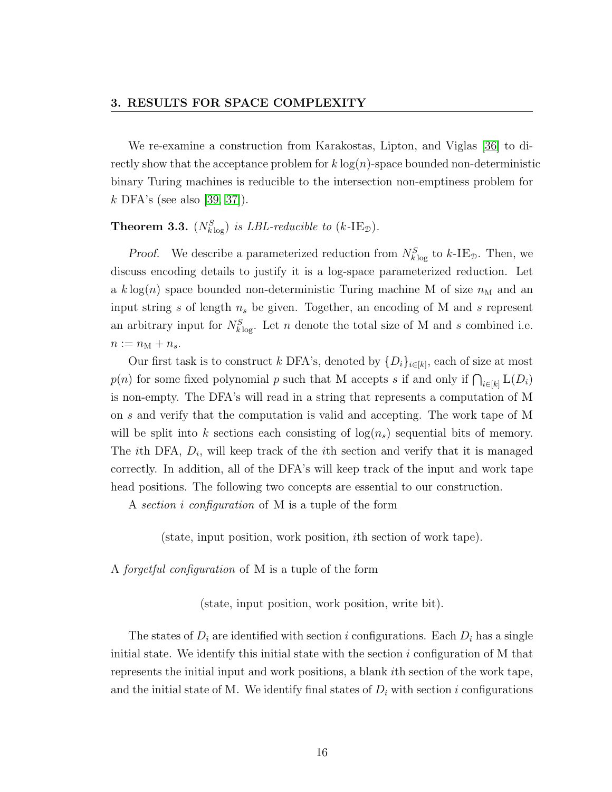We re-examine a construction from Karakostas, Lipton, and Viglas [\[36\]](#page-76-2) to directly show that the acceptance problem for  $k \log(n)$ -space bounded non-deterministic binary Turing machines is reducible to the intersection non-emptiness problem for k DFA's (see also [\[39,](#page-76-0) [37\]](#page-76-1)).

## **Theorem 3.3.**  $(N_{k\log}^S)$  is LBL-reducible to  $(k\text{-IE}_\mathfrak{D})$ .

*Proof.* We describe a parameterized reduction from  $N_{k \log}^{S}$  to  $k$ -IE<sub>D</sub>. Then, we discuss encoding details to justify it is a log-space parameterized reduction. Let a k log(n) space bounded non-deterministic Turing machine M of size  $n<sub>M</sub>$  and an input string s of length  $n_s$  be given. Together, an encoding of M and s represent an arbitrary input for  $N_{klog}^S$ . Let n denote the total size of M and s combined i.e.  $n := n_{\text{M}} + n_s.$ 

Our first task is to construct k DFA's, denoted by  $\{D_i\}_{i\in[k]}$ , each of size at most  $p(n)$  for some fixed polynomial p such that M accepts s if and only if  $\bigcap_{i\in[k]} L(D_i)$ is non-empty. The DFA's will read in a string that represents a computation of M on s and verify that the computation is valid and accepting. The work tape of M will be split into k sections each consisting of  $log(n_s)$  sequential bits of memory. The *i*th DFA,  $D_i$ , will keep track of the *i*th section and verify that it is managed correctly. In addition, all of the DFA's will keep track of the input and work tape head positions. The following two concepts are essential to our construction.

A section i configuration of M is a tuple of the form

(state, input position, work position, ith section of work tape).

A forgetful configuration of M is a tuple of the form

(state, input position, work position, write bit).

The states of  $D_i$  are identified with section i configurations. Each  $D_i$  has a single initial state. We identify this initial state with the section  $i$  configuration of M that represents the initial input and work positions, a blank ith section of the work tape, and the initial state of M. We identify final states of  $D_i$  with section i configurations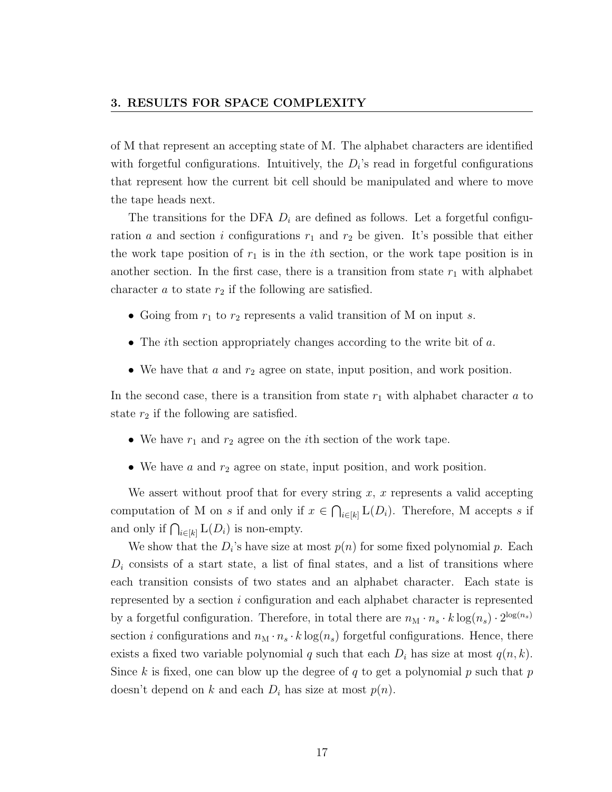of M that represent an accepting state of M. The alphabet characters are identified with forgetful configurations. Intuitively, the  $D_i$ 's read in forgetful configurations that represent how the current bit cell should be manipulated and where to move the tape heads next.

The transitions for the DFA  $D_i$  are defined as follows. Let a forgetful configuration a and section i configurations  $r_1$  and  $r_2$  be given. It's possible that either the work tape position of  $r_1$  is in the *i*th section, or the work tape position is in another section. In the first case, there is a transition from state  $r_1$  with alphabet character  $a$  to state  $r_2$  if the following are satisfied.

- Going from  $r_1$  to  $r_2$  represents a valid transition of M on input s.
- The ith section appropriately changes according to the write bit of  $a$ .
- We have that a and  $r_2$  agree on state, input position, and work position.

In the second case, there is a transition from state  $r_1$  with alphabet character a to state  $r_2$  if the following are satisfied.

- We have  $r_1$  and  $r_2$  agree on the *i*th section of the work tape.
- We have  $a$  and  $r_2$  agree on state, input position, and work position.

We assert without proof that for every string  $x, x$  represents a valid accepting computation of M on s if and only if  $x \in \bigcap_{i \in [k]} L(D_i)$ . Therefore, M accepts s if and only if  $\bigcap_{i\in[k]} L(D_i)$  is non-empty.

We show that the  $D_i$ 's have size at most  $p(n)$  for some fixed polynomial p. Each  $D_i$  consists of a start state, a list of final states, and a list of transitions where each transition consists of two states and an alphabet character. Each state is represented by a section i configuration and each alphabet character is represented by a forgetful configuration. Therefore, in total there are  $n_M \cdot n_s \cdot k \log(n_s) \cdot 2^{\log(n_s)}$ section *i* configurations and  $n_M \cdot n_s \cdot k \log(n_s)$  forgetful configurations. Hence, there exists a fixed two variable polynomial q such that each  $D_i$  has size at most  $q(n, k)$ . Since k is fixed, one can blow up the degree of q to get a polynomial p such that p doesn't depend on k and each  $D_i$  has size at most  $p(n)$ .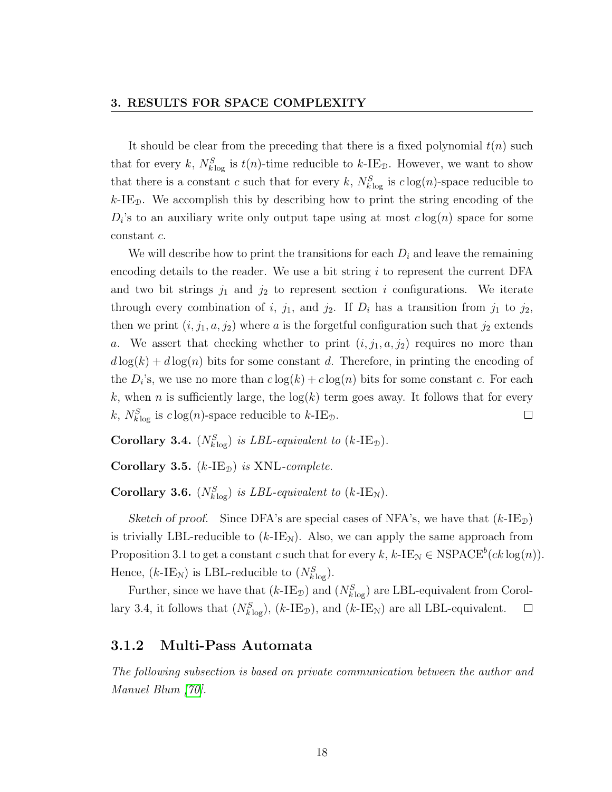It should be clear from the preceding that there is a fixed polynomial  $t(n)$  such that for every k,  $N_{k\log}^{S}$  is  $t(n)$ -time reducible to k-IE<sub>D</sub>. However, we want to show that there is a constant c such that for every k,  $N_{k\log}^{S}$  is  $c\log(n)$ -space reducible to  $k$ -IE<sub>D</sub>. We accomplish this by describing how to print the string encoding of the  $D_i$ 's to an auxiliary write only output tape using at most  $c \log(n)$  space for some constant c.

We will describe how to print the transitions for each  $D_i$  and leave the remaining encoding details to the reader. We use a bit string  $i$  to represent the current DFA and two bit strings  $j_1$  and  $j_2$  to represent section i configurations. We iterate through every combination of i,  $j_1$ , and  $j_2$ . If  $D_i$  has a transition from  $j_1$  to  $j_2$ , then we print  $(i, j_1, a, j_2)$  where a is the forgetful configuration such that  $j_2$  extends a. We assert that checking whether to print  $(i, j_1, a, j_2)$  requires no more than  $d \log(k) + d \log(n)$  bits for some constant d. Therefore, in printing the encoding of the  $D_i$ 's, we use no more than  $c \log(k) + c \log(n)$  bits for some constant c. For each k, when n is sufficiently large, the  $log(k)$  term goes away. It follows that for every k,  $N_{k\log}^{S}$  is  $c\log(n)$ -space reducible to k-IE<sub>D</sub>.  $\Box$ 

Corollary 3.4.  $(N_{k \log}^S)$  is LBL-equivalent to  $(k\text{-IE}_\mathcal{D})$ .

Corollary 3.5.  $(k$ -IE<sub>D</sub>) is XNL-complete.

Corollary 3.6.  $(N_{k \log}^S)$  is LBL-equivalent to  $(k\text{-IE}_N)$ .

Sketch of proof. Since DFA's are special cases of NFA's, we have that  $(k\text{-}IE_{\mathcal{D}})$ is trivially LBL-reducible to  $(k\text{-IE}_N)$ . Also, we can apply the same approach from Proposition 3.1 to get a constant c such that for every  $k, k$ -IE<sub>N</sub>  $\in$  NSPACE<sup>b</sup>(ck log(n)). Hence,  $(k\text{-IE}_N)$  is LBL-reducible to  $(N_{k\log}^S)$ .

Further, since we have that  $(k\text{-IE}_\mathcal{D})$  and  $(N_{k\log}^S)$  are LBL-equivalent from Corollary 3.4, it follows that  $(N_{klog}^S)$ ,  $(k\text{-IE}_\mathfrak{D})$ , and  $(k\text{-IE}_N)$  are all LBL-equivalent.  $\Box$ 

#### <span id="page-24-0"></span>3.1.2 Multi-Pass Automata

The following subsection is based on private communication between the author and Manuel Blum [\[70\]](#page-79-1).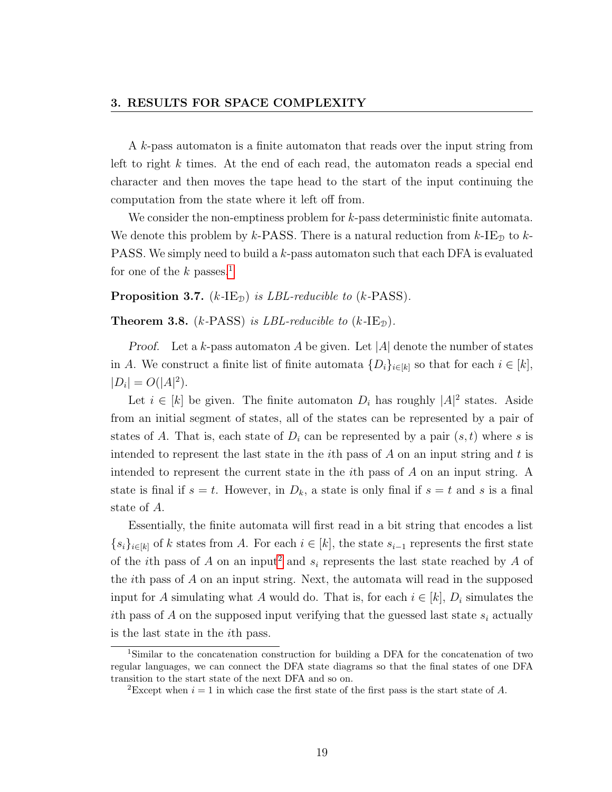A k-pass automaton is a finite automaton that reads over the input string from left to right k times. At the end of each read, the automaton reads a special end character and then moves the tape head to the start of the input continuing the computation from the state where it left off from.

We consider the non-emptiness problem for k-pass deterministic finite automata. We denote this problem by k-PASS. There is a natural reduction from  $k$ -IE<sub>D</sub> to k-PASS. We simply need to build a k-pass automaton such that each DFA is evaluated for one of the k passes.<sup>[1](#page-25-0)</sup>

**Proposition 3.7.** ( $k$ -IE<sub>D</sub>) is *LBL-reducible to* ( $k$ -PASS).

**Theorem 3.8.** (k-PASS) is LBL-reducible to  $(k$ -IE<sub>D</sub>).

*Proof.* Let a k-pass automaton A be given. Let |A| denote the number of states in A. We construct a finite list of finite automata  $\{D_i\}_{i\in[k]}$  so that for each  $i\in[k]$ ,  $|D_i| = O(|A|^2).$ 

Let  $i \in [k]$  be given. The finite automaton  $D_i$  has roughly  $|A|^2$  states. Aside from an initial segment of states, all of the states can be represented by a pair of states of A. That is, each state of  $D_i$  can be represented by a pair  $(s, t)$  where s is intended to represent the last state in the *i*th pass of  $A$  on an input string and  $t$  is intended to represent the current state in the ith pass of A on an input string. A state is final if  $s = t$ . However, in  $D_k$ , a state is only final if  $s = t$  and s is a final state of A.

Essentially, the finite automata will first read in a bit string that encodes a list  ${s_i}_{i\in[k]}$  of k states from A. For each  $i \in [k]$ , the state  $s_{i-1}$  represents the first state of the *i*th pass of A on an input<sup>[2](#page-25-1)</sup> and  $s_i$  represents the last state reached by A of the ith pass of A on an input string. Next, the automata will read in the supposed input for A simulating what A would do. That is, for each  $i \in [k]$ ,  $D_i$  simulates the ith pass of A on the supposed input verifying that the guessed last state  $s_i$  actually is the last state in the ith pass.

<span id="page-25-0"></span><sup>1</sup>Similar to the concatenation construction for building a DFA for the concatenation of two regular languages, we can connect the DFA state diagrams so that the final states of one DFA transition to the start state of the next DFA and so on.

<span id="page-25-1"></span><sup>&</sup>lt;sup>2</sup>Except when  $i = 1$  in which case the first state of the first pass is the start state of A.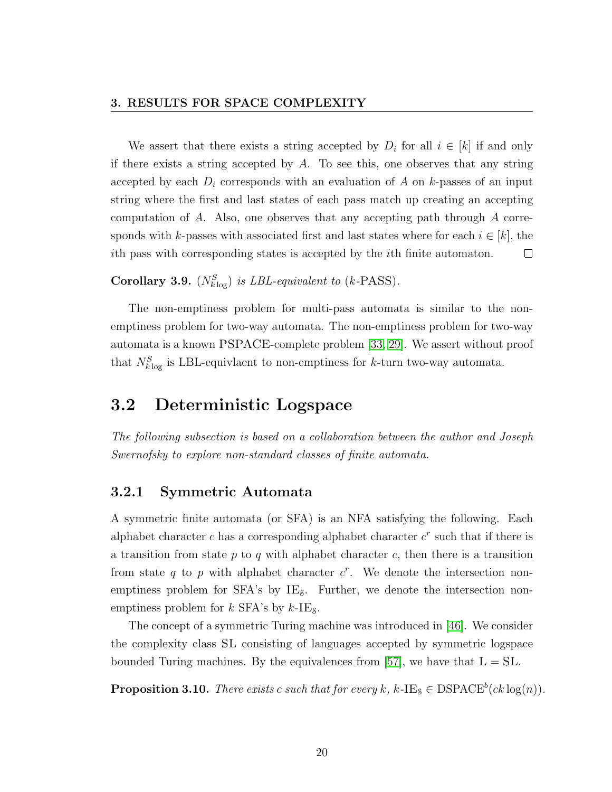We assert that there exists a string accepted by  $D_i$  for all  $i \in [k]$  if and only if there exists a string accepted by A. To see this, one observes that any string accepted by each  $D_i$  corresponds with an evaluation of A on k-passes of an input string where the first and last states of each pass match up creating an accepting computation of A. Also, one observes that any accepting path through A corresponds with k-passes with associated first and last states where for each  $i \in [k]$ , the ith pass with corresponding states is accepted by the ith finite automaton.  $\Box$ 

Corollary 3.9.  $(N_{k \log}^S)$  is LBL-equivalent to (k-PASS).

The non-emptiness problem for multi-pass automata is similar to the nonemptiness problem for two-way automata. The non-emptiness problem for two-way automata is a known PSPACE-complete problem [\[33,](#page-75-3) [29\]](#page-75-0). We assert without proof that  $N_{k\log}^S$  is LBL-equivlaent to non-emptiness for k-turn two-way automata.

## <span id="page-26-0"></span>3.2 Deterministic Logspace

The following subsection is based on a collaboration between the author and Joseph Swernofsky to explore non-standard classes of finite automata.

#### <span id="page-26-1"></span>3.2.1 Symmetric Automata

A symmetric finite automata (or SFA) is an NFA satisfying the following. Each alphabet character  $c$  has a corresponding alphabet character  $c<sup>r</sup>$  such that if there is a transition from state  $p$  to  $q$  with alphabet character  $c$ , then there is a transition from state q to p with alphabet character  $c^r$ . We denote the intersection nonemptiness problem for  $SFA$ 's by  $IE_8$ . Further, we denote the intersection nonemptiness problem for  $k$  SFA's by  $k$ -IE<sub>s</sub>.

The concept of a symmetric Turing machine was introduced in [\[46\]](#page-77-1). We consider the complexity class SL consisting of languages accepted by symmetric logspace bounded Turing machines. By the equivalences from [\[57\]](#page-78-4), we have that  $L = SL$ .

**Proposition 3.10.** There exists c such that for every k, k-IE<sub>S</sub>  $\in$  DSPACE<sup>b</sup>(ck log(n)).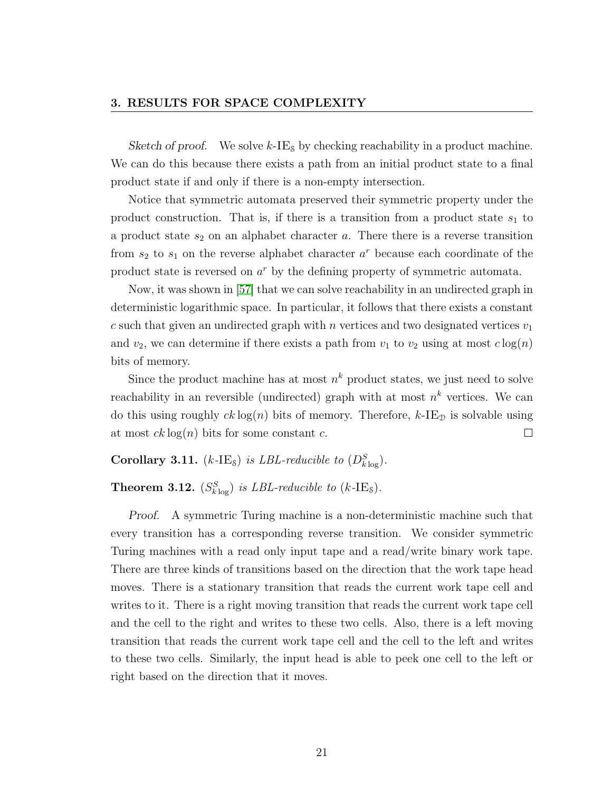#### 3. RESULTS FOR SPACE COMPLEXITY

Sketch of proof. We solve  $k$ -IE<sub>s</sub> by checking reachability in a product machine. We can do this because there exists a path from an initial product state to a final product state if and only if there is a non-empty intersection.

Notice that symmetric automata preserved their symmetric property under the product construction. That is, if there is a transition from a product state  $s_1$  to a product state  $s_2$  on an alphabet character  $a$ . There there is a reverse transition from  $s_2$  to  $s_1$  on the reverse alphabet character  $a^r$  because each coordinate of the product state is reversed on  $a^r$  by the defining property of symmetric automata.

Now, it was shown in [\[57\]](#page-78-4) that we can solve reachability in an undirected graph in deterministic logarithmic space. In particular, it follows that there exists a constant c such that given an undirected graph with n vertices and two designated vertices  $v_1$ and  $v_2$ , we can determine if there exists a path from  $v_1$  to  $v_2$  using at most  $c \log(n)$ bits of memory.

Since the product machine has at most  $n^k$  product states, we just need to solve reachability in an reversible (undirected) graph with at most  $n^k$  vertices. We can do this using roughly  $ck \log(n)$  bits of memory. Therefore,  $k$ -IE<sub>D</sub> is solvable using at most  $ck \log(n)$  bits for some constant c.  $\Box$ 

Corollary 3.11. (k-IE<sub>8</sub>) is LBL-reducible to  $(D_{klog}^S)$ .

**Theorem 3.12.**  $(S_{k \log}^S)$  is LBL-reducible to (k-IE<sub>s</sub>).

Proof. A symmetric Turing machine is a non-deterministic machine such that every transition has a corresponding reverse transition. We consider symmetric Turing machines with a read only input tape and a read/write binary work tape. There are three kinds of transitions based on the direction that the work tape head moves. There is a stationary transition that reads the current work tape cell and writes to it. There is a right moving transition that reads the current work tape cell and the cell to the right and writes to these two cells. Also, there is a left moving transition that reads the current work tape cell and the cell to the left and writes to these two cells. Similarly, the input head is able to peek one cell to the left or right based on the direction that it moves.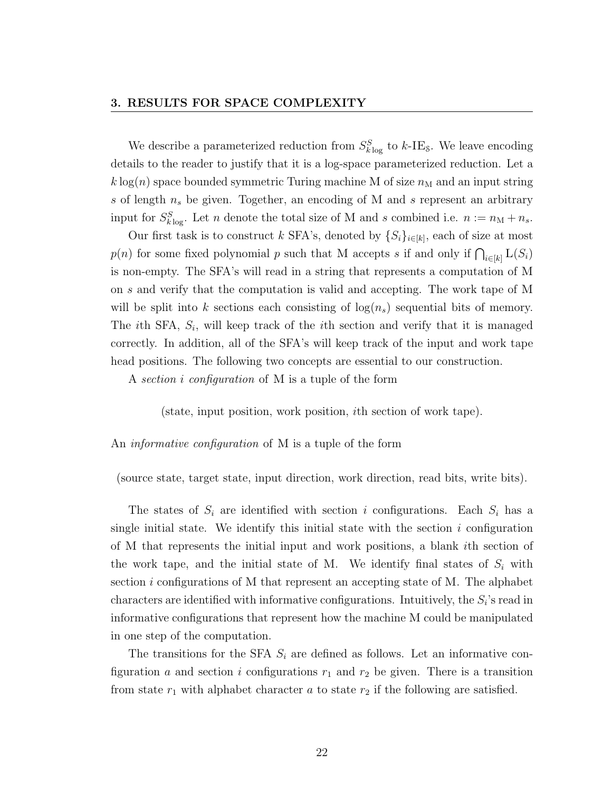We describe a parameterized reduction from  $S_{k \log}^{S}$  to k-IE<sub>s</sub>. We leave encoding details to the reader to justify that it is a log-space parameterized reduction. Let a  $k \log(n)$  space bounded symmetric Turing machine M of size  $n<sub>M</sub>$  and an input string s of length  $n_s$  be given. Together, an encoding of M and s represent an arbitrary input for  $S_{k \log}^S$ . Let n denote the total size of M and s combined i.e.  $n := n_M + n_s$ .

Our first task is to construct k SFA's, denoted by  $\{S_i\}_{i\in[k]}$ , each of size at most  $p(n)$  for some fixed polynomial p such that M accepts s if and only if  $\bigcap_{i\in[k]} L(S_i)$ is non-empty. The SFA's will read in a string that represents a computation of M on s and verify that the computation is valid and accepting. The work tape of M will be split into k sections each consisting of  $log(n_s)$  sequential bits of memory. The *i*th SFA,  $S_i$ , will keep track of the *i*th section and verify that it is managed correctly. In addition, all of the SFA's will keep track of the input and work tape head positions. The following two concepts are essential to our construction.

A section i configuration of M is a tuple of the form

(state, input position, work position, ith section of work tape).

An informative configuration of M is a tuple of the form

(source state, target state, input direction, work direction, read bits, write bits).

The states of  $S_i$  are identified with section i configurations. Each  $S_i$  has a single initial state. We identify this initial state with the section  $i$  configuration of M that represents the initial input and work positions, a blank ith section of the work tape, and the initial state of M. We identify final states of  $S_i$  with section *i* configurations of M that represent an accepting state of M. The alphabet characters are identified with informative configurations. Intuitively, the  $S_i$ 's read in informative configurations that represent how the machine M could be manipulated in one step of the computation.

The transitions for the SFA  $S_i$  are defined as follows. Let an informative configuration a and section i configurations  $r_1$  and  $r_2$  be given. There is a transition from state  $r_1$  with alphabet character a to state  $r_2$  if the following are satisfied.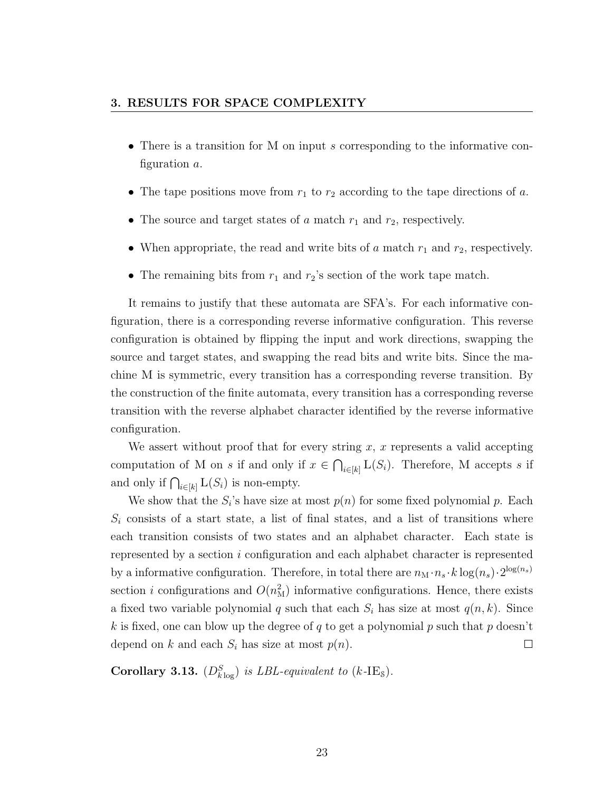- There is a transition for M on input s corresponding to the informative configuration a.
- The tape positions move from  $r_1$  to  $r_2$  according to the tape directions of a.
- The source and target states of a match  $r_1$  and  $r_2$ , respectively.
- When appropriate, the read and write bits of a match  $r_1$  and  $r_2$ , respectively.
- The remaining bits from  $r_1$  and  $r_2$ 's section of the work tape match.

It remains to justify that these automata are SFA's. For each informative configuration, there is a corresponding reverse informative configuration. This reverse configuration is obtained by flipping the input and work directions, swapping the source and target states, and swapping the read bits and write bits. Since the machine M is symmetric, every transition has a corresponding reverse transition. By the construction of the finite automata, every transition has a corresponding reverse transition with the reverse alphabet character identified by the reverse informative configuration.

We assert without proof that for every string  $x, x$  represents a valid accepting computation of M on s if and only if  $x \in \bigcap_{i \in [k]} L(S_i)$ . Therefore, M accepts s if and only if  $\bigcap_{i\in[k]} L(S_i)$  is non-empty.

We show that the  $S_i$ 's have size at most  $p(n)$  for some fixed polynomial p. Each  $S_i$  consists of a start state, a list of final states, and a list of transitions where each transition consists of two states and an alphabet character. Each state is represented by a section i configuration and each alphabet character is represented by a informative configuration. Therefore, in total there are  $n_M \cdot n_s \cdot k \log(n_s) \cdot 2^{\log(n_s)}$ section *i* configurations and  $O(n_{\rm M}^2)$  informative configurations. Hence, there exists a fixed two variable polynomial q such that each  $S_i$  has size at most  $q(n, k)$ . Since k is fixed, one can blow up the degree of q to get a polynomial p such that p doesn't depend on k and each  $S_i$  has size at most  $p(n)$ .  $\Box$ 

Corollary 3.13.  $(D_{k \log}^S)$  is LBL-equivalent to  $(k$ -IE<sub>s</sub>).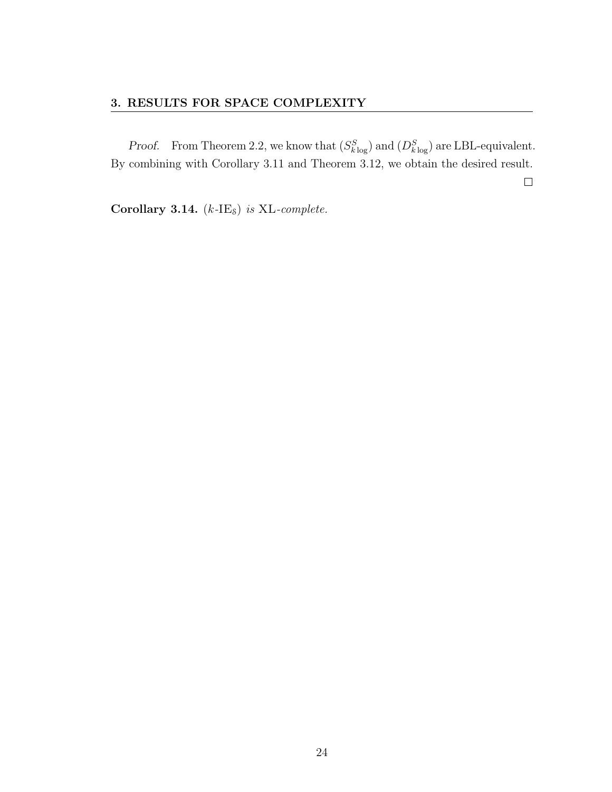*Proof.* From Theorem 2.2, we know that  $(S_{k \log}^S)$  and  $(D_{k \log}^S)$  are LBL-equivalent. By combining with Corollary 3.11 and Theorem 3.12, we obtain the desired result.  $\Box$ 

Corollary 3.14.  $(k$ -IE<sub>s</sub>) is XL-complete.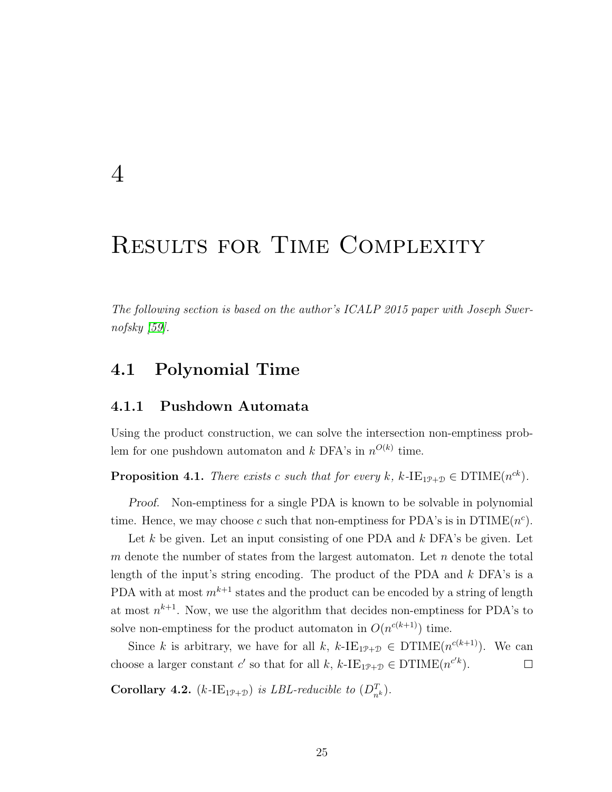# <span id="page-31-0"></span>4

# RESULTS FOR TIME COMPLEXITY

<span id="page-31-1"></span>The following section is based on the author's ICALP 2015 paper with Joseph Swernofsky [\[59\]](#page-78-5).

## 4.1 Polynomial Time

#### <span id="page-31-2"></span>4.1.1 Pushdown Automata

Using the product construction, we can solve the intersection non-emptiness problem for one pushdown automaton and  $k$  DFA's in  $n^{O(k)}$  time.

**Proposition 4.1.** There exists c such that for every k, k-IE<sub>1P+D</sub>  $\in$  DTIME(n<sup>ck</sup>).

Proof. Non-emptiness for a single PDA is known to be solvable in polynomial time. Hence, we may choose c such that non-emptiness for PDA's is in  $DTIME(n^c)$ .

Let  $k$  be given. Let an input consisting of one PDA and  $k$  DFA's be given. Let m denote the number of states from the largest automaton. Let  $n$  denote the total length of the input's string encoding. The product of the PDA and  $k$  DFA's is a PDA with at most  $m^{k+1}$  states and the product can be encoded by a string of length at most  $n^{k+1}$ . Now, we use the algorithm that decides non-emptiness for PDA's to solve non-emptiness for the product automaton in  $O(n^{c(k+1)})$  time.

Since k is arbitrary, we have for all k,  $k$ -IE<sub>1P+D</sub>  $\in$  DTIME $(n^{c(k+1)})$ . We can choose a larger constant c' so that for all k,  $k$ -IE<sub>1P+D</sub>  $\in$  DTIME( $n^{c'k}$ ).  $\Box$ 

**Corollary 4.2.** (k-IE<sub>1P+D</sub>) is LBL-reducible to  $(D_{n^k}^T)$ .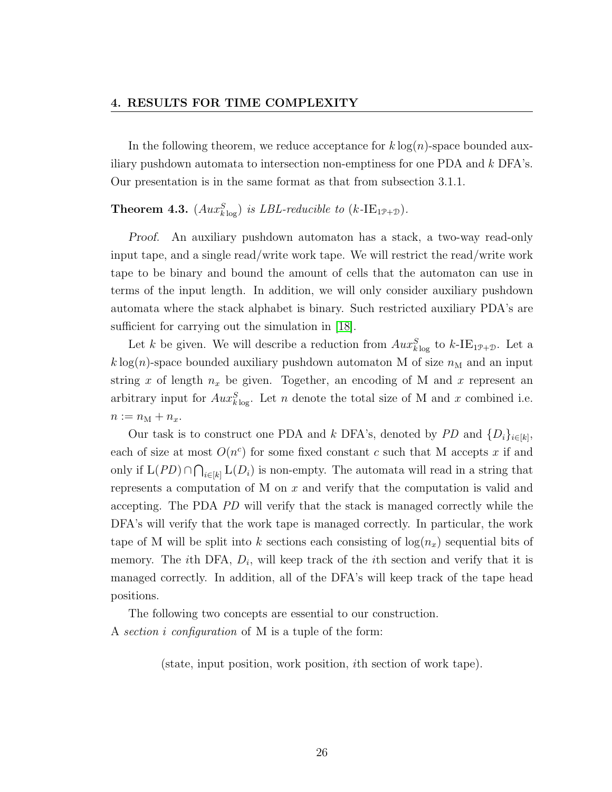In the following theorem, we reduce acceptance for  $k \log(n)$ -space bounded auxiliary pushdown automata to intersection non-emptiness for one PDA and k DFA's. Our presentation is in the same format as that from subsection 3.1.1.

**Theorem 4.3.**  $(Aux_{k\log}^S)$  is LBL-reducible to  $(k\text{-IE}_{1\mathcal{P}+\mathcal{D}})$ .

Proof. An auxiliary pushdown automaton has a stack, a two-way read-only input tape, and a single read/write work tape. We will restrict the read/write work tape to be binary and bound the amount of cells that the automaton can use in terms of the input length. In addition, we will only consider auxiliary pushdown automata where the stack alphabet is binary. Such restricted auxiliary PDA's are sufficient for carrying out the simulation in [\[18\]](#page-74-5).

Let k be given. We will describe a reduction from  $Aux_{k\log}^S$  to  $k\text{-IE}_{1\mathcal{P}+\mathcal{D}}$ . Let a  $k \log(n)$ -space bounded auxiliary pushdown automaton M of size  $n_M$  and an input string x of length  $n_x$  be given. Together, an encoding of M and x represent an arbitrary input for  $Aux_{k\log}^S$ . Let n denote the total size of M and x combined i.e.  $n := n_{\mathrm{M}} + n_x.$ 

Our task is to construct one PDA and k DFA's, denoted by PD and  $\{D_i\}_{i\in[k]},$ each of size at most  $O(n^c)$  for some fixed constant c such that M accepts x if and only if  $L(PD) \cap \bigcap_{i \in [k]} L(D_i)$  is non-empty. The automata will read in a string that represents a computation of M on  $x$  and verify that the computation is valid and accepting. The PDA PD will verify that the stack is managed correctly while the DFA's will verify that the work tape is managed correctly. In particular, the work tape of M will be split into k sections each consisting of  $log(n_x)$  sequential bits of memory. The *i*th DFA,  $D_i$ , will keep track of the *i*th section and verify that it is managed correctly. In addition, all of the DFA's will keep track of the tape head positions.

The following two concepts are essential to our construction. A section i configuration of M is a tuple of the form:

(state, input position, work position, ith section of work tape).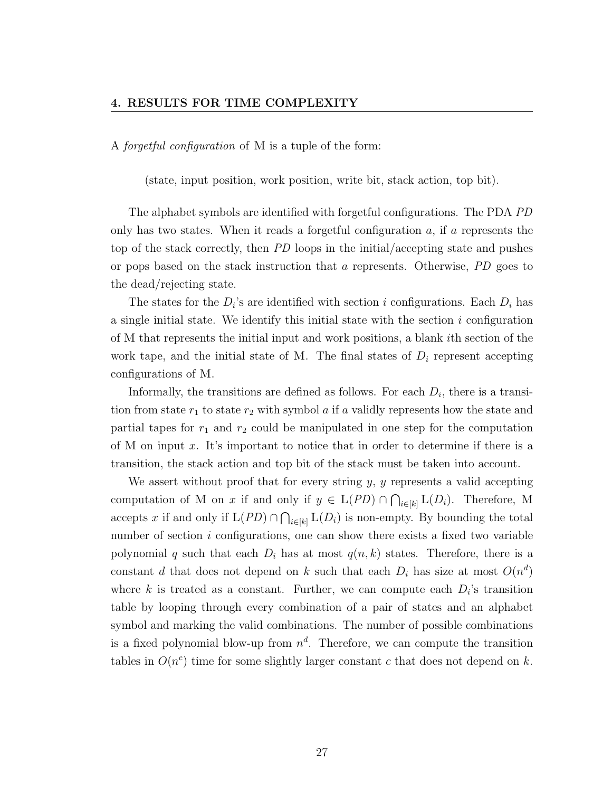A forgetful configuration of M is a tuple of the form:

(state, input position, work position, write bit, stack action, top bit).

The alphabet symbols are identified with forgetful configurations. The PDA PD only has two states. When it reads a forgetful configuration  $a$ , if  $a$  represents the top of the stack correctly, then PD loops in the initial/accepting state and pushes or pops based on the stack instruction that a represents. Otherwise, PD goes to the dead/rejecting state.

The states for the  $D_i$ 's are identified with section i configurations. Each  $D_i$  has a single initial state. We identify this initial state with the section  $i$  configuration of M that represents the initial input and work positions, a blank ith section of the work tape, and the initial state of M. The final states of  $D_i$  represent accepting configurations of M.

Informally, the transitions are defined as follows. For each  $D_i$ , there is a transition from state  $r_1$  to state  $r_2$  with symbol a if a validly represents how the state and partial tapes for  $r_1$  and  $r_2$  could be manipulated in one step for the computation of M on input x. It's important to notice that in order to determine if there is a transition, the stack action and top bit of the stack must be taken into account.

We assert without proof that for every string  $y, y$  represents a valid accepting computation of M on x if and only if  $y \in L(PD) \cap \bigcap_{i \in [k]} L(D_i)$ . Therefore, M accepts x if and only if  $L(PD) \cap \bigcap_{i \in [k]} L(D_i)$  is non-empty. By bounding the total number of section  $i$  configurations, one can show there exists a fixed two variable polynomial q such that each  $D_i$  has at most  $q(n, k)$  states. Therefore, there is a constant d that does not depend on k such that each  $D_i$  has size at most  $O(n^d)$ where k is treated as a constant. Further, we can compute each  $D_i$ 's transition table by looping through every combination of a pair of states and an alphabet symbol and marking the valid combinations. The number of possible combinations is a fixed polynomial blow-up from  $n^d$ . Therefore, we can compute the transition tables in  $O(n^c)$  time for some slightly larger constant c that does not depend on k.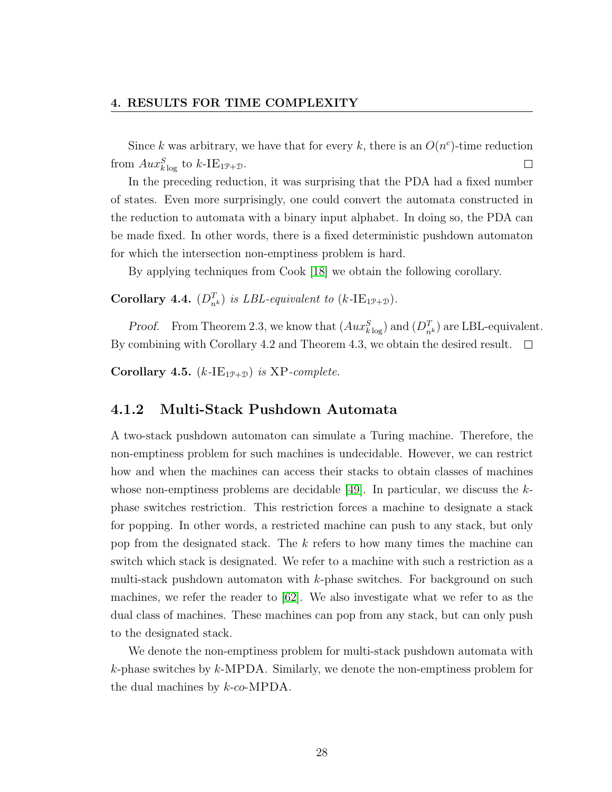Since k was arbitrary, we have that for every k, there is an  $O(n^c)$ -time reduction from  $Aux_{k\log}^S$  to  $k$ -IE<sub>1P+D</sub>.  $\Box$ 

In the preceding reduction, it was surprising that the PDA had a fixed number of states. Even more surprisingly, one could convert the automata constructed in the reduction to automata with a binary input alphabet. In doing so, the PDA can be made fixed. In other words, there is a fixed deterministic pushdown automaton for which the intersection non-emptiness problem is hard.

By applying techniques from Cook [\[18\]](#page-74-5) we obtain the following corollary.

Corollary 4.4.  $(D_{n^k}^T)$  is LBL-equivalent to  $(k\text{-IE}_{1\mathcal{P}+\mathcal{D}})$ .

*Proof.* From Theorem 2.3, we know that  $(Aux_{k\log}^S)$  and  $(D_{n^k}^T)$  are LBL-equivalent. By combining with Corollary 4.2 and Theorem 4.3, we obtain the desired result.  $\Box$ 

Corollary 4.5.  $(k$ -IE<sub>1P+D</sub>) is XP-complete.

#### <span id="page-34-0"></span>4.1.2 Multi-Stack Pushdown Automata

A two-stack pushdown automaton can simulate a Turing machine. Therefore, the non-emptiness problem for such machines is undecidable. However, we can restrict how and when the machines can access their stacks to obtain classes of machines whose non-emptiness problems are decidable [\[49\]](#page-77-2). In particular, we discuss the  $k$ phase switches restriction. This restriction forces a machine to designate a stack for popping. In other words, a restricted machine can push to any stack, but only pop from the designated stack. The  $k$  refers to how many times the machine can switch which stack is designated. We refer to a machine with such a restriction as a multi-stack pushdown automaton with k-phase switches. For background on such machines, we refer the reader to [\[62\]](#page-78-6). We also investigate what we refer to as the dual class of machines. These machines can pop from any stack, but can only push to the designated stack.

We denote the non-emptiness problem for multi-stack pushdown automata with  $k$ -phase switches by  $k$ -MPDA. Similarly, we denote the non-emptiness problem for the dual machines by  $k$ -co-MPDA.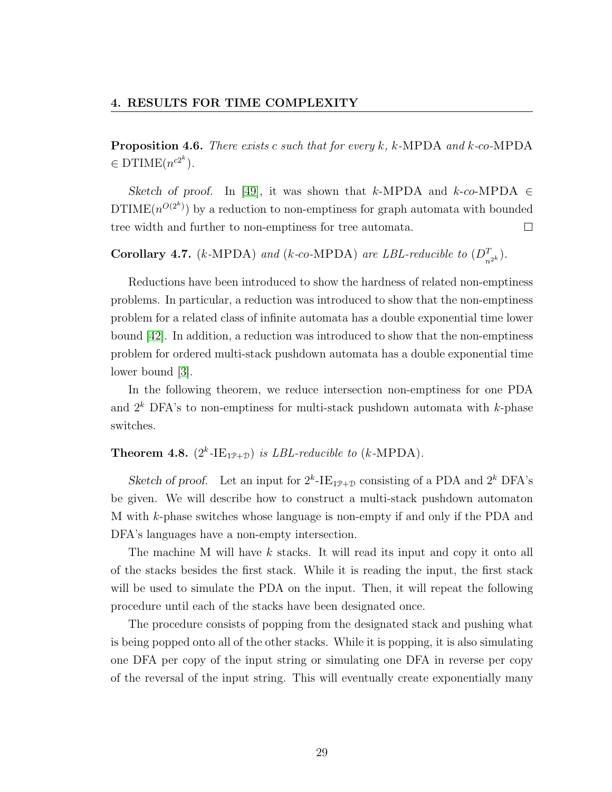**Proposition 4.6.** There exists c such that for every k, k-MPDA and k-co-MPDA  $\in$  DTIME $(n^{c2^k})$ .

Sketch of proof. In [\[49\]](#page-77-2), it was shown that k-MPDA and k-co-MPDA  $\in$  $DTIME(n^{O(2^k)})$  by a reduction to non-emptiness for graph automata with bounded tree width and further to non-emptiness for tree automata.  $\Box$ 

**Corollary 4.7.** (k-MPDA) and (k-co-MPDA) are LBL-reducible to  $(D_{n^{2k}}^T)$ .

Reductions have been introduced to show the hardness of related non-emptiness problems. In particular, a reduction was introduced to show that the non-emptiness problem for a related class of infinite automata has a double exponential time lower bound [\[42\]](#page-76-5). In addition, a reduction was introduced to show that the non-emptiness problem for ordered multi-stack pushdown automata has a double exponential time lower bound [\[3\]](#page-72-3).

In the following theorem, we reduce intersection non-emptiness for one PDA and  $2^k$  DFA's to non-emptiness for multi-stack pushdown automata with k-phase switches.

### **Theorem 4.8.**  $(2^k$ -IE<sub>1P+D</sub>) is *LBL-reducible to* (*k*-MPDA).

Sketch of proof. Let an input for  $2^k$ -IE<sub>1P+D</sub> consisting of a PDA and  $2^k$  DFA's be given. We will describe how to construct a multi-stack pushdown automaton M with k-phase switches whose language is non-empty if and only if the PDA and DFA's languages have a non-empty intersection.

The machine M will have k stacks. It will read its input and copy it onto all of the stacks besides the first stack. While it is reading the input, the first stack will be used to simulate the PDA on the input. Then, it will repeat the following procedure until each of the stacks have been designated once.

The procedure consists of popping from the designated stack and pushing what is being popped onto all of the other stacks. While it is popping, it is also simulating one DFA per copy of the input string or simulating one DFA in reverse per copy of the reversal of the input string. This will eventually create exponentially many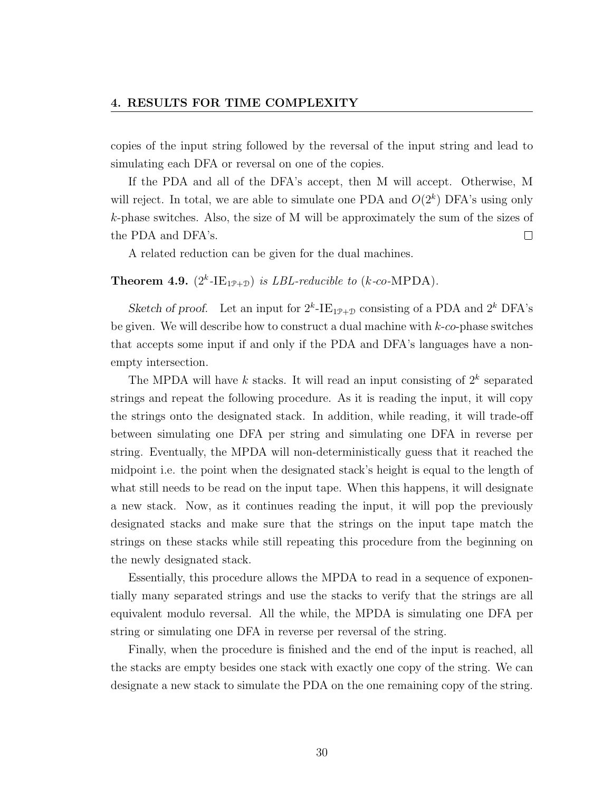copies of the input string followed by the reversal of the input string and lead to simulating each DFA or reversal on one of the copies.

If the PDA and all of the DFA's accept, then M will accept. Otherwise, M will reject. In total, we are able to simulate one PDA and  $O(2<sup>k</sup>)$  DFA's using only k-phase switches. Also, the size of M will be approximately the sum of the sizes of the PDA and DFA's.  $\Box$ 

A related reduction can be given for the dual machines.

### **Theorem 4.9.**  $(2^k$ -IE<sub>19+D</sub>) is *LBL-reducible to* (*k*-co-MPDA).

Sketch of proof. Let an input for  $2^k$ -IE<sub>1P+D</sub> consisting of a PDA and  $2^k$  DFA's be given. We will describe how to construct a dual machine with  $k$ -co-phase switches that accepts some input if and only if the PDA and DFA's languages have a nonempty intersection.

The MPDA will have  $k$  stacks. It will read an input consisting of  $2^k$  separated strings and repeat the following procedure. As it is reading the input, it will copy the strings onto the designated stack. In addition, while reading, it will trade-off between simulating one DFA per string and simulating one DFA in reverse per string. Eventually, the MPDA will non-deterministically guess that it reached the midpoint i.e. the point when the designated stack's height is equal to the length of what still needs to be read on the input tape. When this happens, it will designate a new stack. Now, as it continues reading the input, it will pop the previously designated stacks and make sure that the strings on the input tape match the strings on these stacks while still repeating this procedure from the beginning on the newly designated stack.

Essentially, this procedure allows the MPDA to read in a sequence of exponentially many separated strings and use the stacks to verify that the strings are all equivalent modulo reversal. All the while, the MPDA is simulating one DFA per string or simulating one DFA in reverse per reversal of the string.

Finally, when the procedure is finished and the end of the input is reached, all the stacks are empty besides one stack with exactly one copy of the string. We can designate a new stack to simulate the PDA on the one remaining copy of the string.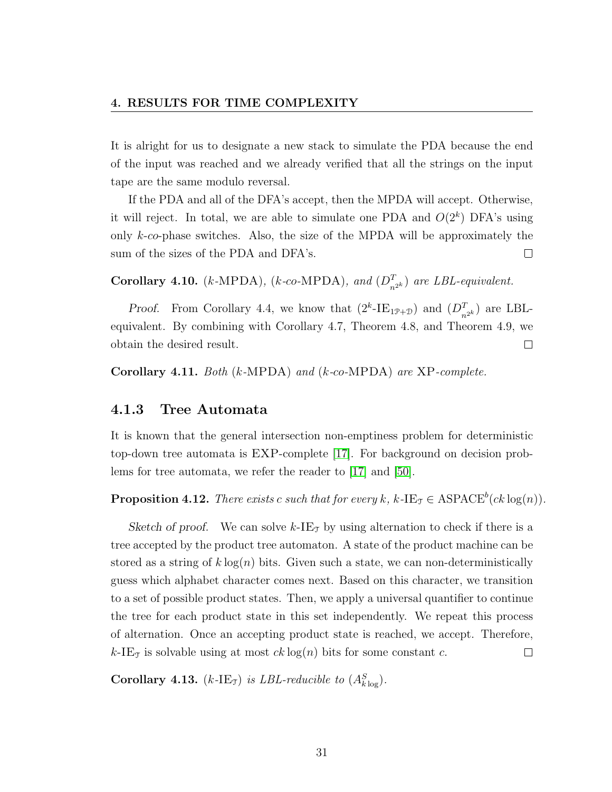It is alright for us to designate a new stack to simulate the PDA because the end of the input was reached and we already verified that all the strings on the input tape are the same modulo reversal.

If the PDA and all of the DFA's accept, then the MPDA will accept. Otherwise, it will reject. In total, we are able to simulate one PDA and  $O(2^k)$  DFA's using only k-co-phase switches. Also, the size of the MPDA will be approximately the sum of the sizes of the PDA and DFA's.  $\Box$ 

Corollary 4.10. (k-MPDA), (k-co-MPDA), and  $(D_{n^{2k}}^T)$  are LBL-equivalent.

*Proof.* From Corollary 4.4, we know that  $(2^k$ -IE<sub>1P+D</sub>) and  $(D_{n^{2^k}}^T)$  are LBLequivalent. By combining with Corollary 4.7, Theorem 4.8, and Theorem 4.9, we obtain the desired result.  $\Box$ 

Corollary 4.11. Both  $(k\text{-MPDA})$  and  $(k\text{-}co\text{-MPDA})$  are XP-complete.

#### 4.1.3 Tree Automata

It is known that the general intersection non-emptiness problem for deterministic top-down tree automata is EXP-complete [\[17\]](#page-74-0). For background on decision problems for tree automata, we refer the reader to [\[17\]](#page-74-0) and [\[50\]](#page-77-0).

**Proposition 4.12.** There exists c such that for every k, k-IE<sub>T</sub>  $\in$  ASPACE<sup>b</sup>(ck log(n)).

Sketch of proof. We can solve  $k$ -IE<sub>T</sub> by using alternation to check if there is a tree accepted by the product tree automaton. A state of the product machine can be stored as a string of  $k \log(n)$  bits. Given such a state, we can non-deterministically guess which alphabet character comes next. Based on this character, we transition to a set of possible product states. Then, we apply a universal quantifier to continue the tree for each product state in this set independently. We repeat this process of alternation. Once an accepting product state is reached, we accept. Therefore, k-IE<sub>T</sub> is solvable using at most  $ck \log(n)$  bits for some constant c.  $\Box$ 

Corollary 4.13. (k-IE<sub>7</sub>) is LBL-reducible to  $(A_{k\log}^S)$ .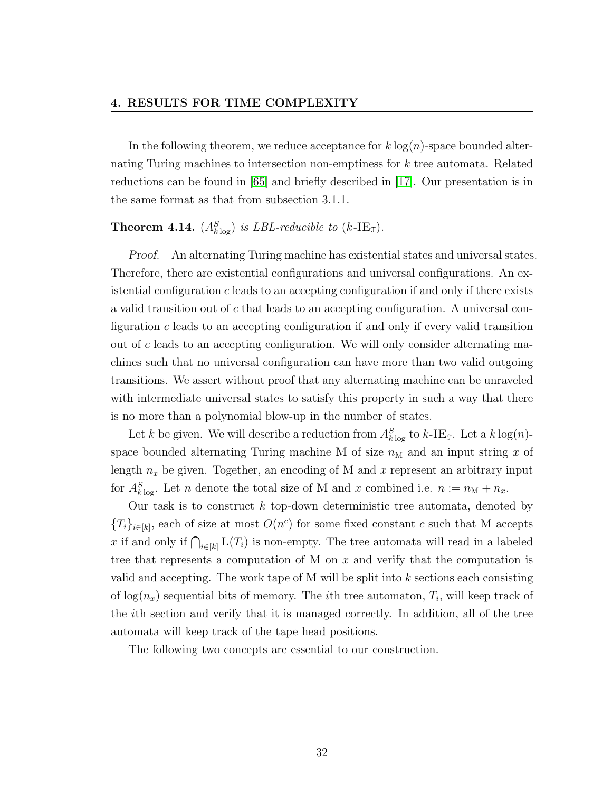In the following theorem, we reduce acceptance for  $k \log(n)$ -space bounded alternating Turing machines to intersection non-emptiness for k tree automata. Related reductions can be found in [\[65\]](#page-79-0) and briefly described in [\[17\]](#page-74-0). Our presentation is in the same format as that from subsection 3.1.1.

## **Theorem 4.14.**  $(A_{k \log}^S)$  is LBL-reducible to  $(k$ -IE<sub>T</sub>).

Proof. An alternating Turing machine has existential states and universal states. Therefore, there are existential configurations and universal configurations. An existential configuration c leads to an accepting configuration if and only if there exists a valid transition out of  $c$  that leads to an accepting configuration. A universal configuration  $c$  leads to an accepting configuration if and only if every valid transition out of c leads to an accepting configuration. We will only consider alternating machines such that no universal configuration can have more than two valid outgoing transitions. We assert without proof that any alternating machine can be unraveled with intermediate universal states to satisfy this property in such a way that there is no more than a polynomial blow-up in the number of states.

Let k be given. We will describe a reduction from  $A_{k \log}^S$  to k-IE<sub>T</sub>. Let a  $k \log(n)$ space bounded alternating Turing machine M of size  $n_M$  and an input string x of length  $n_x$  be given. Together, an encoding of M and x represent an arbitrary input for  $A_{k\log}^S$ . Let n denote the total size of M and x combined i.e.  $n := n_M + n_x$ .

Our task is to construct  $k$  top-down deterministic tree automata, denoted by  ${T_i}_{i\in[k]}$ , each of size at most  $O(n^c)$  for some fixed constant c such that M accepts x if and only if  $\bigcap_{i\in[k]} L(T_i)$  is non-empty. The tree automata will read in a labeled tree that represents a computation of M on x and verify that the computation is valid and accepting. The work tape of M will be split into  $k$  sections each consisting of  $log(n_x)$  sequential bits of memory. The *i*th tree automaton,  $T_i$ , will keep track of the ith section and verify that it is managed correctly. In addition, all of the tree automata will keep track of the tape head positions.

The following two concepts are essential to our construction.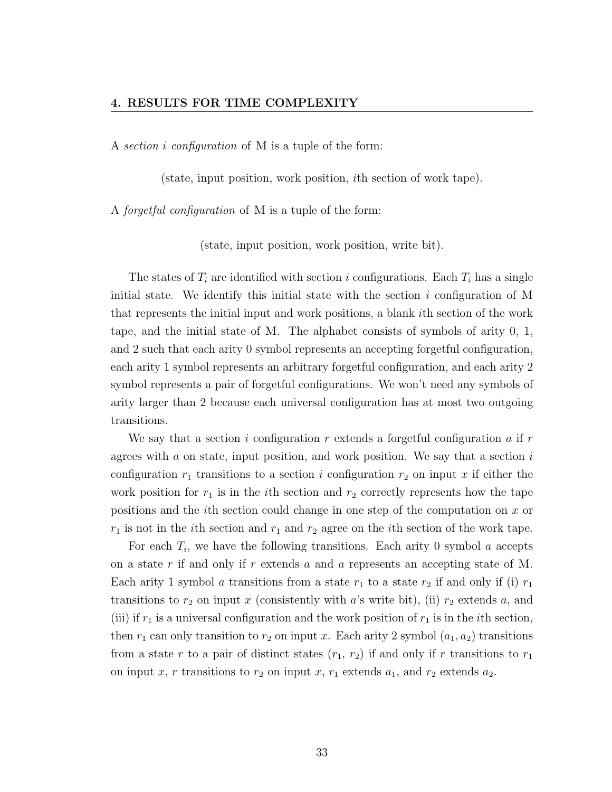A section i configuration of M is a tuple of the form:

(state, input position, work position, ith section of work tape).

A forgetful configuration of M is a tuple of the form:

(state, input position, work position, write bit).

The states of  $T_i$  are identified with section i configurations. Each  $T_i$  has a single initial state. We identify this initial state with the section  $i$  configuration of M that represents the initial input and work positions, a blank ith section of the work tape, and the initial state of M. The alphabet consists of symbols of arity 0, 1, and 2 such that each arity 0 symbol represents an accepting forgetful configuration, each arity 1 symbol represents an arbitrary forgetful configuration, and each arity 2 symbol represents a pair of forgetful configurations. We won't need any symbols of arity larger than 2 because each universal configuration has at most two outgoing transitions.

We say that a section i configuration r extends a forgetful configuration a if  $r$ agrees with  $a$  on state, input position, and work position. We say that a section  $i$ configuration  $r_1$  transitions to a section i configuration  $r_2$  on input x if either the work position for  $r_1$  is in the *i*th section and  $r_2$  correctly represents how the tape positions and the ith section could change in one step of the computation on x or  $r_1$  is not in the *i*th section and  $r_1$  and  $r_2$  agree on the *i*th section of the work tape.

For each  $T_i$ , we have the following transitions. Each arity 0 symbol  $a$  accepts on a state r if and only if r extends a and a represents an accepting state of M. Each arity 1 symbol a transitions from a state  $r_1$  to a state  $r_2$  if and only if (i)  $r_1$ transitions to  $r_2$  on input x (consistently with a's write bit), (ii)  $r_2$  extends a, and (iii) if  $r_1$  is a universal configuration and the work position of  $r_1$  is in the *i*th section, then  $r_1$  can only transition to  $r_2$  on input x. Each arity 2 symbol  $(a_1, a_2)$  transitions from a state r to a pair of distinct states  $(r_1, r_2)$  if and only if r transitions to  $r_1$ on input x, r transitions to  $r_2$  on input x,  $r_1$  extends  $a_1$ , and  $r_2$  extends  $a_2$ .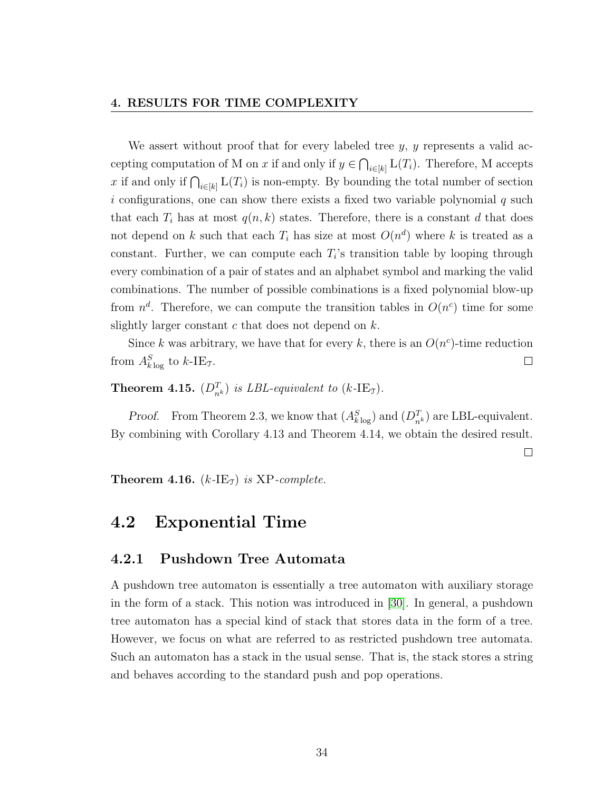#### 4. RESULTS FOR TIME COMPLEXITY

We assert without proof that for every labeled tree  $y, y$  represents a valid accepting computation of M on x if and only if  $y \in \bigcap_{i \in [k]} L(T_i)$ . Therefore, M accepts x if and only if  $\bigcap_{i\in[k]} L(T_i)$  is non-empty. By bounding the total number of section  $i$  configurations, one can show there exists a fixed two variable polynomial  $q$  such that each  $T_i$  has at most  $q(n, k)$  states. Therefore, there is a constant d that does not depend on k such that each  $T_i$  has size at most  $O(n^d)$  where k is treated as a constant. Further, we can compute each  $T_i$ 's transition table by looping through every combination of a pair of states and an alphabet symbol and marking the valid combinations. The number of possible combinations is a fixed polynomial blow-up from  $n^d$ . Therefore, we can compute the transition tables in  $O(n^c)$  time for some slightly larger constant  $c$  that does not depend on  $k$ .

Since k was arbitrary, we have that for every k, there is an  $O(n^c)$ -time reduction from  $A_{k\log}^S$  to  $k$ -IE<sub>T</sub>.  $\Box$ 

**Theorem 4.15.**  $(D_{n^k}^T)$  is LBL-equivalent to  $(k\text{-IE}_T)$ .

*Proof.* From Theorem 2.3, we know that  $(A_{k\log}^S)$  and  $(D_{n^k}^T)$  are LBL-equivalent. By combining with Corollary 4.13 and Theorem 4.14, we obtain the desired result.

 $\Box$ 

**Theorem 4.16.**  $(k$ -IE<sub>T</sub>) is XP-complete.

### 4.2 Exponential Time

#### 4.2.1 Pushdown Tree Automata

A pushdown tree automaton is essentially a tree automaton with auxiliary storage in the form of a stack. This notion was introduced in [\[30\]](#page-75-0). In general, a pushdown tree automaton has a special kind of stack that stores data in the form of a tree. However, we focus on what are referred to as restricted pushdown tree automata. Such an automaton has a stack in the usual sense. That is, the stack stores a string and behaves according to the standard push and pop operations.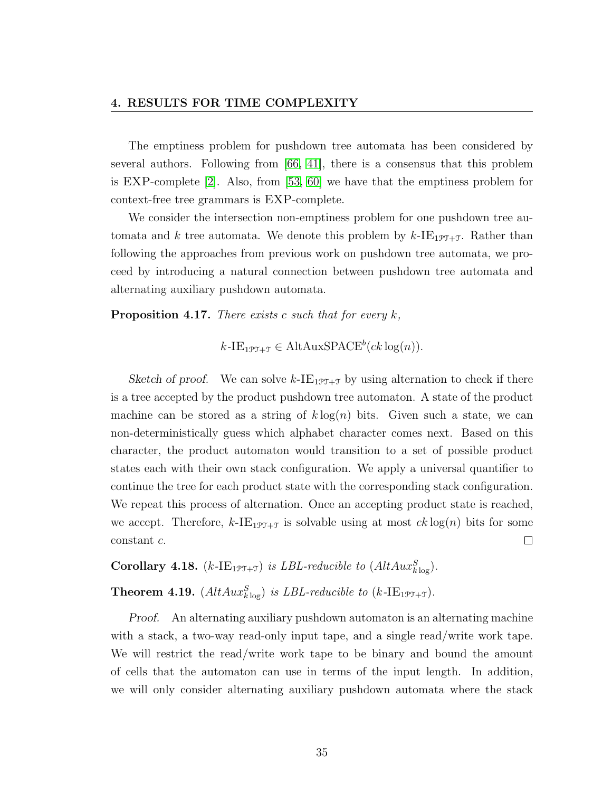The emptiness problem for pushdown tree automata has been considered by several authors. Following from [\[66,](#page-79-1) [41\]](#page-76-0), there is a consensus that this problem is EXP-complete [\[2\]](#page-72-0). Also, from [\[53,](#page-77-1) [60\]](#page-78-0) we have that the emptiness problem for context-free tree grammars is EXP-complete.

We consider the intersection non-emptiness problem for one pushdown tree automata and k tree automata. We denote this problem by  $k$ -IE<sub>1PT+T</sub>. Rather than following the approaches from previous work on pushdown tree automata, we proceed by introducing a natural connection between pushdown tree automata and alternating auxiliary pushdown automata.

**Proposition 4.17.** There exists c such that for every  $k$ ,

 $k$ -IE<sub>1PT+T</sub>  $\in$  AltAuxSPACE<sup>b</sup>(ck log(n)).

Sketch of proof. We can solve  $k$ -IE<sub>197+7</sub> by using alternation to check if there is a tree accepted by the product pushdown tree automaton. A state of the product machine can be stored as a string of  $k \log(n)$  bits. Given such a state, we can non-deterministically guess which alphabet character comes next. Based on this character, the product automaton would transition to a set of possible product states each with their own stack configuration. We apply a universal quantifier to continue the tree for each product state with the corresponding stack configuration. We repeat this process of alternation. Once an accepting product state is reached, we accept. Therefore,  $k$ -IE<sub>1PT+T</sub> is solvable using at most  $ck \log(n)$  bits for some constant c.  $\Box$ 

Corollary 4.18.  $(k$ -IE<sub>1PT+T</sub>) is LBL-reducible to  $(AltAux_{klog}^S)$ .

**Theorem 4.19.**  $(AltAux_{k\log}^S)$  is LBL-reducible to  $(k\text{-IE}_{1\mathcal{PI}+\mathcal{I}})$ .

Proof. An alternating auxiliary pushdown automaton is an alternating machine with a stack, a two-way read-only input tape, and a single read/write work tape. We will restrict the read/write work tape to be binary and bound the amount of cells that the automaton can use in terms of the input length. In addition, we will only consider alternating auxiliary pushdown automata where the stack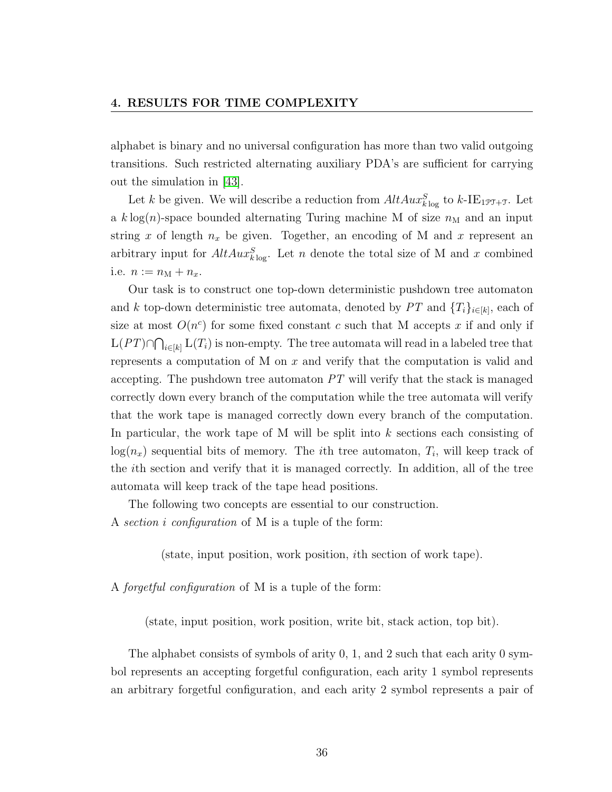alphabet is binary and no universal configuration has more than two valid outgoing transitions. Such restricted alternating auxiliary PDA's are sufficient for carrying out the simulation in [\[43\]](#page-76-1).

Let k be given. We will describe a reduction from  $AltAux_{k}^S$  to  $k\text{-IE}_{1\text{PT}+\text{T}}$ . Let a k log(n)-space bounded alternating Turing machine M of size  $n<sub>M</sub>$  and an input string x of length  $n_x$  be given. Together, an encoding of M and x represent an arbitrary input for  $AltAux_{k\log}^S$ . Let n denote the total size of M and x combined i.e.  $n := n_{\rm M} + n_x$ .

Our task is to construct one top-down deterministic pushdown tree automaton and k top-down deterministic tree automata, denoted by  $PT$  and  $\{T_i\}_{i\in[k]}$ , each of size at most  $O(n^c)$  for some fixed constant c such that M accepts x if and only if  $L(PT) \cap \bigcap_{i \in [k]} L(T_i)$  is non-empty. The tree automata will read in a labeled tree that represents a computation of M on x and verify that the computation is valid and accepting. The pushdown tree automaton PT will verify that the stack is managed correctly down every branch of the computation while the tree automata will verify that the work tape is managed correctly down every branch of the computation. In particular, the work tape of M will be split into k sections each consisting of  $log(n_x)$  sequential bits of memory. The *i*th tree automaton,  $T_i$ , will keep track of the ith section and verify that it is managed correctly. In addition, all of the tree automata will keep track of the tape head positions.

The following two concepts are essential to our construction. A section i configuration of M is a tuple of the form:

(state, input position, work position, ith section of work tape).

A forgetful configuration of M is a tuple of the form:

(state, input position, work position, write bit, stack action, top bit).

The alphabet consists of symbols of arity 0, 1, and 2 such that each arity 0 symbol represents an accepting forgetful configuration, each arity 1 symbol represents an arbitrary forgetful configuration, and each arity 2 symbol represents a pair of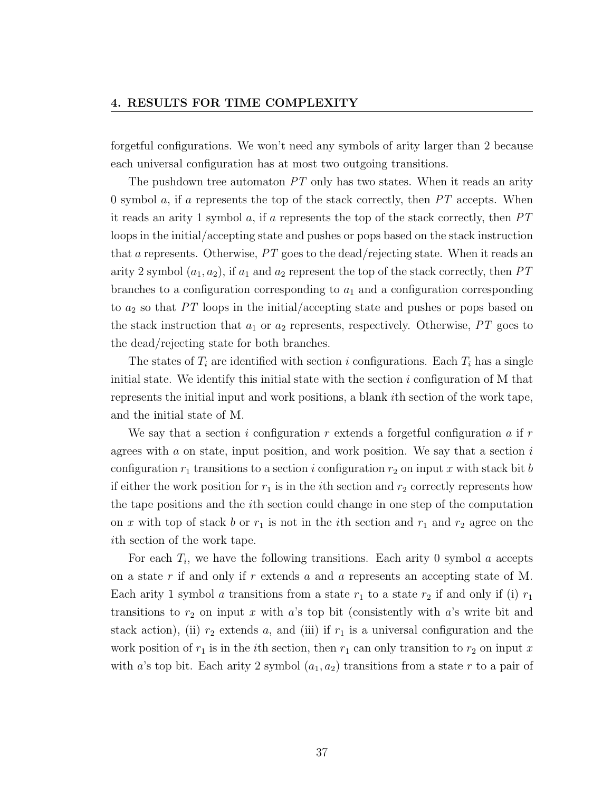forgetful configurations. We won't need any symbols of arity larger than 2 because each universal configuration has at most two outgoing transitions.

The pushdown tree automaton  $PT$  only has two states. When it reads an arity 0 symbol a, if a represents the top of the stack correctly, then  $PT$  accepts. When it reads an arity 1 symbol a, if a represents the top of the stack correctly, then  $PT$ loops in the initial/accepting state and pushes or pops based on the stack instruction that a represents. Otherwise, PT goes to the dead/rejecting state. When it reads an arity 2 symbol  $(a_1, a_2)$ , if  $a_1$  and  $a_2$  represent the top of the stack correctly, then PT branches to a configuration corresponding to  $a_1$  and a configuration corresponding to  $a_2$  so that PT loops in the initial/accepting state and pushes or pops based on the stack instruction that  $a_1$  or  $a_2$  represents, respectively. Otherwise, PT goes to the dead/rejecting state for both branches.

The states of  $T_i$  are identified with section i configurations. Each  $T_i$  has a single initial state. We identify this initial state with the section  $i$  configuration of M that represents the initial input and work positions, a blank ith section of the work tape, and the initial state of M.

We say that a section i configuration r extends a forgetful configuration a if r agrees with  $a$  on state, input position, and work position. We say that a section  $i$ configuration  $r_1$  transitions to a section i configuration  $r_2$  on input x with stack bit b if either the work position for  $r_1$  is in the *i*th section and  $r_2$  correctly represents how the tape positions and the ith section could change in one step of the computation on x with top of stack b or  $r_1$  is not in the ith section and  $r_1$  and  $r_2$  agree on the ith section of the work tape.

For each  $T_i$ , we have the following transitions. Each arity 0 symbol  $a$  accepts on a state  $r$  if and only if  $r$  extends  $a$  and  $a$  represents an accepting state of M. Each arity 1 symbol a transitions from a state  $r_1$  to a state  $r_2$  if and only if (i)  $r_1$ transitions to  $r_2$  on input x with a's top bit (consistently with a's write bit and stack action), (ii)  $r_2$  extends a, and (iii) if  $r_1$  is a universal configuration and the work position of  $r_1$  is in the *i*th section, then  $r_1$  can only transition to  $r_2$  on input x with a's top bit. Each arity 2 symbol  $(a_1, a_2)$  transitions from a state r to a pair of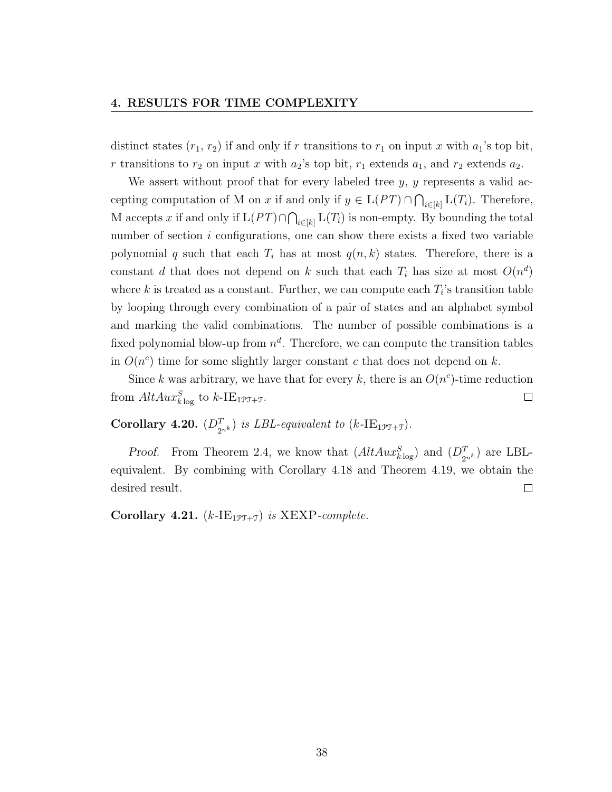distinct states  $(r_1, r_2)$  if and only if r transitions to  $r_1$  on input x with  $a_1$ 's top bit, r transitions to  $r_2$  on input x with  $a_2$ 's top bit,  $r_1$  extends  $a_1$ , and  $r_2$  extends  $a_2$ .

We assert without proof that for every labeled tree  $y, y$  represents a valid accepting computation of M on x if and only if  $y \in L(PT) \cap \bigcap_{i \in [k]} L(T_i)$ . Therefore, M accepts x if and only if  $L(PT) \cap \bigcap_{i \in [k]} L(T_i)$  is non-empty. By bounding the total number of section  $i$  configurations, one can show there exists a fixed two variable polynomial q such that each  $T_i$  has at most  $q(n, k)$  states. Therefore, there is a constant d that does not depend on k such that each  $T_i$  has size at most  $O(n^d)$ where  $k$  is treated as a constant. Further, we can compute each  $T_i$ 's transition table by looping through every combination of a pair of states and an alphabet symbol and marking the valid combinations. The number of possible combinations is a fixed polynomial blow-up from  $n^d$ . Therefore, we can compute the transition tables in  $O(n^c)$  time for some slightly larger constant c that does not depend on k.

Since k was arbitrary, we have that for every k, there is an  $O(n^c)$ -time reduction from  $AltAux_{k\log}^S$  to  $k\text{-IE}_{1\text{PT}+\text{T}}$ .  $\Box$ 

## **Corollary 4.20.**  $(D_{2^{nk}}^T)$  is LBL-equivalent to  $(k$ -IE<sub>1PT+T</sub>).

*Proof.* From Theorem 2.4, we know that  $(AltAux_{klog}^S)$  and  $(D_{2^{nk}}^T)$  are LBLequivalent. By combining with Corollary 4.18 and Theorem 4.19, we obtain the desired result.  $\Box$ 

Corollary 4.21.  $(k$ -IE<sub>1PT+T</sub>) is XEXP-complete.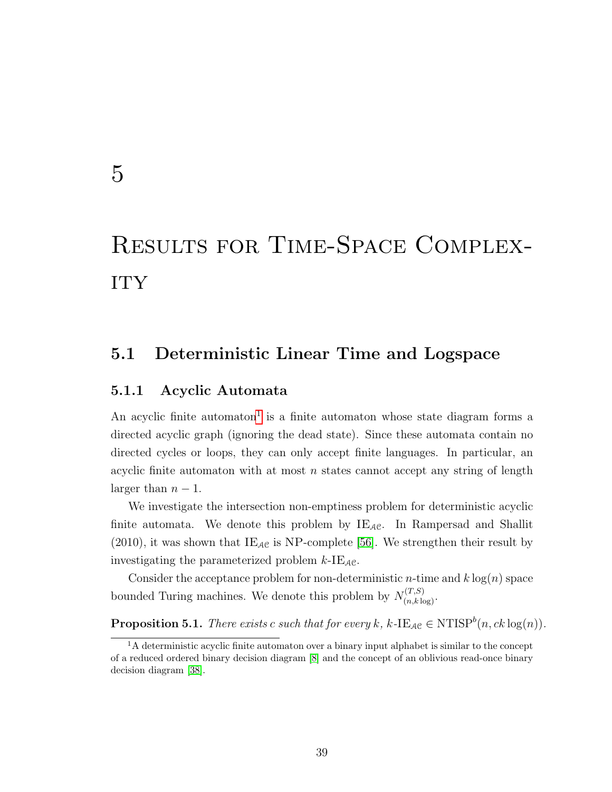## 5

# Results for Time-Space Complex-**ITY**

### 5.1 Deterministic Linear Time and Logspace

#### 5.1.1 Acyclic Automata

An acyclic finite automaton<sup>[1](#page-45-0)</sup> is a finite automaton whose state diagram forms a directed acyclic graph (ignoring the dead state). Since these automata contain no directed cycles or loops, they can only accept finite languages. In particular, an acyclic finite automaton with at most  $n$  states cannot accept any string of length larger than  $n-1$ .

We investigate the intersection non-emptiness problem for deterministic acyclic finite automata. We denote this problem by  $IE_{AC}$ . In Rampersad and Shallit (2010), it was shown that  $IE_{AC}$  is NP-complete [\[56\]](#page-78-1). We strengthen their result by investigating the parameterized problem  $k$ -IE<sub>AC</sub>.

Consider the acceptance problem for non-deterministic *n*-time and  $k \log(n)$  space bounded Turing machines. We denote this problem by  $N_{(n,k\log)}^{(T,S)}$ .

**Proposition 5.1.** There exists c such that for every k, k-IE<sub>AC</sub>  $\in$  NTISP<sup>b</sup>(n, ck log(n)).

<span id="page-45-0"></span> ${}^{1}$ A deterministic acyclic finite automaton over a binary input alphabet is similar to the concept of a reduced ordered binary decision diagram [\[8\]](#page-73-0) and the concept of an oblivious read-once binary decision diagram [\[38\]](#page-76-2).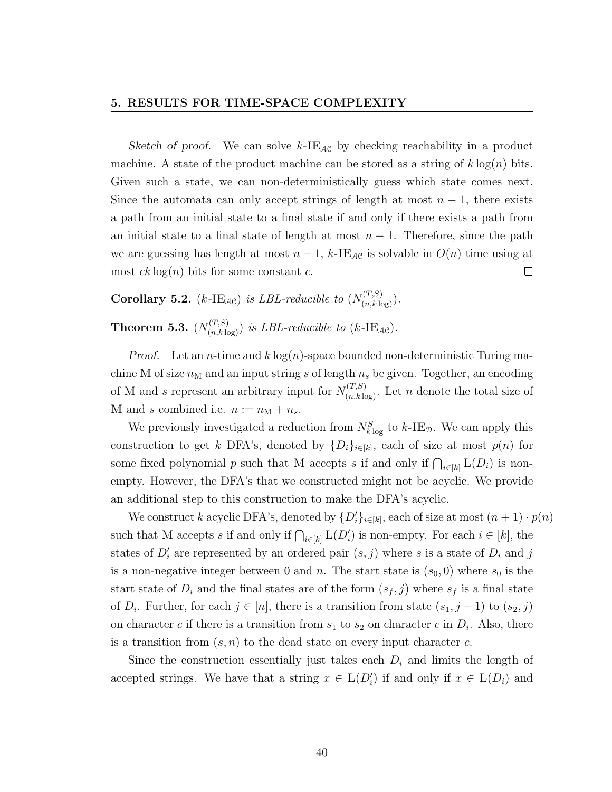#### 5. RESULTS FOR TIME-SPACE COMPLEXITY

Sketch of proof. We can solve  $k$ -IE<sub>AC</sub> by checking reachability in a product machine. A state of the product machine can be stored as a string of  $k \log(n)$  bits. Given such a state, we can non-deterministically guess which state comes next. Since the automata can only accept strings of length at most  $n-1$ , there exists a path from an initial state to a final state if and only if there exists a path from an initial state to a final state of length at most  $n-1$ . Therefore, since the path we are guessing has length at most  $n-1$ , k-IE<sub>AC</sub> is solvable in  $O(n)$  time using at most  $ck \log(n)$  bits for some constant c.  $\Box$ 

**Corollary 5.2.** (k-IE<sub>AC</sub>) is LBL-reducible to  $(N_{(n,k\log)}^{(T,S)})$ .

**Theorem 5.3.**  $(N_{(n,k\log)}^{(T,S)})$  is LBL-reducible to (k-IE<sub>AC</sub>).

*Proof.* Let an *n*-time and  $k \log(n)$ -space bounded non-deterministic Turing machine M of size  $n_M$  and an input string s of length  $n_s$  be given. Together, an encoding of M and s represent an arbitrary input for  $N_{(n,k\log)}^{(T,S)}$ . Let n denote the total size of M and s combined i.e.  $n := n<sub>M</sub> + n<sub>s</sub>$ .

We previously investigated a reduction from  $N_{k\log}^S$  to  $k$ -IE<sub>D</sub>. We can apply this construction to get k DFA's, denoted by  $\{D_i\}_{i\in[k]}$ , each of size at most  $p(n)$  for some fixed polynomial p such that M accepts s if and only if  $\bigcap_{i\in[k]} L(D_i)$  is nonempty. However, the DFA's that we constructed might not be acyclic. We provide an additional step to this construction to make the DFA's acyclic.

We construct k acyclic DFA's, denoted by  $\{D_i'\}_{i\in[k]}$ , each of size at most  $(n+1)\cdot p(n)$ such that M accepts s if and only if  $\bigcap_{i\in[k]} L(D_i')$  is non-empty. For each  $i \in [k]$ , the states of  $D_i'$  are represented by an ordered pair  $(s, j)$  where s is a state of  $D_i$  and j is a non-negative integer between 0 and n. The start state is  $(s_0, 0)$  where  $s_0$  is the start state of  $D_i$  and the final states are of the form  $(s_f, j)$  where  $s_f$  is a final state of  $D_i$ . Further, for each  $j \in [n]$ , there is a transition from state  $(s_1, j-1)$  to  $(s_2, j)$ on character c if there is a transition from  $s_1$  to  $s_2$  on character c in  $D_i$ . Also, there is a transition from  $(s, n)$  to the dead state on every input character c.

Since the construction essentially just takes each  $D_i$  and limits the length of accepted strings. We have that a string  $x \in L(D_i')$  if and only if  $x \in L(D_i)$  and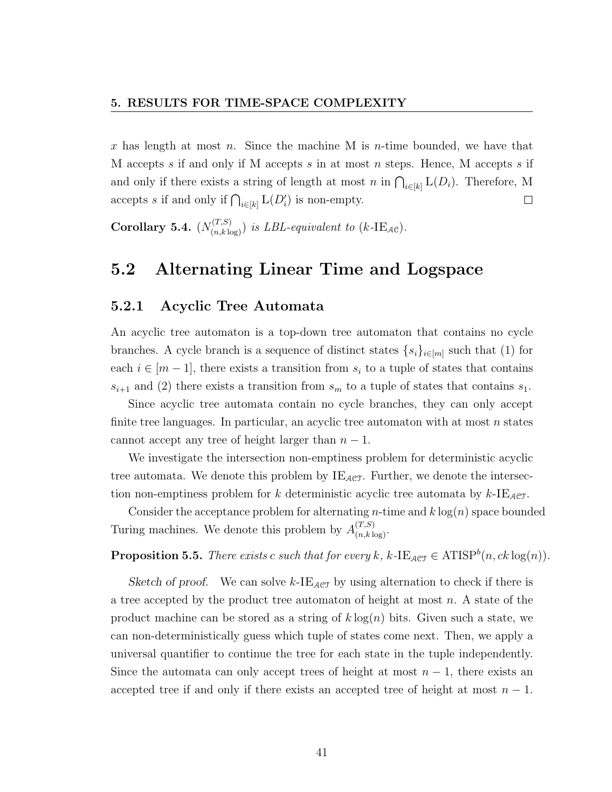x has length at most n. Since the machine M is n-time bounded, we have that M accepts s if and only if M accepts s in at most n steps. Hence, M accepts s if and only if there exists a string of length at most n in  $\bigcap_{i\in[k]} L(D_i)$ . Therefore, M accepts s if and only if  $\bigcap_{i\in[k]} L(D_i')$  is non-empty.  $\Box$ 

**Corollary 5.4.**  $(N_{(n,k \log)}^{(T,S)})$  is LBL-equivalent to  $(k$ -IE<sub>AC</sub>).

## 5.2 Alternating Linear Time and Logspace

#### 5.2.1 Acyclic Tree Automata

An acyclic tree automaton is a top-down tree automaton that contains no cycle branches. A cycle branch is a sequence of distinct states  $\{s_i\}_{i\in[m]}$  such that (1) for each  $i \in [m-1]$ , there exists a transition from  $s_i$  to a tuple of states that contains  $s_{i+1}$  and (2) there exists a transition from  $s_m$  to a tuple of states that contains  $s_1$ .

Since acyclic tree automata contain no cycle branches, they can only accept finite tree languages. In particular, an acyclic tree automaton with at most  $n$  states cannot accept any tree of height larger than  $n-1$ .

We investigate the intersection non-emptiness problem for deterministic acyclic tree automata. We denote this problem by  $IE_{ACT}$ . Further, we denote the intersection non-emptiness problem for k deterministic acyclic tree automata by  $k$ -IE<sub>ACT</sub>.

Consider the acceptance problem for alternating *n*-time and  $k \log(n)$  space bounded Turing machines. We denote this problem by  $A_{(n,k\log)}^{(T,S)}$ .

**Proposition 5.5.** There exists c such that for every k, k-IE<sub>ACT</sub>  $\in$  ATISP<sup>b</sup> $(n, ck \log(n))$ .

Sketch of proof. We can solve k-IE<sub>ACT</sub> by using alternation to check if there is a tree accepted by the product tree automaton of height at most  $n$ . A state of the product machine can be stored as a string of  $k \log(n)$  bits. Given such a state, we can non-deterministically guess which tuple of states come next. Then, we apply a universal quantifier to continue the tree for each state in the tuple independently. Since the automata can only accept trees of height at most  $n-1$ , there exists an accepted tree if and only if there exists an accepted tree of height at most  $n-1$ .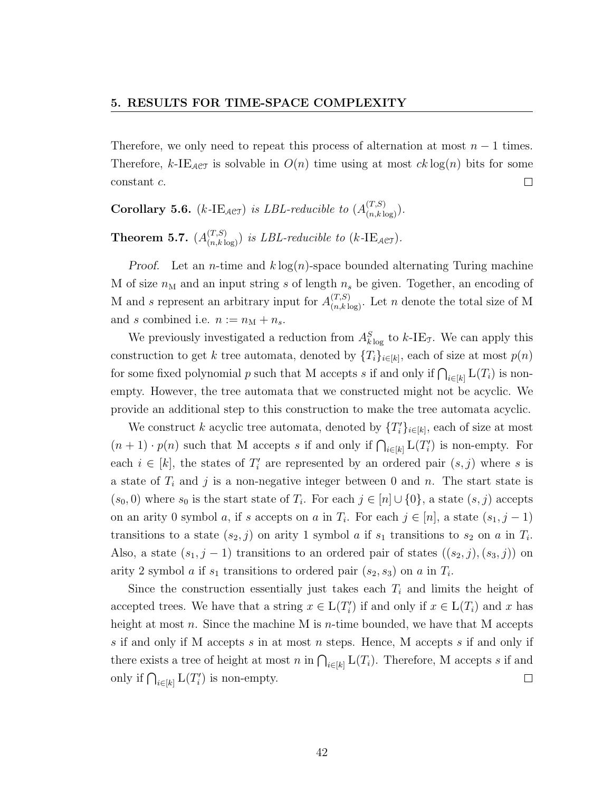Therefore, we only need to repeat this process of alternation at most  $n-1$  times. Therefore, k-IE<sub>ACT</sub> is solvable in  $O(n)$  time using at most  $ck \log(n)$  bits for some constant c.  $\Box$ 

**Corollary 5.6.** (k-IE<sub>ACT</sub>) is LBL-reducible to  $(A_{(n,k \log)}^{(T,S)})$ .

**Theorem 5.7.**  $(A_{(n,k \log)}^{(T,S)})$  is LBL-reducible to (k-IE<sub>ACT</sub>).

*Proof.* Let an *n*-time and  $k \log(n)$ -space bounded alternating Turing machine M of size  $n_M$  and an input string s of length  $n_s$  be given. Together, an encoding of M and s represent an arbitrary input for  $A_{(n,k\log)}^{(T,S)}$ . Let n denote the total size of M and s combined i.e.  $n := n_{\text{M}} + n_s$ .

We previously investigated a reduction from  $A_{k \log}^S$  to  $k$ -IE<sub>T</sub>. We can apply this construction to get k tree automata, denoted by  $\{T_i\}_{i\in[k]}$ , each of size at most  $p(n)$ for some fixed polynomial p such that M accepts s if and only if  $\bigcap_{i\in[k]} L(T_i)$  is nonempty. However, the tree automata that we constructed might not be acyclic. We provide an additional step to this construction to make the tree automata acyclic.

We construct k acyclic tree automata, denoted by  $\{T_i'\}_{i\in[k]}$ , each of size at most  $(n+1) \cdot p(n)$  such that M accepts s if and only if  $\bigcap_{i \in [k]} L(T_i')$  is non-empty. For each  $i \in [k]$ , the states of  $T_i'$  are represented by an ordered pair  $(s, j)$  where s is a state of  $T_i$  and j is a non-negative integer between 0 and n. The start state is  $(s_0, 0)$  where  $s_0$  is the start state of  $T_i$ . For each  $j \in [n] \cup \{0\}$ , a state  $(s, j)$  accepts on an arity 0 symbol *a*, if s accepts on *a* in  $T_i$ . For each  $j \in [n]$ , a state  $(s_1, j - 1)$ transitions to a state  $(s_2, j)$  on arity 1 symbol a if  $s_1$  transitions to  $s_2$  on a in  $T_i$ . Also, a state  $(s_1, j - 1)$  transitions to an ordered pair of states  $((s_2, j), (s_3, j))$  on arity 2 symbol *a* if  $s_1$  transitions to ordered pair  $(s_2, s_3)$  on *a* in  $T_i$ .

Since the construction essentially just takes each  $T_i$  and limits the height of accepted trees. We have that a string  $x \in L(T'_i)$  if and only if  $x \in L(T_i)$  and x has height at most n. Since the machine M is n-time bounded, we have that M accepts s if and only if M accepts s in at most n steps. Hence, M accepts s if and only if there exists a tree of height at most n in  $\bigcap_{i\in[k]} L(T_i)$ . Therefore, M accepts s if and only if  $\bigcap_{i\in[k]} L(T_i')$  is non-empty.  $\Box$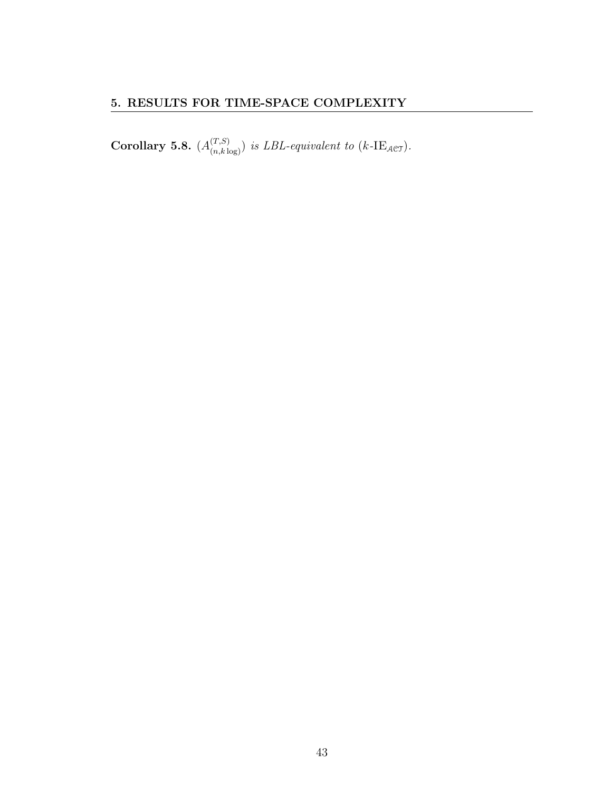**Corollary 5.8.**  $(A_{(n,k\log)}^{(T,S)})$  is LBL-equivalent to (k-IE<sub>ACT</sub>).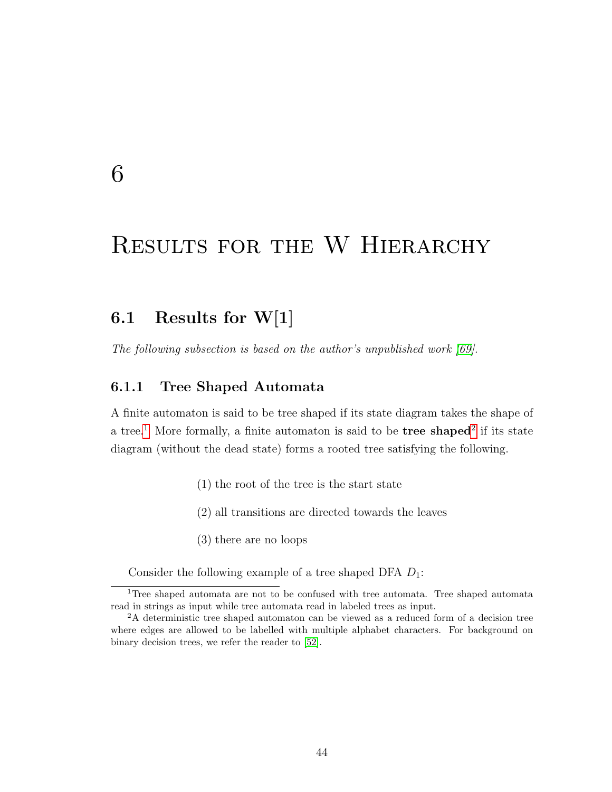## 6

## Results for the W Hierarchy

## 6.1 Results for W[1]

The following subsection is based on the author's unpublished work [\[69\]](#page-79-2).

#### 6.1.1 Tree Shaped Automata

A finite automaton is said to be tree shaped if its state diagram takes the shape of a tree.<sup>[1](#page-50-0)</sup> More formally, a finite automaton is said to be **tree shaped**<sup>[2](#page-50-1)</sup> if its state diagram (without the dead state) forms a rooted tree satisfying the following.

- (1) the root of the tree is the start state
- (2) all transitions are directed towards the leaves
- (3) there are no loops

<span id="page-50-0"></span>Consider the following example of a tree shaped DFA  $D_1$ :

<sup>&</sup>lt;sup>1</sup>Tree shaped automata are not to be confused with tree automata. Tree shaped automata read in strings as input while tree automata read in labeled trees as input.

<span id="page-50-1"></span><sup>2</sup>A deterministic tree shaped automaton can be viewed as a reduced form of a decision tree where edges are allowed to be labelled with multiple alphabet characters. For background on binary decision trees, we refer the reader to [\[52\]](#page-77-2).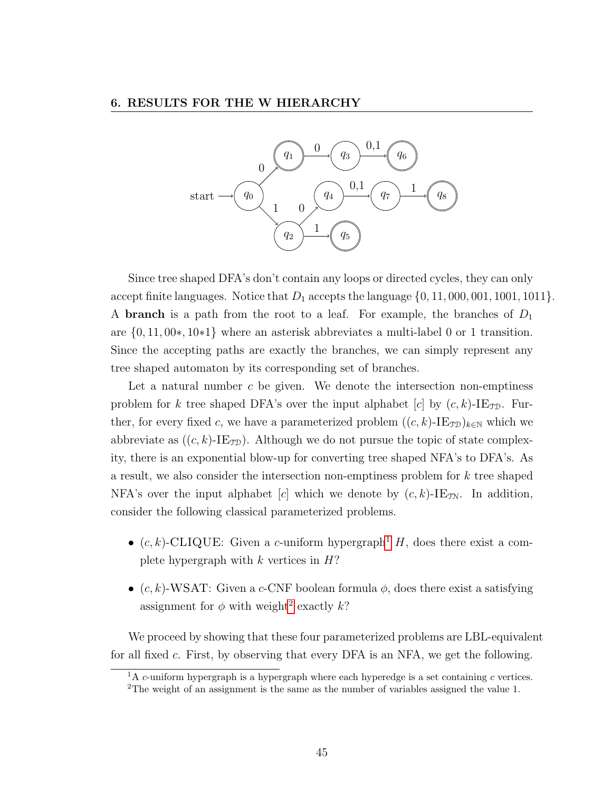

Since tree shaped DFA's don't contain any loops or directed cycles, they can only accept finite languages. Notice that  $D_1$  accepts the language  $\{0, 11, 000, 001, 1001, 1011\}$ . A **branch** is a path from the root to a leaf. For example, the branches of  $D_1$ are {0, 11, 00∗, 10∗1} where an asterisk abbreviates a multi-label 0 or 1 transition. Since the accepting paths are exactly the branches, we can simply represent any tree shaped automaton by its corresponding set of branches.

Let a natural number  $c$  be given. We denote the intersection non-emptiness problem for k tree shaped DFA's over the input alphabet  $|c|$  by  $(c, k)$ -IE<sub>TD</sub>. Further, for every fixed c, we have a parameterized problem  $((c, k)$ -IE<sub>TD</sub>)<sub>k∈N</sub> which we abbreviate as  $((c, k)$ -IE<sub>TD</sub>). Although we do not pursue the topic of state complexity, there is an exponential blow-up for converting tree shaped NFA's to DFA's. As a result, we also consider the intersection non-emptiness problem for  $k$  tree shaped NFA's over the input alphabet [c] which we denote by  $(c, k)$ -IE<sub>JN</sub>. In addition, consider the following classical parameterized problems.

- $(c, k)$ -CLIQUE: Given a c-uniform hypergraph<sup>[1](#page-51-0)</sup> H, does there exist a complete hypergraph with  $k$  vertices in  $H$ ?
- $(c, k)$ -WSAT: Given a c-CNF boolean formula  $\phi$ , does there exist a satisfying assignment for  $\phi$  with weight<sup>[2](#page-51-1)</sup> exactly k?

We proceed by showing that these four parameterized problems are LBL-equivalent for all fixed c. First, by observing that every DFA is an NFA, we get the following.

<span id="page-51-1"></span><span id="page-51-0"></span> ${}^{1}$ A c-uniform hypergraph is a hypergraph where each hyperedge is a set containing c vertices. <sup>2</sup>The weight of an assignment is the same as the number of variables assigned the value 1.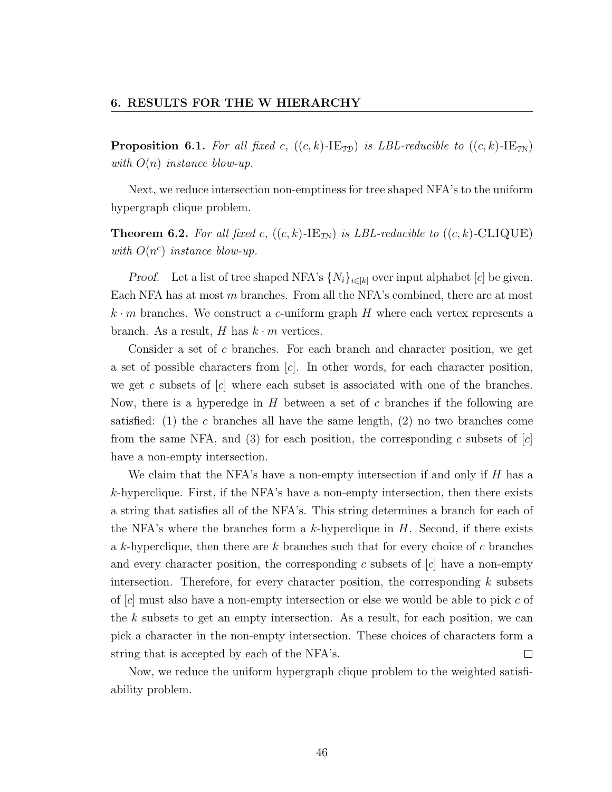**Proposition 6.1.** For all fixed c,  $((c, k)$ -IE<sub>TD</sub>) is LBL-reducible to  $((c, k)$ -IE<sub>TN</sub>) with  $O(n)$  instance blow-up.

Next, we reduce intersection non-emptiness for tree shaped NFA's to the uniform hypergraph clique problem.

**Theorem 6.2.** For all fixed c,  $((c, k)$ -IE<sub>TN</sub>) is LBL-reducible to  $((c, k)$ -CLIQUE) with  $O(n^c)$  instance blow-up.

*Proof.* Let a list of tree shaped NFA's  $\{N_i\}_{i\in[k]}$  over input alphabet [c] be given. Each NFA has at most m branches. From all the NFA's combined, there are at most  $k \cdot m$  branches. We construct a c-uniform graph H where each vertex represents a branch. As a result, H has  $k \cdot m$  vertices.

Consider a set of c branches. For each branch and character position, we get a set of possible characters from  $[c]$ . In other words, for each character position, we get c subsets of  $[c]$  where each subset is associated with one of the branches. Now, there is a hyperedge in  $H$  between a set of c branches if the following are satisfied: (1) the c branches all have the same length, (2) no two branches come from the same NFA, and (3) for each position, the corresponding c subsets of  $[c]$ have a non-empty intersection.

We claim that the NFA's have a non-empty intersection if and only if  $H$  has a  $k$ -hyperclique. First, if the NFA's have a non-empty intersection, then there exists a string that satisfies all of the NFA's. This string determines a branch for each of the NFA's where the branches form a k-hyperclique in  $H$ . Second, if there exists a k-hyperclique, then there are  $k$  branches such that for every choice of  $c$  branches and every character position, the corresponding c subsets of  $[c]$  have a non-empty intersection. Therefore, for every character position, the corresponding  $k$  subsets of  $[c]$  must also have a non-empty intersection or else we would be able to pick c of the  $k$  subsets to get an empty intersection. As a result, for each position, we can pick a character in the non-empty intersection. These choices of characters form a string that is accepted by each of the NFA's.  $\Box$ 

Now, we reduce the uniform hypergraph clique problem to the weighted satisfiability problem.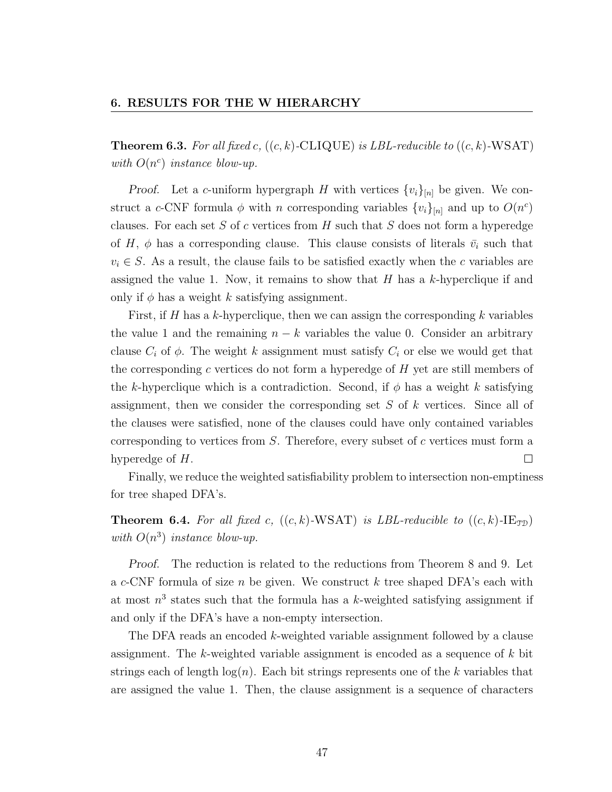**Theorem 6.3.** For all fixed c,  $((c, k)\text{-CLIQUE})$  is LBL-reducible to  $((c, k)\text{-WSAT})$ with  $O(n^c)$  instance blow-up.

Proof. Let a c-uniform hypergraph H with vertices  $\{v_i\}_{[n]}$  be given. We construct a c-CNF formula  $\phi$  with n corresponding variables  $\{v_i\}_{[n]}$  and up to  $O(n^c)$ clauses. For each set  $S$  of  $c$  vertices from  $H$  such that  $S$  does not form a hyperedge of H,  $\phi$  has a corresponding clause. This clause consists of literals  $\bar{v}_i$  such that  $v_i \in S$ . As a result, the clause fails to be satisfied exactly when the c variables are assigned the value 1. Now, it remains to show that  $H$  has a k-hyperclique if and only if  $\phi$  has a weight k satisfying assignment.

First, if H has a k-hyperclique, then we can assign the corresponding  $k$  variables the value 1 and the remaining  $n - k$  variables the value 0. Consider an arbitrary clause  $C_i$  of  $\phi$ . The weight k assignment must satisfy  $C_i$  or else we would get that the corresponding c vertices do not form a hyperedge of  $H$  yet are still members of the k-hyperclique which is a contradiction. Second, if  $\phi$  has a weight k satisfying assignment, then we consider the corresponding set S of k vertices. Since all of the clauses were satisfied, none of the clauses could have only contained variables corresponding to vertices from  $S$ . Therefore, every subset of  $c$  vertices must form a hyperedge of H. П

Finally, we reduce the weighted satisfiability problem to intersection non-emptiness for tree shaped DFA's.

**Theorem 6.4.** For all fixed c,  $((c, k)$ -WSAT) is LBL-reducible to  $((c, k)$ -IE<sub>TD</sub>) with  $O(n^3)$  instance blow-up.

Proof. The reduction is related to the reductions from Theorem 8 and 9. Let a c-CNF formula of size n be given. We construct  $k$  tree shaped DFA's each with at most  $n^3$  states such that the formula has a k-weighted satisfying assignment if and only if the DFA's have a non-empty intersection.

The DFA reads an encoded k-weighted variable assignment followed by a clause assignment. The k-weighted variable assignment is encoded as a sequence of  $k$  bit strings each of length  $log(n)$ . Each bit strings represents one of the k variables that are assigned the value 1. Then, the clause assignment is a sequence of characters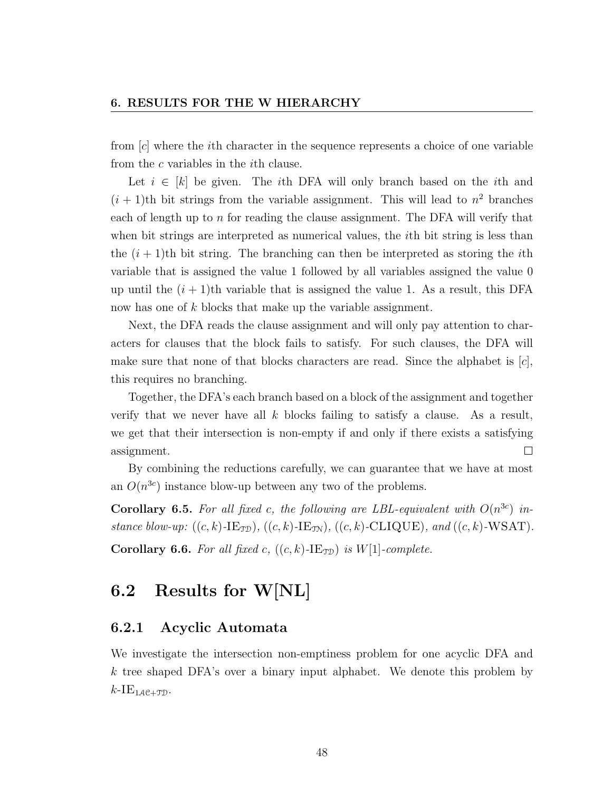from [c] where the ith character in the sequence represents a choice of one variable from the c variables in the ith clause.

Let  $i \in [k]$  be given. The *i*th DFA will only branch based on the *i*th and  $(i + 1)$ th bit strings from the variable assignment. This will lead to  $n^2$  branches each of length up to  $n$  for reading the clause assignment. The DFA will verify that when bit strings are interpreted as numerical values, the *i*th bit string is less than the  $(i + 1)$ th bit string. The branching can then be interpreted as storing the *i*th variable that is assigned the value 1 followed by all variables assigned the value 0 up until the  $(i + 1)$ th variable that is assigned the value 1. As a result, this DFA now has one of k blocks that make up the variable assignment.

Next, the DFA reads the clause assignment and will only pay attention to characters for clauses that the block fails to satisfy. For such clauses, the DFA will make sure that none of that blocks characters are read. Since the alphabet is  $[c]$ , this requires no branching.

Together, the DFA's each branch based on a block of the assignment and together verify that we never have all  $k$  blocks failing to satisfy a clause. As a result, we get that their intersection is non-empty if and only if there exists a satisfying  $\Box$ assignment.

By combining the reductions carefully, we can guarantee that we have at most an  $O(n^{3c})$  instance blow-up between any two of the problems.

**Corollary 6.5.** For all fixed c, the following are LBL-equivalent with  $O(n^{3c})$  instance blow-up:  $((c, k)\text{-IE}_{\text{TD}}), ((c, k)\text{-IE}_{\text{TN}}), ((c, k)\text{-CLIQUE}),$  and  $((c, k)\text{-WSAT})$ . **Corollary 6.6.** For all fixed c,  $((c, k)$ -IE<sub>TD</sub>) is W[1]-complete.

## 6.2 Results for W[NL]

#### 6.2.1 Acyclic Automata

We investigate the intersection non-emptiness problem for one acyclic DFA and k tree shaped DFA's over a binary input alphabet. We denote this problem by  $k$ -IE<sub>1AC+TD</sub>.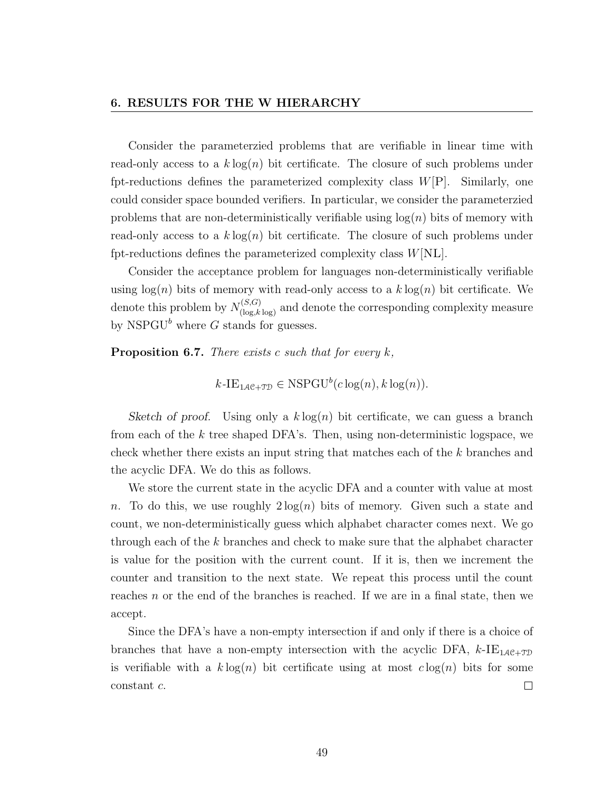#### 6. RESULTS FOR THE W HIERARCHY

Consider the parameterzied problems that are verifiable in linear time with read-only access to a  $k \log(n)$  bit certificate. The closure of such problems under fpt-reductions defines the parameterized complexity class  $W[P]$ . Similarly, one could consider space bounded verifiers. In particular, we consider the parameterzied problems that are non-deterministically verifiable using  $log(n)$  bits of memory with read-only access to a  $k \log(n)$  bit certificate. The closure of such problems under fpt-reductions defines the parameterized complexity class  $W[\text{NL}]$ .

Consider the acceptance problem for languages non-deterministically verifiable using  $log(n)$  bits of memory with read-only access to a  $k log(n)$  bit certificate. We denote this problem by  $N_{(\log,k \log)}^{(S,G)}$  and denote the corresponding complexity measure by NSPGU<sup>b</sup> where G stands for guesses.

**Proposition 6.7.** There exists c such that for every  $k$ ,

$$
k\text{-IE}_{1\mathcal{A}e+\mathcal{TD}} \in \text{NSPGU}^b(c\log(n), k\log(n)).
$$

Sketch of proof. Using only a  $k \log(n)$  bit certificate, we can guess a branch from each of the  $k$  tree shaped DFA's. Then, using non-deterministic logspace, we check whether there exists an input string that matches each of the k branches and the acyclic DFA. We do this as follows.

We store the current state in the acyclic DFA and a counter with value at most n. To do this, we use roughly  $2\log(n)$  bits of memory. Given such a state and count, we non-deterministically guess which alphabet character comes next. We go through each of the k branches and check to make sure that the alphabet character is value for the position with the current count. If it is, then we increment the counter and transition to the next state. We repeat this process until the count reaches  $n$  or the end of the branches is reached. If we are in a final state, then we accept.

Since the DFA's have a non-empty intersection if and only if there is a choice of branches that have a non-empty intersection with the acyclic DFA,  $k$ -IE<sub>1AC+TD</sub> is verifiable with a  $k \log(n)$  bit certificate using at most  $c \log(n)$  bits for some constant c.  $\Box$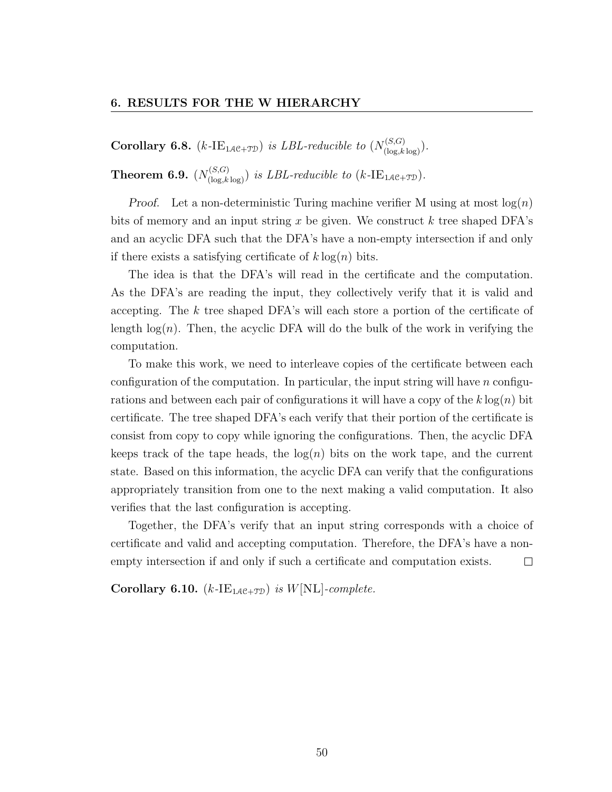**Corollary 6.8.** (k-IE<sub>1AC+TD</sub>) is LBL-reducible to  $(N_{(\log,k\log)}^{(S,G)})$ .

**Theorem 6.9.**  $(N_{(\log,k \log)}^{(S,G)})$  is LBL-reducible to  $(k\text{-IE}_{1\mathcal{A}\mathcal{C}+\mathcal{TD}})$ .

*Proof.* Let a non-deterministic Turing machine verifier M using at most  $log(n)$ bits of memory and an input string x be given. We construct k tree shaped DFA's and an acyclic DFA such that the DFA's have a non-empty intersection if and only if there exists a satisfying certificate of  $k \log(n)$  bits.

The idea is that the DFA's will read in the certificate and the computation. As the DFA's are reading the input, they collectively verify that it is valid and accepting. The k tree shaped DFA's will each store a portion of the certificate of length  $log(n)$ . Then, the acyclic DFA will do the bulk of the work in verifying the computation.

To make this work, we need to interleave copies of the certificate between each configuration of the computation. In particular, the input string will have  $n$  configurations and between each pair of configurations it will have a copy of the  $k \log(n)$  bit certificate. The tree shaped DFA's each verify that their portion of the certificate is consist from copy to copy while ignoring the configurations. Then, the acyclic DFA keeps track of the tape heads, the  $log(n)$  bits on the work tape, and the current state. Based on this information, the acyclic DFA can verify that the configurations appropriately transition from one to the next making a valid computation. It also verifies that the last configuration is accepting.

Together, the DFA's verify that an input string corresponds with a choice of certificate and valid and accepting computation. Therefore, the DFA's have a nonempty intersection if and only if such a certificate and computation exists.  $\Box$ 

Corollary 6.10.  $(k$ -IE<sub>1AC+TD</sub>) is W[NL]-complete.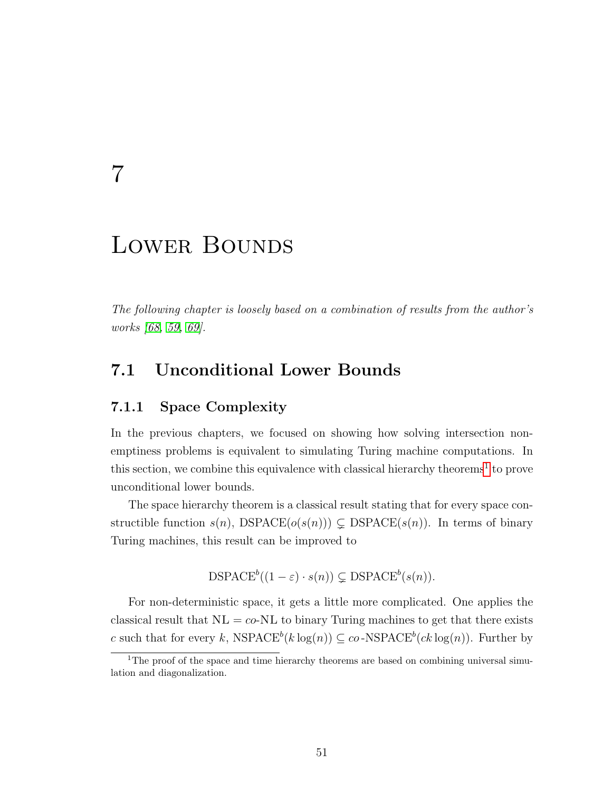## 7

## LOWER BOUNDS

The following chapter is loosely based on a combination of results from the author's works [\[68,](#page-79-3) [59,](#page-78-2) [69\]](#page-79-2).

### 7.1 Unconditional Lower Bounds

#### 7.1.1 Space Complexity

In the previous chapters, we focused on showing how solving intersection nonemptiness problems is equivalent to simulating Turing machine computations. In this section, we combine this equivalence with classical hierarchy theorems<sup>[1](#page-57-0)</sup> to prove unconditional lower bounds.

The space hierarchy theorem is a classical result stating that for every space constructible function  $s(n)$ , DSPACE $(o(s(n))) \subsetneq$  DSPACE $(s(n))$ . In terms of binary Turing machines, this result can be improved to

$$
DSPACE^{b}((1 - \varepsilon) \cdot s(n)) \subsetneq DSPACE^{b}(s(n)).
$$

For non-deterministic space, it gets a little more complicated. One applies the classical result that  $NL = co-NL$  to binary Turing machines to get that there exists c such that for every k,  $NSPACE^b(k \log(n)) \subseteq co-NSPACE^b(ck \log(n))$ . Further by

<span id="page-57-0"></span><sup>&</sup>lt;sup>1</sup>The proof of the space and time hierarchy theorems are based on combining universal simulation and diagonalization.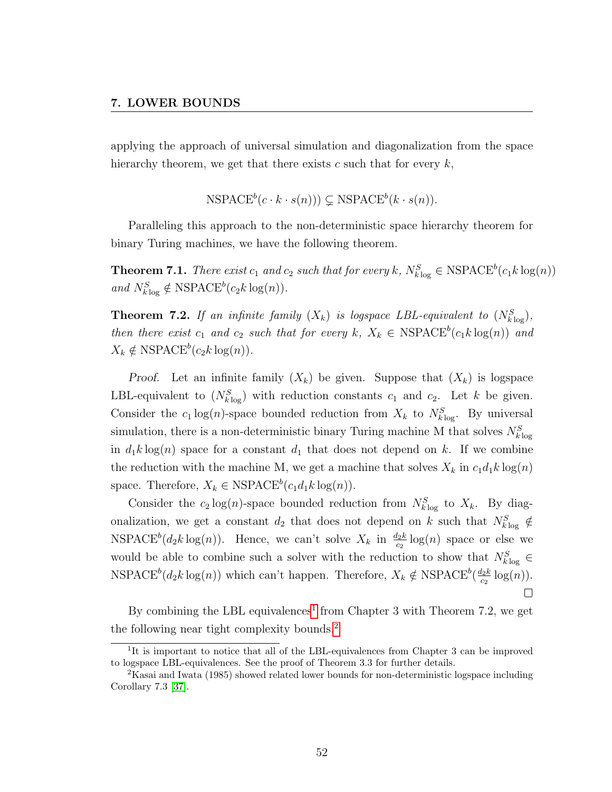applying the approach of universal simulation and diagonalization from the space hierarchy theorem, we get that there exists c such that for every  $k$ ,

 $\text{NSPACE}^b(c \cdot k \cdot s(n)) \subsetneq \text{NSPACE}^b(k \cdot s(n)).$ 

Paralleling this approach to the non-deterministic space hierarchy theorem for binary Turing machines, we have the following theorem.

**Theorem 7.1.** There exist  $c_1$  and  $c_2$  such that for every k,  $N_{k \log}^S \in \text{NSPACE}^b(c_1 k \log(n))$ and  $N_{k\log}^S \notin \text{NSPACE}^b(c_2k\log(n)).$ 

**Theorem 7.2.** If an infinite family  $(X_k)$  is logspace LBL-equivalent to  $(N_{klog}^S)$ , then there exist  $c_1$  and  $c_2$  such that for every  $k, X_k \in \text{NSPACE}^b(c_1k \log(n))$  and  $X_k \notin \text{NSPACE}^b(c_2k \log(n)).$ 

*Proof.* Let an infinite family  $(X_k)$  be given. Suppose that  $(X_k)$  is logspace LBL-equivalent to  $(N_{klog}^S)$  with reduction constants  $c_1$  and  $c_2$ . Let k be given. Consider the  $c_1 \log(n)$ -space bounded reduction from  $X_k$  to  $N_{k \log}^S$ . By universal simulation, there is a non-deterministic binary Turing machine M that solves  $N_{k\log}^{S}$ in  $d_1k \log(n)$  space for a constant  $d_1$  that does not depend on k. If we combine the reduction with the machine M, we get a machine that solves  $X_k$  in  $c_1d_1k\log(n)$ space. Therefore,  $X_k \in \text{NSPACE}^b(c_1d_1k \log(n)).$ 

Consider the  $c_2 \log(n)$ -space bounded reduction from  $N_{k \log n}^S$  to  $X_k$ . By diagonalization, we get a constant  $d_2$  that does not depend on k such that  $N_{klog}^S \notin$  $NSPACE<sup>b</sup>(d_2k \log(n))$ . Hence, we can't solve  $X_k$  in  $\frac{d_2k}{c_2} \log(n)$  space or else we would be able to combine such a solver with the reduction to show that  $N_{klog}^S$   $\in$ NSPACE<sup>b</sup>( $d_2k \log(n)$ ) which can't happen. Therefore,  $X_k \notin \text{NSPACE}^b(\frac{d_2k}{c_2})$  $rac{l_2k}{c_2}\log(n)$ ).  $\Box$ 

By combining the LBL equivalences<sup>[1](#page-58-0)</sup> from Chapter 3 with Theorem 7.2, we get the following near tight complexity bounds.[2](#page-58-1)

<span id="page-58-0"></span><sup>&</sup>lt;sup>1</sup>It is important to notice that all of the LBL-equivalences from Chapter 3 can be improved to logspace LBL-equivalences. See the proof of Theorem 3.3 for further details.

<span id="page-58-1"></span><sup>2</sup>Kasai and Iwata (1985) showed related lower bounds for non-deterministic logspace including Corollary 7.3 [\[37\]](#page-76-3).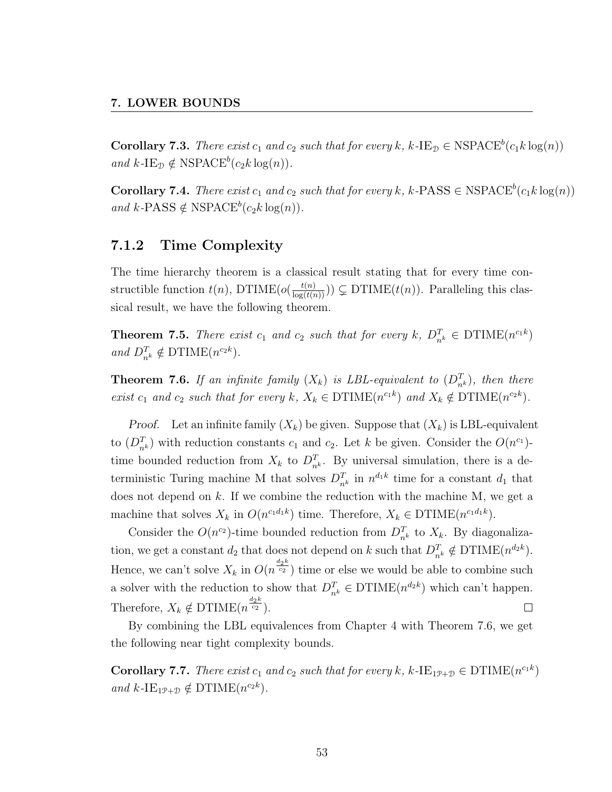**Corollary 7.3.** There exist  $c_1$  and  $c_2$  such that for every k, k-IE<sub>D</sub>  $\in$  NSPACE<sup>b</sup>( $c_1k \log(n)$ ) and  $k$ -IE<sub>D</sub>  $\notin$  NSPACE<sup>b</sup>(c<sub>2</sub>k log(n)).

**Corollary 7.4.** There exist  $c_1$  and  $c_2$  such that for every k, k-PASS  $\in$  NSPACE<sup>b</sup>( $c_1k \log(n)$ ) and  $k$ -PASS  $\notin$  NSPACE<sup>b</sup>(c<sub>2</sub>k log(n)).

#### 7.1.2 Time Complexity

The time hierarchy theorem is a classical result stating that for every time constructible function  $t(n)$ , DTIME $(o(\frac{t(n)}{\log(t(n))})) \subsetneq$  DTIME $(t(n))$ . Paralleling this classical result, we have the following theorem.

**Theorem 7.5.** There exist  $c_1$  and  $c_2$  such that for every  $k$ ,  $D_{n^k}^T \in \text{DTIME}(n^{c_1k})$ and  $D_{n^k}^T \notin \text{DTIME}(n^{c_2k}).$ 

**Theorem 7.6.** If an infinite family  $(X_k)$  is LBL-equivalent to  $(D_{n^k}^T)$ , then there exist  $c_1$  and  $c_2$  such that for every  $k, X_k \in \text{DTIME}(n^{c_1k})$  and  $X_k \notin \text{DTIME}(n^{c_2k})$ .

*Proof.* Let an infinite family  $(X_k)$  be given. Suppose that  $(X_k)$  is LBL-equivalent to  $(D_{n^k}^T)$  with reduction constants  $c_1$  and  $c_2$ . Let k be given. Consider the  $O(n^{c_1})$ time bounded reduction from  $X_k$  to  $D_{n^k}^T$ . By universal simulation, there is a deterministic Turing machine M that solves  $D_{n^k}^T$  in  $n^{d_1 k}$  time for a constant  $d_1$  that does not depend on  $k$ . If we combine the reduction with the machine M, we get a machine that solves  $X_k$  in  $O(n^{c_1 d_1 k})$  time. Therefore,  $X_k \in \text{DTIME}(n^{c_1 d_1 k})$ .

Consider the  $O(n^{c_2})$ -time bounded reduction from  $D_{n^k}^T$  to  $X_k$ . By diagonalization, we get a constant  $d_2$  that does not depend on k such that  $D_{n^k}^T \notin \text{DTIME}(n^{d_2k})$ . Hence, we can't solve  $X_k$  in  $O(n^{\frac{d_2 k}{c_2}})$  time or else we would be able to combine such a solver with the reduction to show that  $D_{n^k}^T \in \text{DTIME}(n^{d_2 k})$  which can't happen. Therefore,  $X_k \notin \text{DTIME}(n^{\frac{d_2 k}{c_2}})$ .  $\Box$ 

By combining the LBL equivalences from Chapter 4 with Theorem 7.6, we get the following near tight complexity bounds.

**Corollary 7.7.** There exist  $c_1$  and  $c_2$  such that for every k, k-IE<sub>1P+D</sub>  $\in$  DTIME( $n^{c_1k}$ ) and  $k$ -IE<sub>1P+D</sub>  $\notin$  DTIME( $n^{c_2k}$ ).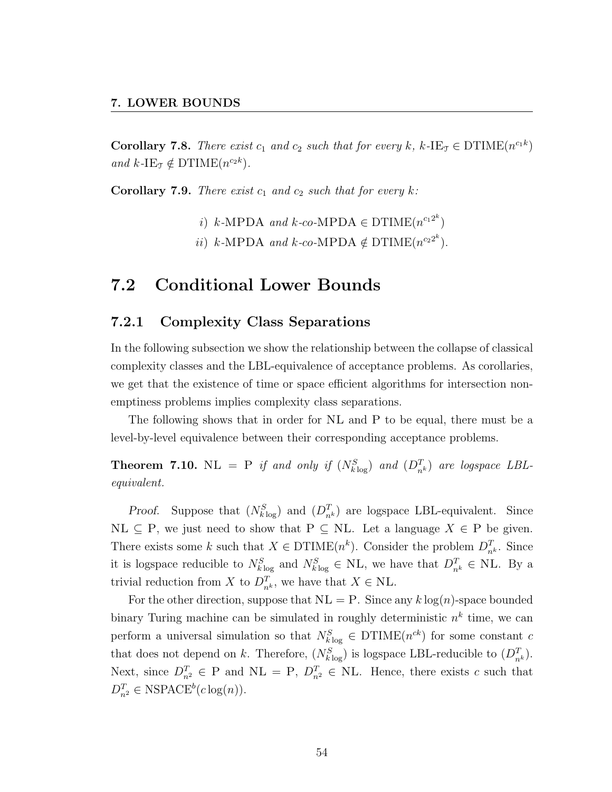**Corollary 7.8.** There exist  $c_1$  and  $c_2$  such that for every k, k-IE<sub>T</sub>  $\in$  DTIME $(n^{c_1k})$ and  $k$ -IE<sub>T</sub>  $\notin$  DTIME $(n^{c_2k})$ .

**Corollary 7.9.** There exist  $c_1$  and  $c_2$  such that for every k:

- i) k-MPDA and k-co-MPDA  $\in$  DTIME $(n^{c_1 2^k})$
- *ii*)  $k$ -MPDA and  $k$ -co-MPDA  $\notin$  DTIME( $n^{c_2 2^k}$ ).

### 7.2 Conditional Lower Bounds

#### 7.2.1 Complexity Class Separations

In the following subsection we show the relationship between the collapse of classical complexity classes and the LBL-equivalence of acceptance problems. As corollaries, we get that the existence of time or space efficient algorithms for intersection nonemptiness problems implies complexity class separations.

The following shows that in order for NL and P to be equal, there must be a level-by-level equivalence between their corresponding acceptance problems.

**Theorem 7.10.** NL = P if and only if  $(N_{klog}^S)$  and  $(D_{n^k}^T)$  are logspace LBLequivalent.

*Proof.* Suppose that  $(N_{k \log}^S)$  and  $(D_{n^k}^T)$  are logspace LBL-equivalent. Since  $NL \subseteq P$ , we just need to show that  $P \subseteq NL$ . Let a language  $X \in P$  be given. There exists some k such that  $X \in \text{DTIME}(n^k)$ . Consider the problem  $D_{n^k}^T$ . Since it is logspace reducible to  $N_{k \log}^S$  and  $N_{k \log}^S \in NL$ , we have that  $D_{n^k}^T \in NL$ . By a trivial reduction from X to  $D_{n^k}^T$ , we have that  $X \in \text{NL}$ .

For the other direction, suppose that  $NL = P$ . Since any k log(n)-space bounded binary Turing machine can be simulated in roughly deterministic  $n^k$  time, we can perform a universal simulation so that  $N_{k \log}^S \in \text{DTIME}(n^{ck})$  for some constant c that does not depend on k. Therefore,  $(N_{k\log}^S)$  is logspace LBL-reducible to  $(D_{n^k}^T)$ . Next, since  $D_{n^2}^T \in \mathcal{P}$  and  $\mathcal{N}$  = P,  $D_{n^2}^T \in \mathcal{N}$ . Hence, there exists c such that  $D_{n^2}^T \in \text{NSPACE}^b(c \log(n)).$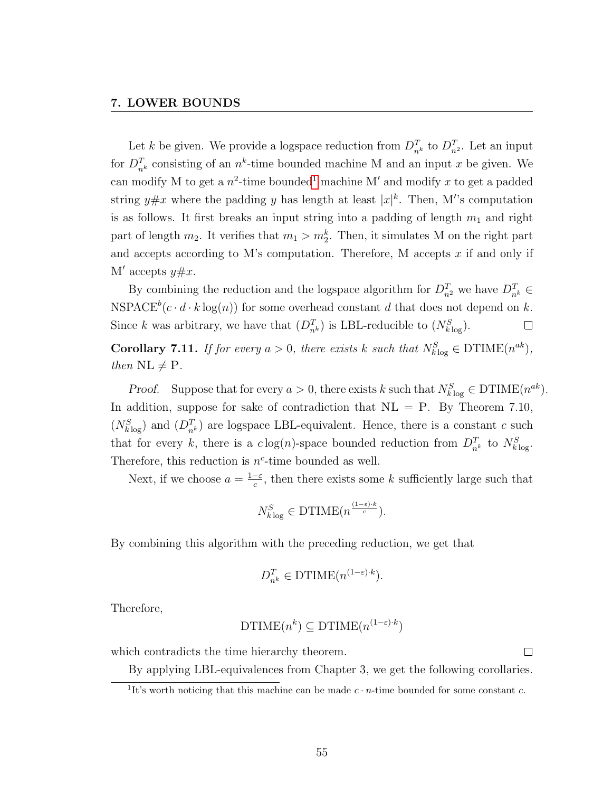Let k be given. We provide a logspace reduction from  $D_{n^k}^T$  to  $D_{n^2}^T$ . Let an input for  $D_{n^k}^T$  consisting of an  $n^k$ -time bounded machine M and an input x be given. We can modify M to get a  $n^2$ -time bounded<sup>[1](#page-61-0)</sup> machine M' and modify x to get a padded string  $y \# x$  where the padding y has length at least  $|x|^k$ . Then, M's computation is as follows. It first breaks an input string into a padding of length  $m_1$  and right part of length  $m_2$ . It verifies that  $m_1 > m_2^k$ . Then, it simulates M on the right part and accepts according to M's computation. Therefore, M accepts  $x$  if and only if M' accepts  $y \# x$ .

By combining the reduction and the logspace algorithm for  $D_{n^2}^T$  we have  $D_{n^k}^T \in$ NSPACE<sup>b</sup>( $c \cdot d \cdot k \log(n)$ ) for some overhead constant d that does not depend on k. Since k was arbitrary, we have that  $(D_{n^k}^T)$  is LBL-reducible to  $(N_{k \log}^S)$ .  $\Box$ 

**Corollary 7.11.** If for every  $a > 0$ , there exists k such that  $N_{klog}^S \in \text{DTIME}(n^{ak}),$ then  $\text{NL} \neq \text{P}$ .

*Proof.* Suppose that for every  $a > 0$ , there exists k such that  $N_{k \log}^S \in \text{DTIME}(n^{ak})$ . In addition, suppose for sake of contradiction that  $NL = P$ . By Theorem 7.10,  $(N_{k\log}^S)$  and  $(D_{n^k}^T)$  are logspace LBL-equivalent. Hence, there is a constant c such that for every k, there is a  $c \log(n)$ -space bounded reduction from  $D_{n^k}^T$  to  $N_{k \log}^S$ . Therefore, this reduction is  $n^c$ -time bounded as well.

Next, if we choose  $a = \frac{1-\varepsilon}{c}$  $\frac{-\varepsilon}{c}$ , then there exists some k sufficiently large such that

$$
N_{k\log}^{S} \in \text{DTIME}(n^{\frac{(1-\varepsilon)\cdot k}{c}}).
$$

By combining this algorithm with the preceding reduction, we get that

$$
D_{n^k}^T \in \text{DTIME}(n^{(1-\varepsilon)\cdot k}).
$$

Therefore,

DTIME
$$
(n^k) \subseteq \text{DTIME}(n^{(1-\varepsilon)\cdot k})
$$

which contradicts the time hierarchy theorem.

By applying LBL-equivalences from Chapter 3, we get the following corollaries.

 $\Box$ 

<span id="page-61-0"></span><sup>&</sup>lt;sup>1</sup>It's worth noticing that this machine can be made  $c \cdot n$ -time bounded for some constant c.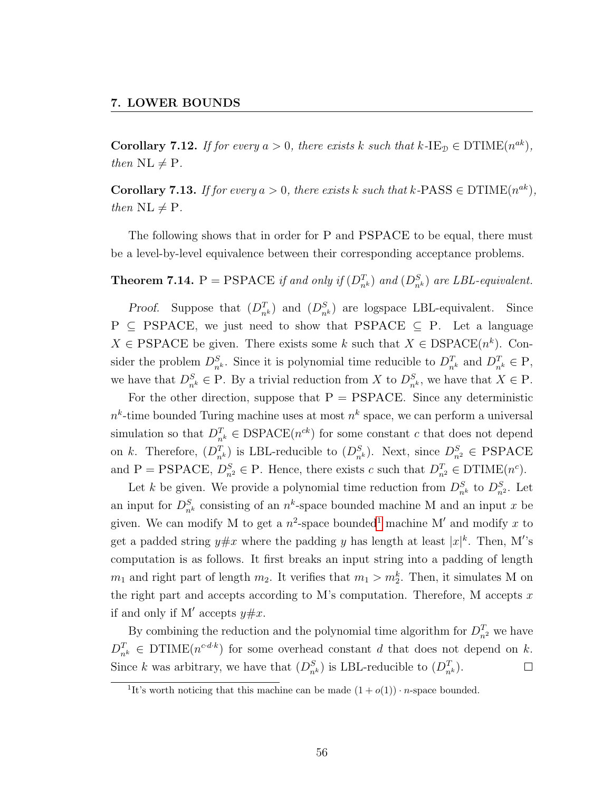**Corollary 7.12.** If for every  $a > 0$ , there exists k such that  $k$ -IE<sub>D</sub>  $\in$  DTIME $(n^{ak})$ , then  $\text{NL} \neq \text{P}$ .

**Corollary 7.13.** If for every  $a > 0$ , there exists k such that  $k$ -PASS  $\in$  DTIME $(n^{ak})$ , then  $\text{NL} \neq \text{P}$ .

The following shows that in order for P and PSPACE to be equal, there must be a level-by-level equivalence between their corresponding acceptance problems.

**Theorem 7.14.**  $P = PSPACE$  if and only if  $(D_{n^k}^T)$  and  $(D_{n^k}^S)$  are LBL-equivalent.

*Proof.* Suppose that  $(D_{n^k}^T)$  and  $(D_{n^k}^S)$  are logspace LBL-equivalent. Since  $P \subseteq PSPACE$ , we just need to show that PSPACE  $\subseteq P$ . Let a language  $X \in \text{PSPACE}$  be given. There exists some k such that  $X \in \text{DSPACE}(n^k)$ . Consider the problem  $D_{n^k}^S$ . Since it is polynomial time reducible to  $D_{n^k}^T$  and  $D_{n^k}^T \in \mathcal{P}$ , we have that  $D_{n^k}^S \in \mathcal{P}$ . By a trivial reduction from X to  $D_{n^k}^S$ , we have that  $X \in \mathcal{P}$ .

For the other direction, suppose that  $P = PSPACE$ . Since any deterministic  $n^k$ -time bounded Turing machine uses at most  $n^k$  space, we can perform a universal simulation so that  $D_{n^k}^T \in \text{DSPACE}(n^{ck})$  for some constant c that does not depend on k. Therefore,  $(D_{n^k}^T)$  is LBL-reducible to  $(D_{n^k}^S)$ . Next, since  $D_{n^2}^S \in \text{PSPACE}$ and P = PSPACE,  $D_{n^2}^S \in \mathcal{P}$ . Hence, there exists c such that  $D_{n^2}^T \in \text{DTIME}(n^c)$ .

Let k be given. We provide a polynomial time reduction from  $D_{n^k}^S$  to  $D_{n^2}^S$ . Let an input for  $D_{n^k}^S$  consisting of an  $n^k$ -space bounded machine M and an input x be given. We can modify M to get a  $n^2$ -space bounded<sup>[1](#page-62-0)</sup> machine M' and modify x to get a padded string  $y \# x$  where the padding y has length at least  $|x|^k$ . Then, M's computation is as follows. It first breaks an input string into a padding of length  $m_1$  and right part of length  $m_2$ . It verifies that  $m_1 > m_2^k$ . Then, it simulates M on the right part and accepts according to M's computation. Therefore, M accepts  $x$ if and only if M' accepts  $y \# x$ .

By combining the reduction and the polynomial time algorithm for  $D_{n^2}^T$  we have  $D_{n^k}^T \in \text{DTIME}(n^{c \cdot d \cdot k})$  for some overhead constant d that does not depend on k. Since k was arbitrary, we have that  $(D_{n^k}^S)$  is LBL-reducible to  $(D_{n^k}^T)$ .  $\Box$ 

<span id="page-62-0"></span><sup>&</sup>lt;sup>1</sup>It's worth noticing that this machine can be made  $(1 + o(1)) \cdot n$ -space bounded.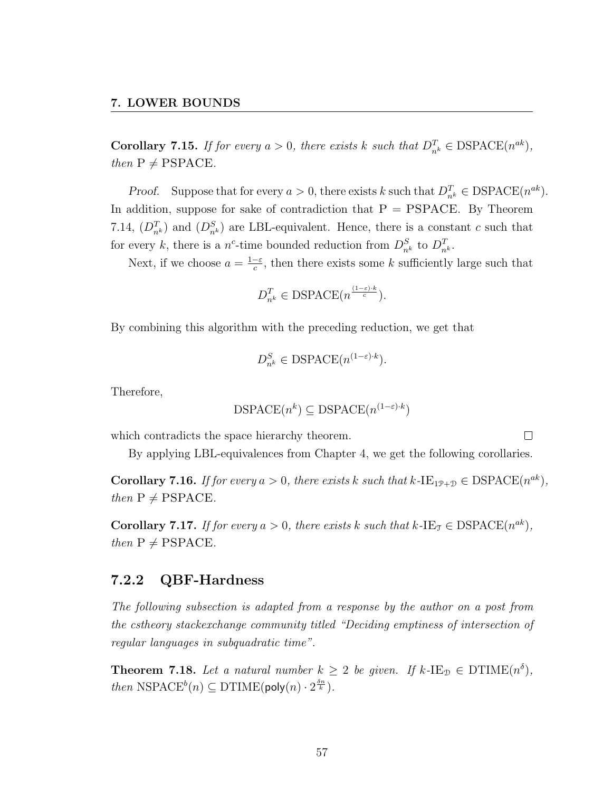**Corollary 7.15.** If for every  $a > 0$ , there exists k such that  $D_{n^k}^T \in \text{DSPACE}(n^{ak}),$ then  $P \neq PSPACE$ .

*Proof.* Suppose that for every  $a > 0$ , there exists k such that  $D_{n^k}^T \in \text{DSPACE}(n^{ak})$ . In addition, suppose for sake of contradiction that  $P = PSPACE$ . By Theorem 7.14,  $(D_{n^k}^T)$  and  $(D_{n^k}^S)$  are LBL-equivalent. Hence, there is a constant c such that for every k, there is a n<sup>c</sup>-time bounded reduction from  $D_{n^k}^S$  to  $D_{n^k}^T$ .

Next, if we choose  $a = \frac{1-\varepsilon}{c}$  $\frac{-\varepsilon}{c}$ , then there exists some k sufficiently large such that

$$
D_{n^k}^T \in \text{DSPACE}(n^{\frac{(1-\varepsilon)\cdot k}{c}}).
$$

By combining this algorithm with the preceding reduction, we get that

$$
D_{n^k}^S \in \text{DSPACE}(n^{(1-\varepsilon)\cdot k}).
$$

Therefore,

$$
\text{DSPACE}(n^k) \subseteq \text{DSPACE}(n^{(1-\varepsilon) \cdot k})
$$

which contradicts the space hierarchy theorem.

By applying LBL-equivalences from Chapter 4, we get the following corollaries.

 $\Box$ 

**Corollary 7.16.** If for every  $a > 0$ , there exists k such that  $k$ -IE<sub>1P+D</sub>  $\in$  DSPACE( $n^{ak}$ ), then  $P \neq PSPACE$ .

**Corollary 7.17.** If for every  $a > 0$ , there exists k such that  $k$ -IE<sub>T</sub>  $\in$  DSPACE( $n^{ak}$ ), then  $P \neq PSPACE$ .

#### 7.2.2 QBF-Hardness

The following subsection is adapted from a response by the author on a post from the cstheory stackexchange community titled "Deciding emptiness of intersection of regular languages in subquadratic time".

**Theorem 7.18.** Let a natural number  $k \geq 2$  be given. If  $k$ -IE<sub>D</sub>  $\in$  DTIME $(n^{\delta})$ , *then*  $NSPACE<sup>b</sup>(n) \subseteq DTIME(poly(n) \cdot 2^{\frac{\delta n}{k}})$ .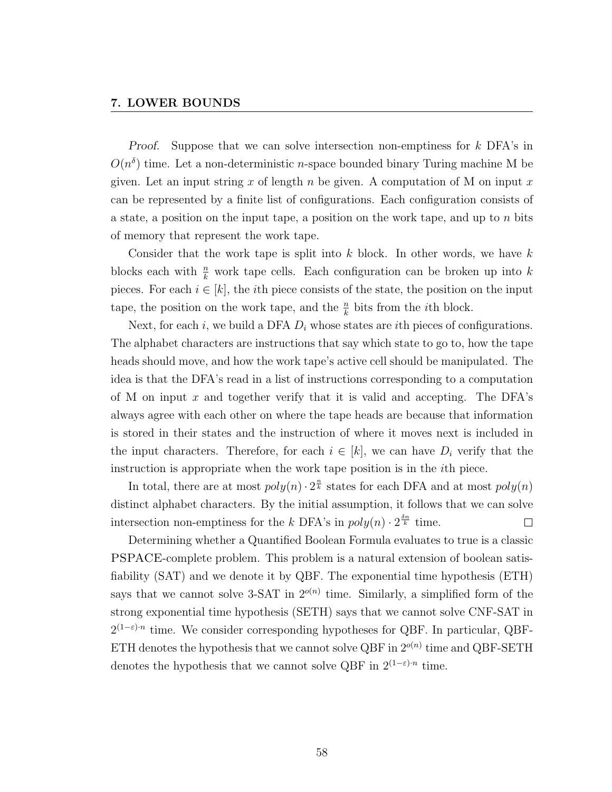#### 7. LOWER BOUNDS

Proof. Suppose that we can solve intersection non-emptiness for k DFA's in  $O(n^{\delta})$  time. Let a non-deterministic *n*-space bounded binary Turing machine M be given. Let an input string x of length n be given. A computation of M on input x can be represented by a finite list of configurations. Each configuration consists of a state, a position on the input tape, a position on the work tape, and up to  $n$  bits of memory that represent the work tape.

Consider that the work tape is split into  $k$  block. In other words, we have  $k$ blocks each with  $\frac{n}{k}$  work tape cells. Each configuration can be broken up into k pieces. For each  $i \in [k]$ , the *i*th piece consists of the state, the position on the input tape, the position on the work tape, and the  $\frac{n}{k}$  bits from the *i*<sup>th</sup> block.

Next, for each i, we build a DFA  $D_i$  whose states are ith pieces of configurations. The alphabet characters are instructions that say which state to go to, how the tape heads should move, and how the work tape's active cell should be manipulated. The idea is that the DFA's read in a list of instructions corresponding to a computation of M on input  $x$  and together verify that it is valid and accepting. The DFA's always agree with each other on where the tape heads are because that information is stored in their states and the instruction of where it moves next is included in the input characters. Therefore, for each  $i \in [k]$ , we can have  $D_i$  verify that the instruction is appropriate when the work tape position is in the ith piece.

In total, there are at most  $poly(n) \cdot 2^{\frac{n}{k}}$  states for each DFA and at most  $poly(n)$ distinct alphabet characters. By the initial assumption, it follows that we can solve intersection non-emptiness for the k DFA's in  $poly(n) \cdot 2^{\frac{\delta n}{k}}$  time.  $\Box$ 

Determining whether a Quantified Boolean Formula evaluates to true is a classic PSPACE-complete problem. This problem is a natural extension of boolean satisfiability (SAT) and we denote it by QBF. The exponential time hypothesis (ETH) says that we cannot solve 3-SAT in  $2^{o(n)}$  time. Similarly, a simplified form of the strong exponential time hypothesis (SETH) says that we cannot solve CNF-SAT in  $2^{(1-\varepsilon)n}$  time. We consider corresponding hypotheses for QBF. In particular, QBF-ETH denotes the hypothesis that we cannot solve QBF in  $2^{o(n)}$  time and QBF-SETH denotes the hypothesis that we cannot solve QBF in  $2^{(1-\epsilon)n}$  time.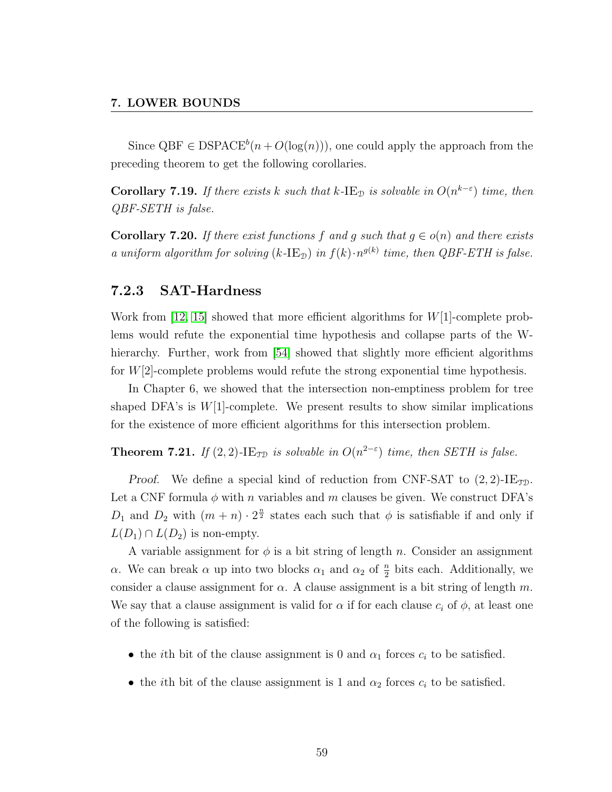Since  $QBF \in DSPACE^{b}(n + O(log(n)))$ , one could apply the approach from the preceding theorem to get the following corollaries.

**Corollary 7.19.** If there exists k such that k-IE<sub>D</sub> is solvable in  $O(n^{k-\epsilon})$  time, then QBF-SETH is false.

**Corollary 7.20.** If there exist functions f and q such that  $q \in o(n)$  and there exists a uniform algorithm for solving  $(k$ -IE<sub>D</sub>) in  $f(k) \cdot n^{g(k)}$  time, then QBF-ETH is false.

#### 7.2.3 SAT-Hardness

Work from [\[12,](#page-73-1) [15\]](#page-73-2) showed that more efficient algorithms for  $W[1]$ -complete problems would refute the exponential time hypothesis and collapse parts of the W-hierarchy. Further, work from [\[54\]](#page-78-3) showed that slightly more efficient algorithms for  $W[2]$ -complete problems would refute the strong exponential time hypothesis.

In Chapter 6, we showed that the intersection non-emptiness problem for tree shaped DFA's is  $W[1]$ -complete. We present results to show similar implications for the existence of more efficient algorithms for this intersection problem.

**Theorem 7.21.** If  $(2, 2)$ -IE<sub>TD</sub> is solvable in  $O(n^{2-\epsilon})$  time, then SETH is false.

*Proof.* We define a special kind of reduction from CNF-SAT to  $(2, 2)$ -IE<sub>TD</sub>. Let a CNF formula  $\phi$  with n variables and m clauses be given. We construct DFA's  $D_1$  and  $D_2$  with  $(m+n) \cdot 2^{\frac{n}{2}}$  states each such that  $\phi$  is satisfiable if and only if  $L(D_1) \cap L(D_2)$  is non-empty.

A variable assignment for  $\phi$  is a bit string of length n. Consider an assignment  $\alpha$ . We can break  $\alpha$  up into two blocks  $\alpha_1$  and  $\alpha_2$  of  $\frac{n}{2}$  bits each. Additionally, we consider a clause assignment for  $\alpha$ . A clause assignment is a bit string of length m. We say that a clause assignment is valid for  $\alpha$  if for each clause  $c_i$  of  $\phi$ , at least one of the following is satisfied:

- the *i*th bit of the clause assignment is 0 and  $\alpha_1$  forces  $c_i$  to be satisfied.
- the *i*th bit of the clause assignment is 1 and  $\alpha_2$  forces  $c_i$  to be satisfied.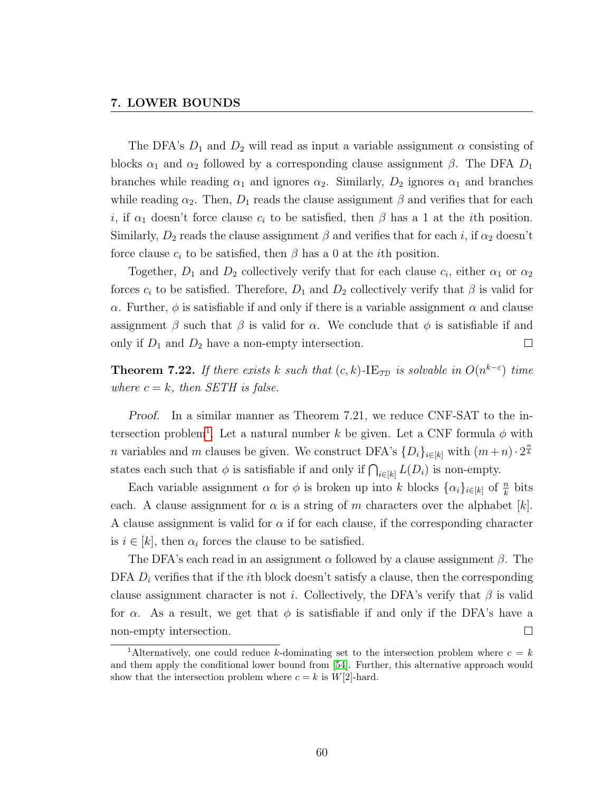#### 7. LOWER BOUNDS

The DFA's  $D_1$  and  $D_2$  will read as input a variable assignment  $\alpha$  consisting of blocks  $\alpha_1$  and  $\alpha_2$  followed by a corresponding clause assignment  $\beta$ . The DFA  $D_1$ branches while reading  $\alpha_1$  and ignores  $\alpha_2$ . Similarly,  $D_2$  ignores  $\alpha_1$  and branches while reading  $\alpha_2$ . Then,  $D_1$  reads the clause assignment  $\beta$  and verifies that for each i, if  $\alpha_1$  doesn't force clause  $c_i$  to be satisfied, then  $\beta$  has a 1 at the ith position. Similarly,  $D_2$  reads the clause assignment  $\beta$  and verifies that for each i, if  $\alpha_2$  doesn't force clause  $c_i$  to be satisfied, then  $\beta$  has a 0 at the *i*th position.

Together,  $D_1$  and  $D_2$  collectively verify that for each clause  $c_i$ , either  $\alpha_1$  or  $\alpha_2$ forces  $c_i$  to be satisfied. Therefore,  $D_1$  and  $D_2$  collectively verify that  $\beta$  is valid for α. Further,  $\phi$  is satisfiable if and only if there is a variable assignment  $\alpha$  and clause assignment  $\beta$  such that  $\beta$  is valid for  $\alpha$ . We conclude that  $\phi$  is satisfiable if and only if  $D_1$  and  $D_2$  have a non-empty intersection.  $\Box$ 

**Theorem 7.22.** If there exists k such that  $(c, k)$ -IE<sub>TD</sub> is solvable in  $O(n^{k-\epsilon})$  time where  $c = k$ , then SETH is false.

Proof. In a similar manner as Theorem 7.21, we reduce CNF-SAT to the in-tersection problem<sup>[1](#page-66-0)</sup>. Let a natural number k be given. Let a CNF formula  $\phi$  with *n* variables and *m* clauses be given. We construct DFA's  $\{D_i\}_{i\in[k]}$  with  $(m+n)\cdot 2^{\frac{n}{k}}$ states each such that  $\phi$  is satisfiable if and only if  $\bigcap_{i\in[k]} L(D_i)$  is non-empty.

Each variable assignment  $\alpha$  for  $\phi$  is broken up into k blocks  $\{\alpha_i\}_{i\in[k]}$  of  $\frac{n}{k}$  bits each. A clause assignment for  $\alpha$  is a string of m characters over the alphabet  $[k]$ . A clause assignment is valid for  $\alpha$  if for each clause, if the corresponding character is  $i \in [k]$ , then  $\alpha_i$  forces the clause to be satisfied.

The DFA's each read in an assignment  $\alpha$  followed by a clause assignment  $\beta$ . The DFA  $D_i$  verifies that if the *i*th block doesn't satisfy a clause, then the corresponding clause assignment character is not *i*. Collectively, the DFA's verify that  $\beta$  is valid for  $\alpha$ . As a result, we get that  $\phi$  is satisfiable if and only if the DFA's have a non-empty intersection.  $\Box$ 

<span id="page-66-0"></span><sup>&</sup>lt;sup>1</sup>Alternatively, one could reduce k-dominating set to the intersection problem where  $c = k$ and them apply the conditional lower bound from [\[54\]](#page-78-3). Further, this alternative approach would show that the intersection problem where  $c = k$  is  $W[2]$ -hard.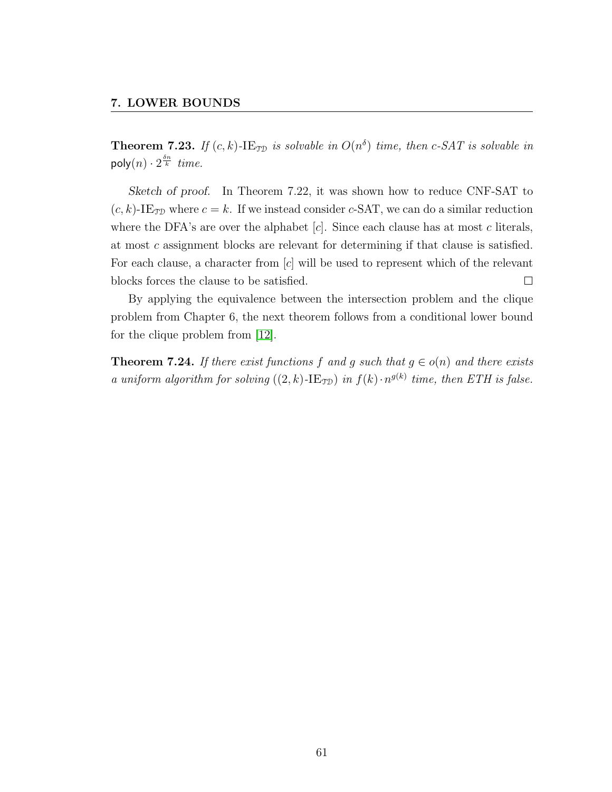**Theorem 7.23.** If  $(c, k)$ -IE<sub>TD</sub> is solvable in  $O(n^{\delta})$  time, then c-SAT is solvable in poly $(n) \cdot 2^{\frac{\delta n}{k}}$  time.

Sketch of proof. In Theorem 7.22, it was shown how to reduce CNF-SAT to  $(c, k)$ -IE<sub>TD</sub> where  $c = k$ . If we instead consider c-SAT, we can do a similar reduction where the DFA's are over the alphabet  $[c]$ . Since each clause has at most c literals, at most c assignment blocks are relevant for determining if that clause is satisfied. For each clause, a character from [c] will be used to represent which of the relevant  $\Box$ blocks forces the clause to be satisfied.

By applying the equivalence between the intersection problem and the clique problem from Chapter 6, the next theorem follows from a conditional lower bound for the clique problem from [\[12\]](#page-73-1).

**Theorem 7.24.** If there exist functions f and g such that  $g \in o(n)$  and there exists a uniform algorithm for solving  $((2, k)$ -IE<sub>TD</sub>) in  $f(k) \cdot n^{g(k)}$  time, then ETH is false.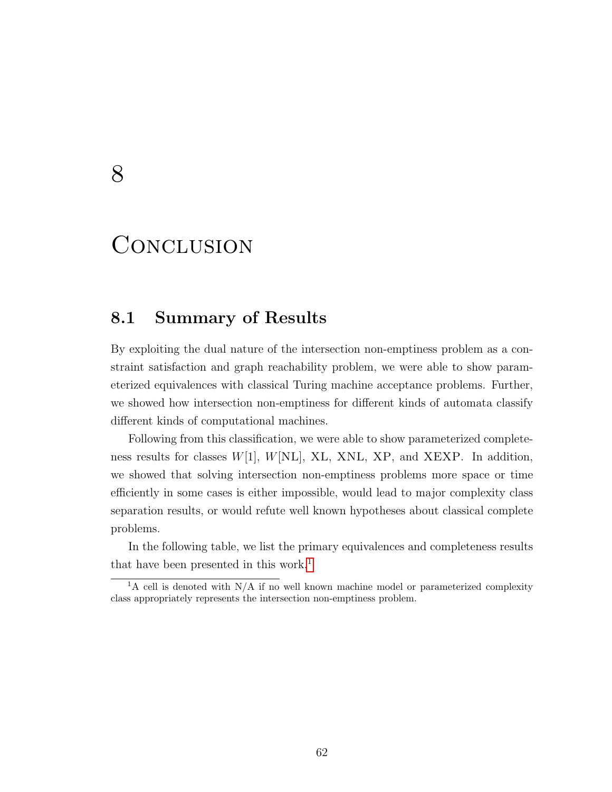## 8

## **CONCLUSION**

## 8.1 Summary of Results

By exploiting the dual nature of the intersection non-emptiness problem as a constraint satisfaction and graph reachability problem, we were able to show parameterized equivalences with classical Turing machine acceptance problems. Further, we showed how intersection non-emptiness for different kinds of automata classify different kinds of computational machines.

Following from this classification, we were able to show parameterized completeness results for classes  $W[1]$ ,  $W[NL]$ , XL, XNL, XP, and XEXP. In addition, we showed that solving intersection non-emptiness problems more space or time efficiently in some cases is either impossible, would lead to major complexity class separation results, or would refute well known hypotheses about classical complete problems.

In the following table, we list the primary equivalences and completeness results that have been presented in this work.<sup>[1](#page-68-0)</sup>

<span id="page-68-0"></span><sup>&</sup>lt;sup>1</sup>A cell is denoted with N/A if no well known machine model or parameterized complexity class appropriately represents the intersection non-emptiness problem.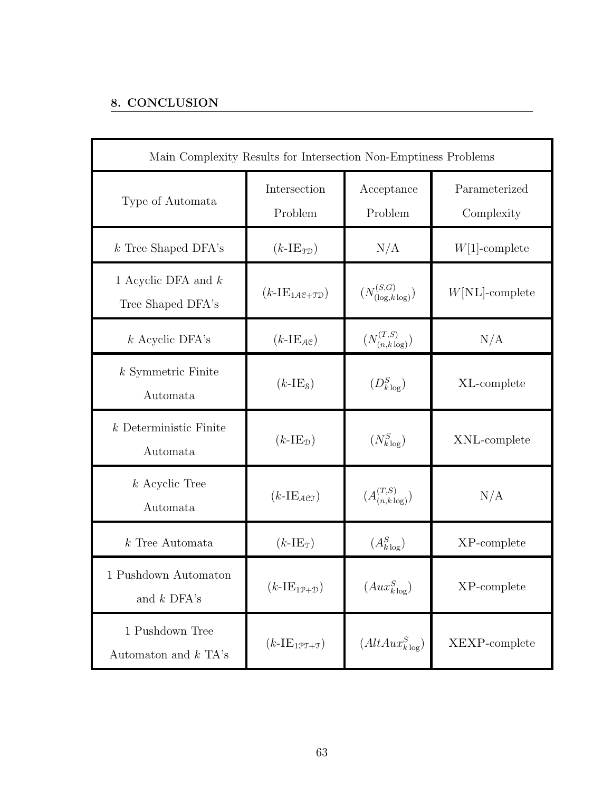### 8. CONCLUSION

| Main Complexity Results for Intersection Non-Emptiness Problems |                                                        |                                 |                             |
|-----------------------------------------------------------------|--------------------------------------------------------|---------------------------------|-----------------------------|
| Type of Automata                                                | Intersection<br>Problem                                | Acceptance<br>Problem           | Parameterized<br>Complexity |
| $k$ Tree Shaped DFA's                                           | $(k-IE_{\text{TD}})$                                   | N/A                             | $W[1]$ -complete            |
| 1 Acyclic DFA and $k$<br>Tree Shaped DFA's                      | $(k\text{-}IE_{1\mathcal{A}\mathcal{C}+\mathcal{TD}})$ | $(N_{(\log,k\log)}^{(S,G)})$    | $W[NL]$ -complete           |
| $k$ Acyclic DFA's                                               | $(k-IE_{\mathcal{A}\mathcal{C}})$                      | $(N_{(n,k\log)}^{(T,S)})$       | N/A                         |
| $k$ Symmetric Finite<br>Automata                                | $(k-IE8)$                                              | $(D_{k\log}^S)$                 | XL-complete                 |
| $k$ Deterministic Finite<br>Automata                            | $(k-IE_{\mathcal{D}})$                                 | $(N_{k\log}^S)$                 | XNL-complete                |
| $k$ Acyclic Tree<br>Automata                                    | $(k-IE_{\mathcal{A}\mathcal{C}\mathcal{T}})$           | $(A_{(n,k \log)}^{(T,S)})$      | N/A                         |
| $k$ Tree Automata                                               | $(k-IE_{\mathcal{T}})$                                 | $(A_{k\log}^S)$                 | $XP$ -complete              |
| $1$ Pushdown Automaton $\,$<br>and $k$ DFA's                    | $(k-IE_{1P+D})$                                        | $\left( Aux_{k\log}^{S}\right)$ | XP-complete                 |
| 1 Pushdown Tree<br>Automaton and $k$ TA's                       | $(k-IE_{1PT+T})$                                       | $(AltAux_{klog}^S)$             | XEXP-complete               |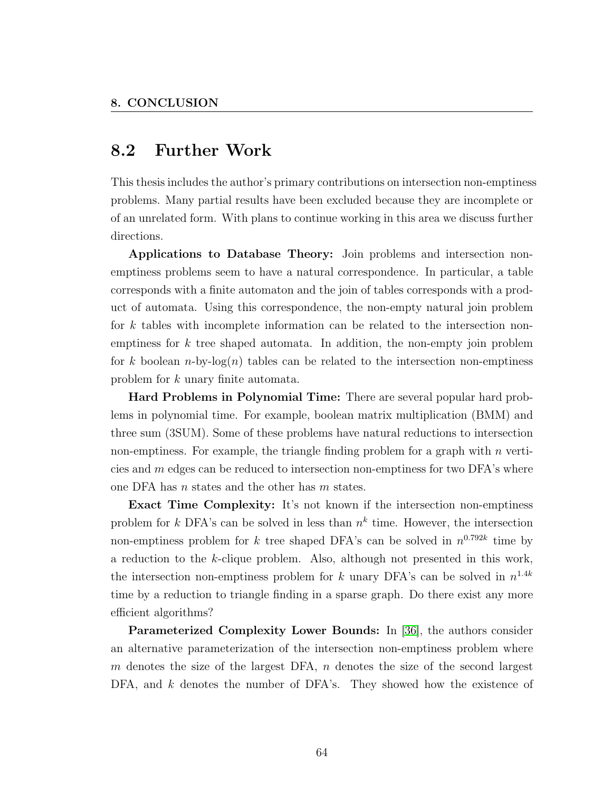## 8.2 Further Work

This thesis includes the author's primary contributions on intersection non-emptiness problems. Many partial results have been excluded because they are incomplete or of an unrelated form. With plans to continue working in this area we discuss further directions.

Applications to Database Theory: Join problems and intersection nonemptiness problems seem to have a natural correspondence. In particular, a table corresponds with a finite automaton and the join of tables corresponds with a product of automata. Using this correspondence, the non-empty natural join problem for k tables with incomplete information can be related to the intersection nonemptiness for  $k$  tree shaped automata. In addition, the non-empty join problem for k boolean n-by-log(n) tables can be related to the intersection non-emptiness problem for k unary finite automata.

Hard Problems in Polynomial Time: There are several popular hard problems in polynomial time. For example, boolean matrix multiplication (BMM) and three sum (3SUM). Some of these problems have natural reductions to intersection non-emptiness. For example, the triangle finding problem for a graph with  $n$  verticies and m edges can be reduced to intersection non-emptiness for two DFA's where one DFA has n states and the other has m states.

Exact Time Complexity: It's not known if the intersection non-emptiness problem for k DFA's can be solved in less than  $n^k$  time. However, the intersection non-emptiness problem for k tree shaped DFA's can be solved in  $n^{0.792k}$  time by a reduction to the k-clique problem. Also, although not presented in this work, the intersection non-emptiness problem for k unary DFA's can be solved in  $n^{1.4k}$ time by a reduction to triangle finding in a sparse graph. Do there exist any more efficient algorithms?

Parameterized Complexity Lower Bounds: In [\[36\]](#page-76-4), the authors consider an alternative parameterization of the intersection non-emptiness problem where m denotes the size of the largest DFA,  $n$  denotes the size of the second largest DFA, and k denotes the number of DFA's. They showed how the existence of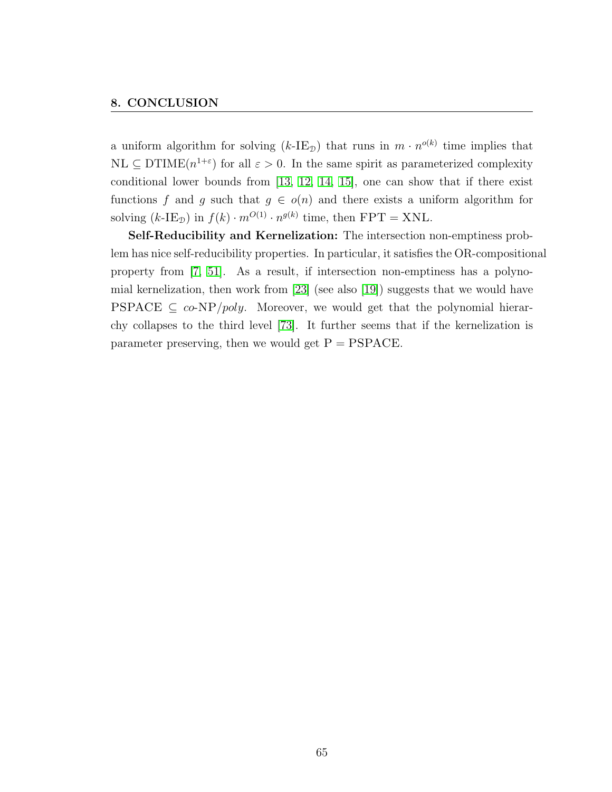#### 8. CONCLUSION

a uniform algorithm for solving  $(k\text{-IE}_\mathcal{D})$  that runs in  $m \cdot n^{o(k)}$  time implies that  $\text{NL} \subseteq \text{DTIME}(n^{1+\epsilon})$  for all  $\epsilon > 0$ . In the same spirit as parameterized complexity conditional lower bounds from [\[13,](#page-73-3) [12,](#page-73-1) [14,](#page-73-4) [15\]](#page-73-2), one can show that if there exist functions f and g such that  $g \in o(n)$  and there exists a uniform algorithm for solving  $(k\text{-IE}_\mathcal{D})$  in  $f(k) \cdot m^{O(1)} \cdot n^{g(k)}$  time, then  $\text{FPT} = \text{XNL}$ .

Self-Reducibility and Kernelization: The intersection non-emptiness problem has nice self-reducibility properties. In particular, it satisfies the OR-compositional property from [\[7,](#page-72-1) [51\]](#page-77-3). As a result, if intersection non-emptiness has a polynomial kernelization, then work from [\[23\]](#page-74-1) (see also [\[19\]](#page-74-2)) suggests that we would have PSPACE  $\subseteq$  co-NP/poly. Moreover, we would get that the polynomial hierarchy collapses to the third level [\[73\]](#page-79-4). It further seems that if the kernelization is parameter preserving, then we would get  $P = PSPACE$ .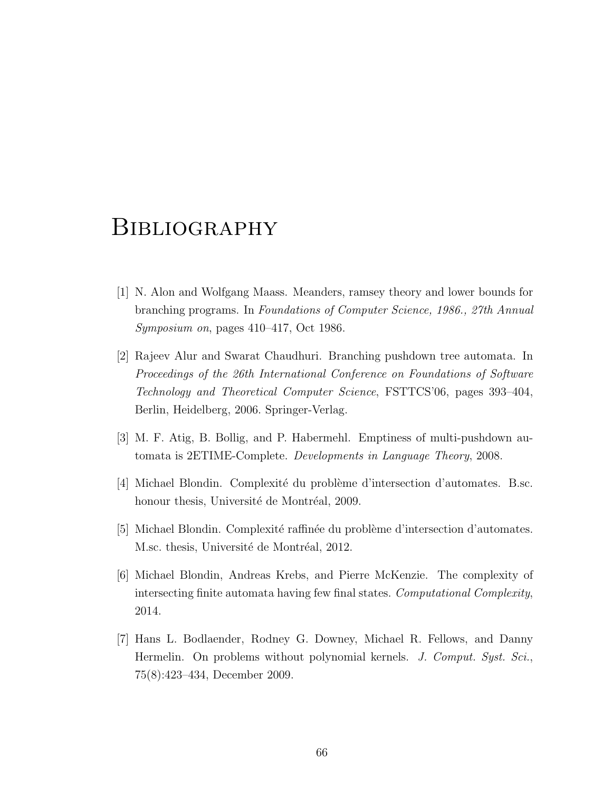## **BIBLIOGRAPHY**

- [1] N. Alon and Wolfgang Maass. Meanders, ramsey theory and lower bounds for branching programs. In Foundations of Computer Science, 1986., 27th Annual Symposium on, pages 410–417, Oct 1986.
- [2] Rajeev Alur and Swarat Chaudhuri. Branching pushdown tree automata. In Proceedings of the 26th International Conference on Foundations of Software Technology and Theoretical Computer Science, FSTTCS'06, pages 393–404, Berlin, Heidelberg, 2006. Springer-Verlag.
- [3] M. F. Atig, B. Bollig, and P. Habermehl. Emptiness of multi-pushdown automata is 2ETIME-Complete. Developments in Language Theory, 2008.
- [4] Michael Blondin. Complexité du problème d'intersection d'automates. B.sc. honour thesis, Université de Montréal, 2009.
- [5] Michael Blondin. Complexité raffinée du problème d'intersection d'automates. M.sc. thesis, Université de Montréal, 2012.
- [6] Michael Blondin, Andreas Krebs, and Pierre McKenzie. The complexity of intersecting finite automata having few final states. Computational Complexity, 2014.
- [7] Hans L. Bodlaender, Rodney G. Downey, Michael R. Fellows, and Danny Hermelin. On problems without polynomial kernels. J. Comput. Syst. Sci., 75(8):423–434, December 2009.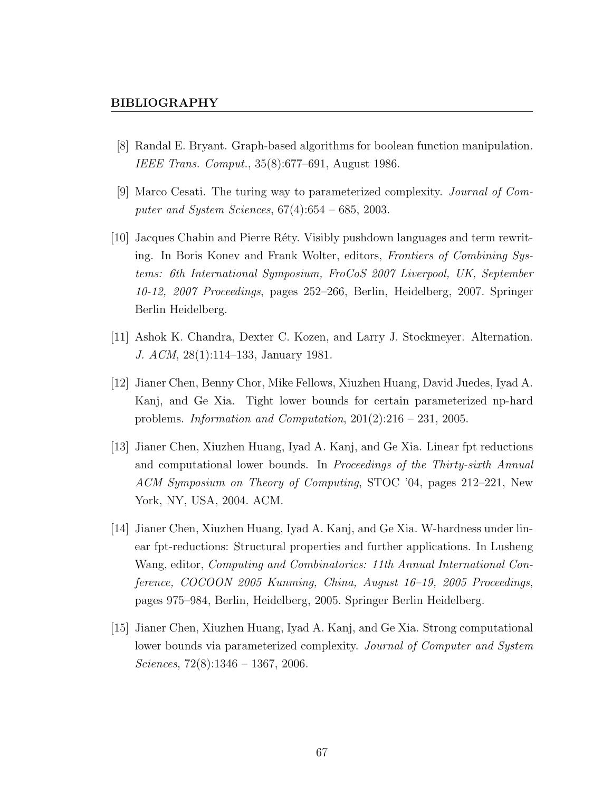## BIBLIOGRAPHY

- [8] Randal E. Bryant. Graph-based algorithms for boolean function manipulation. IEEE Trans. Comput., 35(8):677–691, August 1986.
- [9] Marco Cesati. The turing way to parameterized complexity. Journal of Computer and System Sciences,  $67(4):654 - 685$ , 2003.
- [10] Jacques Chabin and Pierre R´ety. Visibly pushdown languages and term rewriting. In Boris Konev and Frank Wolter, editors, Frontiers of Combining Systems: 6th International Symposium, FroCoS 2007 Liverpool, UK, September 10-12, 2007 Proceedings, pages 252–266, Berlin, Heidelberg, 2007. Springer Berlin Heidelberg.
- [11] Ashok K. Chandra, Dexter C. Kozen, and Larry J. Stockmeyer. Alternation. J. ACM, 28(1):114–133, January 1981.
- [12] Jianer Chen, Benny Chor, Mike Fellows, Xiuzhen Huang, David Juedes, Iyad A. Kanj, and Ge Xia. Tight lower bounds for certain parameterized np-hard problems. Information and Computation,  $201(2):216 - 231$ ,  $2005$ .
- [13] Jianer Chen, Xiuzhen Huang, Iyad A. Kanj, and Ge Xia. Linear fpt reductions and computational lower bounds. In Proceedings of the Thirty-sixth Annual ACM Symposium on Theory of Computing, STOC '04, pages 212–221, New York, NY, USA, 2004. ACM.
- [14] Jianer Chen, Xiuzhen Huang, Iyad A. Kanj, and Ge Xia. W-hardness under linear fpt-reductions: Structural properties and further applications. In Lusheng Wang, editor, Computing and Combinatorics: 11th Annual International Conference, COCOON 2005 Kunming, China, August 16–19, 2005 Proceedings, pages 975–984, Berlin, Heidelberg, 2005. Springer Berlin Heidelberg.
- [15] Jianer Chen, Xiuzhen Huang, Iyad A. Kanj, and Ge Xia. Strong computational lower bounds via parameterized complexity. Journal of Computer and System Sciences,  $72(8):1346 - 1367$ ,  $2006$ .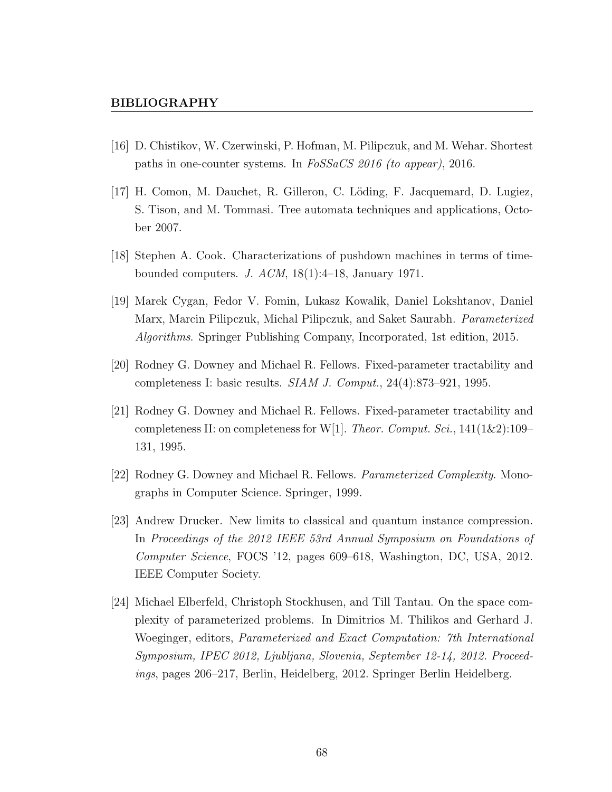- [16] D. Chistikov, W. Czerwinski, P. Hofman, M. Pilipczuk, and M. Wehar. Shortest paths in one-counter systems. In FoSSaCS 2016 (to appear), 2016.
- [17] H. Comon, M. Dauchet, R. Gilleron, C. L¨oding, F. Jacquemard, D. Lugiez, S. Tison, and M. Tommasi. Tree automata techniques and applications, October 2007.
- [18] Stephen A. Cook. Characterizations of pushdown machines in terms of timebounded computers. J.  $ACM$ ,  $18(1):4-18$ , January 1971.
- [19] Marek Cygan, Fedor V. Fomin, Lukasz Kowalik, Daniel Lokshtanov, Daniel Marx, Marcin Pilipczuk, Michal Pilipczuk, and Saket Saurabh. Parameterized Algorithms. Springer Publishing Company, Incorporated, 1st edition, 2015.
- [20] Rodney G. Downey and Michael R. Fellows. Fixed-parameter tractability and completeness I: basic results. SIAM J. Comput., 24(4):873–921, 1995.
- [21] Rodney G. Downey and Michael R. Fellows. Fixed-parameter tractability and completeness II: on completeness for W[1]. Theor. Comput. Sci.,  $141(1\&2)$ :109– 131, 1995.
- [22] Rodney G. Downey and Michael R. Fellows. Parameterized Complexity. Monographs in Computer Science. Springer, 1999.
- [23] Andrew Drucker. New limits to classical and quantum instance compression. In Proceedings of the 2012 IEEE 53rd Annual Symposium on Foundations of Computer Science, FOCS '12, pages 609–618, Washington, DC, USA, 2012. IEEE Computer Society.
- [24] Michael Elberfeld, Christoph Stockhusen, and Till Tantau. On the space complexity of parameterized problems. In Dimitrios M. Thilikos and Gerhard J. Woeginger, editors, Parameterized and Exact Computation: 7th International Symposium, IPEC 2012, Ljubljana, Slovenia, September 12-14, 2012. Proceedings, pages 206–217, Berlin, Heidelberg, 2012. Springer Berlin Heidelberg.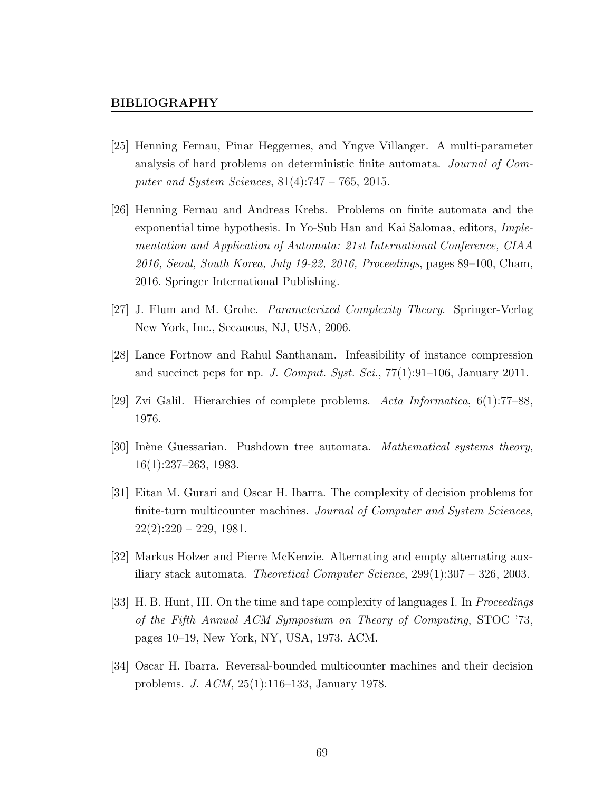- [25] Henning Fernau, Pinar Heggernes, and Yngve Villanger. A multi-parameter analysis of hard problems on deterministic finite automata. Journal of Computer and System Sciences, 81(4):747 – 765, 2015.
- [26] Henning Fernau and Andreas Krebs. Problems on finite automata and the exponential time hypothesis. In Yo-Sub Han and Kai Salomaa, editors, Implementation and Application of Automata: 21st International Conference, CIAA 2016, Seoul, South Korea, July 19-22, 2016, Proceedings, pages 89–100, Cham, 2016. Springer International Publishing.
- [27] J. Flum and M. Grohe. Parameterized Complexity Theory. Springer-Verlag New York, Inc., Secaucus, NJ, USA, 2006.
- [28] Lance Fortnow and Rahul Santhanam. Infeasibility of instance compression and succinct pcps for np. J. Comput. Syst. Sci., 77(1):91–106, January 2011.
- [29] Zvi Galil. Hierarchies of complete problems. Acta Informatica, 6(1):77–88, 1976.
- [30] Inène Guessarian. Pushdown tree automata. *Mathematical systems theory*, 16(1):237–263, 1983.
- [31] Eitan M. Gurari and Oscar H. Ibarra. The complexity of decision problems for finite-turn multicounter machines. Journal of Computer and System Sciences,  $22(2):220 - 229$ , 1981.
- [32] Markus Holzer and Pierre McKenzie. Alternating and empty alternating auxiliary stack automata. *Theoretical Computer Science*,  $299(1):307 - 326$ , 2003.
- [33] H. B. Hunt, III. On the time and tape complexity of languages I. In Proceedings of the Fifth Annual ACM Symposium on Theory of Computing, STOC '73, pages 10–19, New York, NY, USA, 1973. ACM.
- [34] Oscar H. Ibarra. Reversal-bounded multicounter machines and their decision problems. J. ACM, 25(1):116–133, January 1978.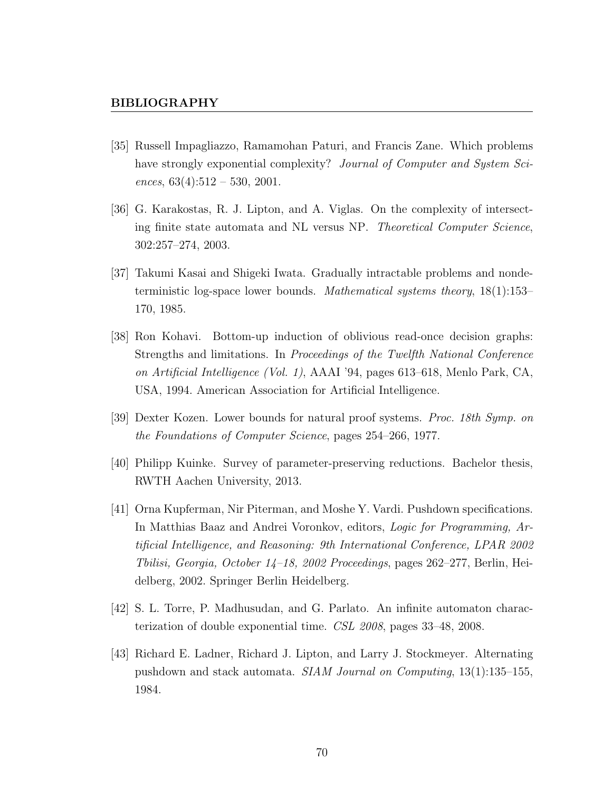- [35] Russell Impagliazzo, Ramamohan Paturi, and Francis Zane. Which problems have strongly exponential complexity? Journal of Computer and System Sciences,  $63(4):512 - 530, 2001$ .
- [36] G. Karakostas, R. J. Lipton, and A. Viglas. On the complexity of intersecting finite state automata and NL versus NP. Theoretical Computer Science, 302:257–274, 2003.
- [37] Takumi Kasai and Shigeki Iwata. Gradually intractable problems and nondeterministic log-space lower bounds. Mathematical systems theory, 18(1):153– 170, 1985.
- [38] Ron Kohavi. Bottom-up induction of oblivious read-once decision graphs: Strengths and limitations. In Proceedings of the Twelfth National Conference on Artificial Intelligence (Vol. 1), AAAI '94, pages 613–618, Menlo Park, CA, USA, 1994. American Association for Artificial Intelligence.
- [39] Dexter Kozen. Lower bounds for natural proof systems. Proc. 18th Symp. on the Foundations of Computer Science, pages 254–266, 1977.
- [40] Philipp Kuinke. Survey of parameter-preserving reductions. Bachelor thesis, RWTH Aachen University, 2013.
- [41] Orna Kupferman, Nir Piterman, and Moshe Y. Vardi. Pushdown specifications. In Matthias Baaz and Andrei Voronkov, editors, Logic for Programming, Artificial Intelligence, and Reasoning: 9th International Conference, LPAR 2002 Tbilisi, Georgia, October 14–18, 2002 Proceedings, pages 262–277, Berlin, Heidelberg, 2002. Springer Berlin Heidelberg.
- [42] S. L. Torre, P. Madhusudan, and G. Parlato. An infinite automaton characterization of double exponential time. CSL 2008, pages 33–48, 2008.
- [43] Richard E. Ladner, Richard J. Lipton, and Larry J. Stockmeyer. Alternating pushdown and stack automata. SIAM Journal on Computing, 13(1):135–155, 1984.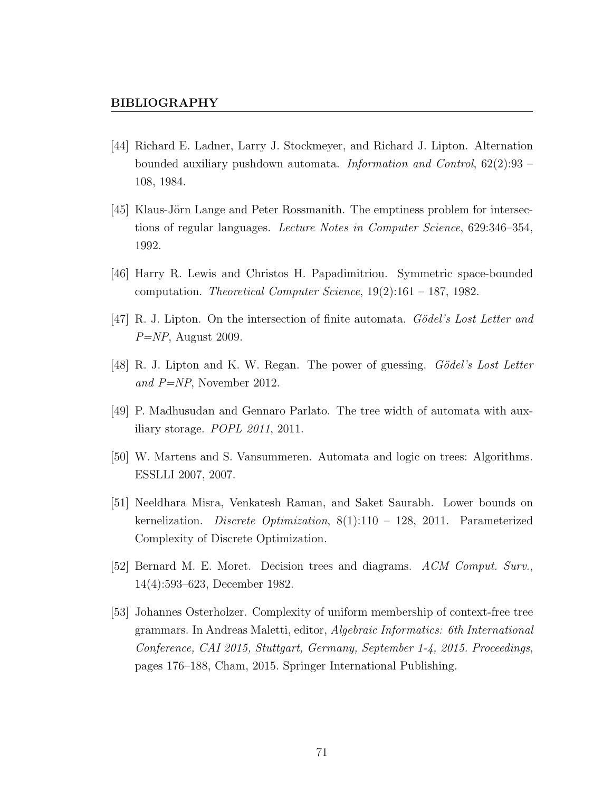- [44] Richard E. Ladner, Larry J. Stockmeyer, and Richard J. Lipton. Alternation bounded auxiliary pushdown automata. Information and Control, 62(2):93 – 108, 1984.
- [45] Klaus-Jörn Lange and Peter Rossmanith. The emptiness problem for intersections of regular languages. Lecture Notes in Computer Science, 629:346–354, 1992.
- [46] Harry R. Lewis and Christos H. Papadimitriou. Symmetric space-bounded computation. Theoretical Computer Science, 19(2):161 – 187, 1982.
- [47] R. J. Lipton. On the intersection of finite automata. Gödel's Lost Letter and  $P=NP$ , August 2009.
- [48] R. J. Lipton and K. W. Regan. The power of guessing. *Gödel's Lost Letter* and P=NP, November 2012.
- [49] P. Madhusudan and Gennaro Parlato. The tree width of automata with auxiliary storage. POPL 2011, 2011.
- [50] W. Martens and S. Vansummeren. Automata and logic on trees: Algorithms. ESSLLI 2007, 2007.
- [51] Neeldhara Misra, Venkatesh Raman, and Saket Saurabh. Lower bounds on kernelization. Discrete Optimization,  $8(1):110 - 128$ , 2011. Parameterized Complexity of Discrete Optimization.
- [52] Bernard M. E. Moret. Decision trees and diagrams. ACM Comput. Surv., 14(4):593–623, December 1982.
- [53] Johannes Osterholzer. Complexity of uniform membership of context-free tree grammars. In Andreas Maletti, editor, Algebraic Informatics: 6th International Conference, CAI 2015, Stuttgart, Germany, September 1-4, 2015. Proceedings, pages 176–188, Cham, 2015. Springer International Publishing.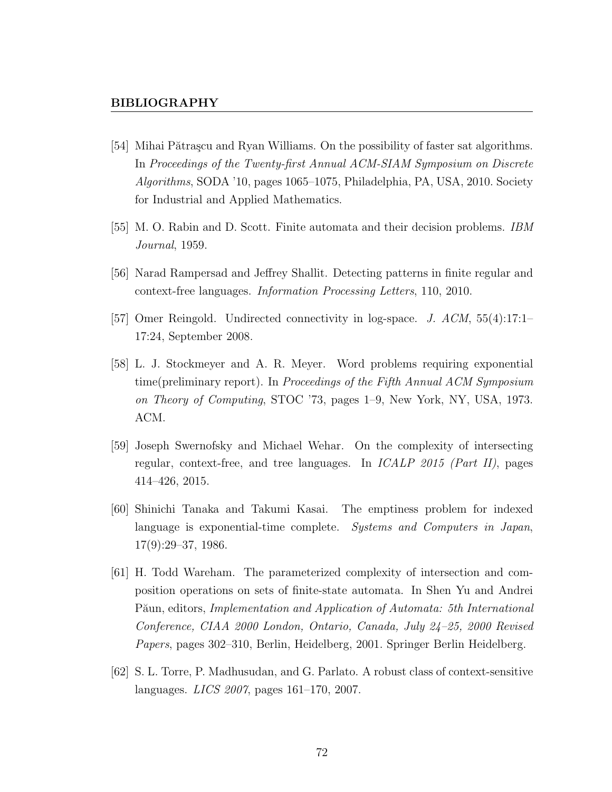## BIBLIOGRAPHY

- [54] Mihai Pătrașcu and Ryan Williams. On the possibility of faster sat algorithms. In Proceedings of the Twenty-first Annual ACM-SIAM Symposium on Discrete Algorithms, SODA '10, pages 1065–1075, Philadelphia, PA, USA, 2010. Society for Industrial and Applied Mathematics.
- [55] M. O. Rabin and D. Scott. Finite automata and their decision problems. IBM Journal, 1959.
- [56] Narad Rampersad and Jeffrey Shallit. Detecting patterns in finite regular and context-free languages. Information Processing Letters, 110, 2010.
- [57] Omer Reingold. Undirected connectivity in log-space. J. ACM, 55(4):17:1– 17:24, September 2008.
- [58] L. J. Stockmeyer and A. R. Meyer. Word problems requiring exponential time(preliminary report). In Proceedings of the Fifth Annual ACM Symposium on Theory of Computing, STOC '73, pages 1–9, New York, NY, USA, 1973. ACM.
- [59] Joseph Swernofsky and Michael Wehar. On the complexity of intersecting regular, context-free, and tree languages. In ICALP 2015 (Part II), pages 414–426, 2015.
- [60] Shinichi Tanaka and Takumi Kasai. The emptiness problem for indexed language is exponential-time complete. Systems and Computers in Japan, 17(9):29–37, 1986.
- [61] H. Todd Wareham. The parameterized complexity of intersection and composition operations on sets of finite-state automata. In Shen Yu and Andrei Păun, editors, *Implementation and Application of Automata: 5th International* Conference, CIAA 2000 London, Ontario, Canada, July 24–25, 2000 Revised Papers, pages 302–310, Berlin, Heidelberg, 2001. Springer Berlin Heidelberg.
- [62] S. L. Torre, P. Madhusudan, and G. Parlato. A robust class of context-sensitive languages. LICS 2007, pages 161–170, 2007.